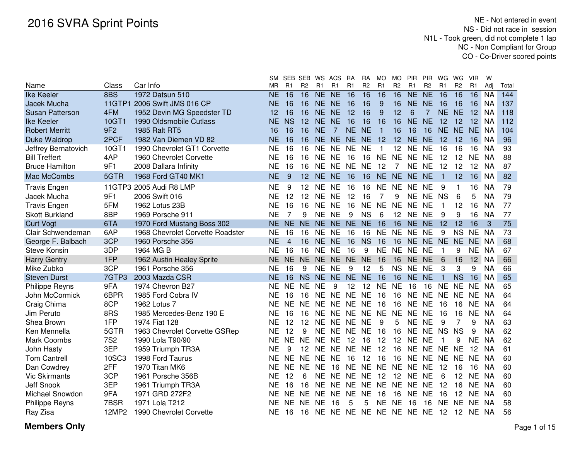|                        |               |                                  | SΜ        |                | SEB SEB        | ws             | ACS            | RA             | RA             | <b>MO</b>      | <b>MO</b>      | <b>PIR</b>     | <b>PIR</b>     | WG             | WG             | <b>VIR</b>      | W         |       |
|------------------------|---------------|----------------------------------|-----------|----------------|----------------|----------------|----------------|----------------|----------------|----------------|----------------|----------------|----------------|----------------|----------------|-----------------|-----------|-------|
| Name                   | Class         | Car Info                         | <b>MR</b> | R1             | R <sub>2</sub> | R1             | R <sub>1</sub> | R <sub>1</sub> | R <sub>2</sub> | R <sub>1</sub> | R <sub>2</sub> | R1             | R <sub>2</sub> | R <sub>1</sub> | R <sub>2</sub> | R <sub>1</sub>  | Adj       | Total |
| <b>Ike Keeler</b>      | 8BS           | 1972 Datsun 510                  | <b>NE</b> | 16             | 16             | N <sub>E</sub> | N <sub>E</sub> | 16             | 16             | 16             | 16             | N <sub>E</sub> | N <sub>E</sub> | 16             | 16             | 16              | <b>NA</b> | 144   |
| Jacek Mucha            | <b>11GTP1</b> | 2006 Swift JMS 016 CP            | NE        | 16             | 16             | NE.            | <b>NE</b>      | 16             | 16             | 9              | 16             | NE.            | <b>NE</b>      | 16             | 16             | 16              | <b>NA</b> | 137   |
| <b>Susan Patterson</b> | 4FM           | 1952 Devin MG Speedster TD       | 12        | 16             | 16             | <b>NE</b>      | <b>NE</b>      | 12             | 16             | 9              | 12             | 6              | $\overline{7}$ |                | NE NE          | 12              | <b>NA</b> | 118   |
| <b>Ike Keeler</b>      | 10GT1         | 1990 Oldsmobile Cutlass          | NΕ        | <b>NS</b>      | 12             | NE.            | <b>NE</b>      | 16             | 16             | 16             | 16             | NE.            | <b>NE</b>      | 12             | 12             | 12              | <b>NA</b> | 112   |
| <b>Robert Merritt</b>  | 9F2           | 1985 Ralt RT5                    | 16        | 16             | 16             | <b>NE</b>      | 7              | NE NE          |                | $\mathbf{1}$   | 16             | 16             | 16             | <b>NE</b>      | <b>NE</b>      | <b>NE</b>       | <b>NA</b> | 104   |
| Duke Waldrop           | 2PCF          | 1982 Van Diemen VD 82            | NE        | 16             | 16             | NE.            | <b>NE</b>      | <b>NE</b>      | <b>NE</b>      | 12             | 12             | <b>NE</b>      | <b>NE</b>      | 12             | 12             | 16              | <b>NA</b> | 96    |
| Jeffrey Bernatovich    | 10GT1         | 1990 Chevrolet GT1 Corvette      | NE        | 16             | 16             | <b>NE</b>      | <b>NE</b>      | NE             | <b>NE</b>      |                | 12             | NE             | <b>NE</b>      | 16             | 16             | 16              | <b>NA</b> | 93    |
| <b>Bill Treffert</b>   | 4AP           | 1960 Chevrolet Corvette          | <b>NE</b> | 16             | 16             | <b>NE</b>      | <b>NE</b>      | 16             | 16             | <b>NE</b>      | <b>NE</b>      | <b>NE</b>      | <b>NE</b>      | 12             | 12             | <b>NE</b>       | <b>NA</b> | 88    |
| <b>Bruce Hamilton</b>  | 9F1           | 2008 Dallara Infinity            | <b>NE</b> | 16             | 16             | <b>NE</b>      | <b>NE</b>      | <b>NE</b>      | <b>NE</b>      | 12             | 7              | <b>NE</b>      | <b>NE</b>      | 12             | 12             | 12              | <b>NA</b> | 87    |
| Mac McCombs            | 5GTR          | 1968 Ford GT40 MK1               | <b>NE</b> | 9              | 12             | <b>NE</b>      | <b>NE</b>      | 16             | 16             | <b>NE</b>      | NE NE          |                | <b>NE</b>      | $\mathbf 1$    | 12             | 16              | <b>NA</b> | 82    |
| <b>Travis Engen</b>    | 11GTP3        | 2005 Audi R8 LMP                 | <b>NE</b> | 9              | 12             | <b>NE</b>      | <b>NE</b>      | 16             | 16             | <b>NE</b>      | <b>NE</b>      | <b>NE</b>      | <b>NE</b>      | 9              |                | 16              | <b>NA</b> | 79    |
| Jacek Mucha            | 9F1           | 2006 Swift 016                   | <b>NE</b> | 12             | 12             | <b>NE</b>      | <b>NE</b>      | 12             | 16             | 7              | 9              | <b>NE</b>      | <b>NE</b>      | <b>NS</b>      | 6              | 5               | <b>NA</b> | 79    |
| <b>Travis Engen</b>    | 5FM           | 1962 Lotus 23B                   | <b>NE</b> | 16             | 16             | <b>NE</b>      | <b>NE</b>      | 16             | <b>NE</b>      | <b>NE</b>      | <b>NE</b>      | <b>NE</b>      | <b>NE</b>      | $\mathbf{1}$   | 12             | 16              | <b>NA</b> | 77    |
| <b>Skott Burkland</b>  | 8BP           | 1969 Porsche 911                 | <b>NE</b> | $\overline{7}$ | 9              | <b>NE</b>      | <b>NE</b>      | 9              | <b>NS</b>      | 6              | 12             | <b>NE</b>      | <b>NE</b>      | 9              | 9              | 16              | <b>NA</b> | 77    |
| <b>Curt Vogt</b>       | 6TA           | 1970 Ford Mustang Boss 302       | NE.       | <b>NE</b>      | NE.            | <b>NE</b>      | <b>NE</b>      | NE NE          |                | 16             | 16             | <b>NE</b>      | <b>NE</b>      | 12             | 12             | 16              | 3         | 75    |
| Clair Schwendeman      | 6AP           | 1968 Chevrolet Corvette Roadster | <b>NE</b> | 16             | 16             | <b>NE</b>      | <b>NE</b>      | 16             | 16             | <b>NE</b>      | <b>NE</b>      | <b>NE</b>      | <b>NE</b>      | 9              | <b>NS</b>      | <b>NE</b>       | <b>NA</b> | 73    |
| George F. Balbach      | 3CP           | 1960 Porsche 356                 | <b>NE</b> | 4              | 16             | NE NE          |                | 16             | <b>NS</b>      | 16             | 16             | NE NE          |                | NE NE          |                | NE NA           |           | 68    |
| <b>Steve Konsin</b>    | 3DP           | 1964 MG B                        | ΝE        | 16             | 16             | <b>NE</b>      | <b>NE</b>      | 16             | 9              | <b>NE</b>      | <b>NE</b>      | <b>NE</b>      | <b>NE</b>      | $\mathbf 1$    | 9              | <b>NE</b>       | NA        | 67    |
| <b>Harry Gentry</b>    | 1FP           | 1962 Austin Healey Sprite        | NE.       | <b>NE</b>      | NE NE          |                | <b>NE</b>      | NE NE          |                | 16             | 16             | NE.            | <b>NE</b>      | 6              | 16             | 12 <sup>7</sup> | <b>NA</b> | 66    |
| Mike Zubko             | 3CP           | 1961 Porsche 356                 | NΕ        | 16             | 9              | NE.            | <b>NE</b>      | 9              | 12             | 5              | NS NE          |                | <b>NE</b>      | 3              | 3              | 9               | <b>NA</b> | 66    |
| <b>Steven Durst</b>    | 7GTP3         | 2003 Mazda CSR                   | ΝE        | 16             | <b>NS</b>      | <b>NE</b>      | <b>NE</b>      | <b>NE</b>      | <b>NE</b>      | 16             | 16             | <b>NE</b>      | <b>NE</b>      | 1              | <b>NS</b>      | 16              | <b>NA</b> | 65    |
| <b>Philippe Reyns</b>  | 9FA           | 1974 Chevron B27                 | NE        | <b>NE</b>      | <b>NE</b>      | <b>NE</b>      | 9              | 12             | 12             | <b>NE</b>      | <b>NE</b>      | 16             | 16             | <b>NE</b>      | <b>NE</b>      | <b>NE</b>       | <b>NA</b> | 65    |
| John McCormick         | 6BPR          | 1985 Ford Cobra IV               | ΝE        | 16             | 16             | <b>NE</b>      | <b>NE</b>      | NE NE          |                | 16             | 16             | <b>NE</b>      | <b>NE</b>      | NE NE          |                | <b>NE</b>       | <b>NA</b> | 64    |
| Craig Chima            | 8CP           | 1962 Lotus 7                     | <b>NE</b> | <b>NE</b>      | <b>NE</b>      | <b>NE</b>      | <b>NE</b>      | <b>NE</b>      | <b>NE</b>      | 16             | 16             | <b>NE</b>      | <b>NE</b>      | 16             | 16             | <b>NE</b>       | <b>NA</b> | 64    |
| Jim Peruto             | 8RS           | 1985 Mercedes-Benz 190 E         | NE        | 16             | 16             | <b>NE</b>      | <b>NE</b>      | <b>NE</b>      | <b>NE</b>      | <b>NE</b>      | <b>NE</b>      | <b>NE</b>      | <b>NE</b>      | 16             | 16             | <b>NE</b>       | <b>NA</b> | 64    |
| Shea Brown             | 1FP           | 1974 Fiat 128                    | <b>NE</b> | 12             | 12             | <b>NE</b>      | <b>NE</b>      | <b>NE</b>      | <b>NE</b>      | 9              | 5              | <b>NE</b>      | <b>NE</b>      | 9              |                | 9               | <b>NA</b> | 63    |
| Ken Mennella           | 5GTR          | 1963 Chevrolet Corvette GSRep    | <b>NE</b> | 12             | 9              | <b>NE</b>      | <b>NE</b>      | <b>NE</b>      | <b>NE</b>      | 16             | 16             | <b>NE</b>      | <b>NE</b>      | <b>NS</b>      | <b>NS</b>      | 9               | <b>NA</b> | 62    |
| <b>Mark Coombs</b>     | <b>7S2</b>    | 1990 Lola T90/90                 | ΝE        | <b>NE</b>      | <b>NE</b>      | <b>NE</b>      | <b>NE</b>      | 12             | 16             | 12             | 12             | <b>NE</b>      | <b>NE</b>      |                | 9              | <b>NE</b>       | <b>NA</b> | 62    |
| John Hasty             | 3EP           | 1959 Triumph TR3A                | <b>NE</b> | 9              | 12             | <b>NE</b>      | <b>NE</b>      | <b>NE</b>      | <b>NE</b>      | 12             | 16             | <b>NE</b>      | <b>NE</b>      | <b>NE</b>      | <b>NE</b>      | 12              | NA        | 61    |
| <b>Tom Cantrell</b>    | 10SC3         | 1998 Ford Taurus                 | ΝE        | <b>NE</b>      | <b>NE</b>      | <b>NE</b>      | <b>NE</b>      | 16             | 12             | 16             | 16             | NE             | <b>NE</b>      | <b>NE</b>      | <b>NE</b>      | <b>NE</b>       | NA        | 60    |
| Dan Cowdrey            | 2FF           | 1970 Titan MK6                   | <b>NE</b> | <b>NE</b>      | <b>NE</b>      | <b>NE</b>      | 16             | <b>NE</b>      | <b>NE</b>      | <b>NE</b>      | <b>NE</b>      | <b>NE</b>      | <b>NE</b>      | 12             | 16             | 16              | NA        | 60    |
| <b>Vic Skirmants</b>   | 3CP           | 1961 Porsche 356B                | <b>NE</b> | 12             | 6              | <b>NE</b>      | <b>NE</b>      | <b>NE</b>      | <b>NE</b>      | 12             | 12             | <b>NE</b>      | <b>NF</b>      | 6              | 12             | <b>NE</b>       | <b>NA</b> | 60    |
| Jeff Snook             | 3EP           | 1961 Triumph TR3A                | ΝE        | 16             | 16             | <b>NE</b>      | <b>NE</b>      | <b>NE</b>      | <b>NE</b>      | <b>NE</b>      | <b>NE</b>      | <b>NE</b>      | <b>NE</b>      | 12             | 16             | <b>NE</b>       | <b>NA</b> | 60    |
| Michael Snowdon        | 9FA           | 1971 GRD 272F2                   | <b>NE</b> | <b>NE</b>      | <b>NE</b>      | <b>NE</b>      | <b>NE</b>      | <b>NE</b>      | <b>NE</b>      | 16             | 16             | <b>NE</b>      | <b>NE</b>      | 16             | 12             | <b>NE</b>       | <b>NA</b> | 60    |
| <b>Philippe Reyns</b>  | 7BSR          | 1971 Lola T212                   | ΝE        | <b>NE</b>      | <b>NE</b>      | <b>NE</b>      | 16             | 5              | 5              | <b>NE</b>      | <b>NE</b>      | 16             | 16             | <b>NE</b>      | <b>NE</b>      | <b>NE</b>       | NA.       | 58    |
| Ray Zisa               | 12MP2         | 1990 Chevrolet Corvette          | <b>NE</b> | 16             | 16             | <b>NE</b>      | <b>NE</b>      |                |                |                | NE NE NE NE NE |                | <b>NE</b>      | 12             | 12             | <b>NE</b>       | NA        | 56    |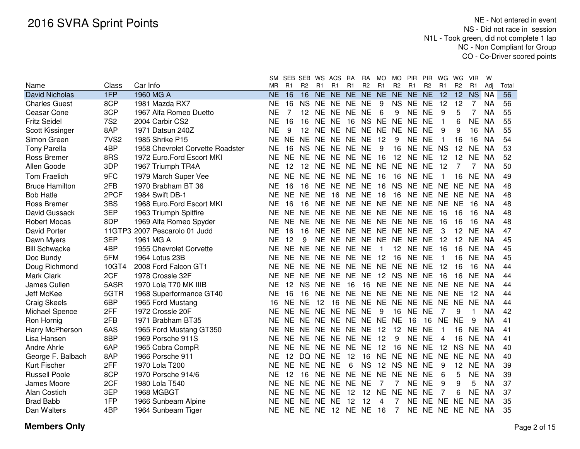| SM SEB-SEB WS ACS RA RA MO MO PIR PIR WG WG VIR W |  |  |
|---------------------------------------------------|--|--|
|---------------------------------------------------|--|--|

| Name                  | Class            | Car Info                         | MR.       | R1        | R <sub>2</sub> | R1        | R1                               | R1 | R <sub>2</sub> | R1             | R <sub>2</sub>  | R <sub>1</sub>             | <b>R2</b> | R1              | R <sub>2</sub> | R1        | Adi       | Total |
|-----------------------|------------------|----------------------------------|-----------|-----------|----------------|-----------|----------------------------------|----|----------------|----------------|-----------------|----------------------------|-----------|-----------------|----------------|-----------|-----------|-------|
| <b>David Nicholas</b> | 1FP              | 1960 MG A                        | <b>NE</b> | 16        | 16             |           | NE NE NE NE NE NE NE NE          |    |                |                |                 |                            |           | 12              |                | 12 NS NA  |           | 56    |
| <b>Charles Guest</b>  | 8CP              | 1981 Mazda RX7                   | <b>NE</b> | 16        | <b>NS</b>      |           | NE NE NE NE                      |    |                | 9              |                 | NS NE NE                   |           | 12              | 12             | 7         | <b>NA</b> | 56    |
| Ceasar Cone           | 3CP              | 1967 Alfa Romeo Duetto           | NE        | 7         | 12             |           | NE NE NE NE                      |    |                | 6              | 9               | <b>NE</b>                  | <b>NE</b> | 9               | 5              | 7         | <b>NA</b> | 55    |
| <b>Fritz Seidel</b>   | <b>7S2</b>       | 2004 Carbir CS2                  | <b>NE</b> | 16        | 16             | <b>NE</b> | <b>NE</b>                        |    |                |                | 16 NS NE NE NE  |                            | <b>NE</b> | $\mathbf{1}$    | 6              | <b>NE</b> | <b>NA</b> | 55    |
| Scott Kissinger       | 8AP              | 1971 Datsun 240Z                 | <b>NE</b> | 9         | 12             | <b>NE</b> | NE NE NE NE NE NE                |    |                |                |                 |                            | <b>NE</b> | 9               | 9              | 16        | <b>NA</b> | 55    |
| Simon Green           | 7VS <sub>2</sub> | 1985 Shrike P15                  | <b>NE</b> | NE.       |                |           | NE NE NE NE NE                   |    |                | 12             | 9               | NE NE                      |           | -1              | 16             | 16        | <b>NA</b> | 54    |
| <b>Tony Parella</b>   | 4BP              | 1958 Chevrolet Corvette Roadster | <b>NE</b> | 16        | <b>NS</b>      |           | NE NE NE NE                      |    |                | 9              | 16              | NE NE NS                   |           |                 | 12             | NE NA     |           | 53    |
| <b>Ross Bremer</b>    | 8RS              | 1972 Euro.Ford Escort MKI        | <b>NE</b> |           |                |           | NE NE NE NE NE NE 16             |    |                |                |                 | 12 NE NE                   |           | 12              | 12             | NE NA     |           | 52    |
| Allen Goode           | 3DP              | 1967 Triumph TR4A                | <b>NE</b> | 12        |                |           | 12 NE NE NE NE NE NE NE          |    |                |                |                 |                            | <b>NE</b> | 12              | 7              | 7         | <b>NA</b> | 50    |
| <b>Tom Fraelich</b>   | 9FC              | 1979 March Super Vee             | <b>NE</b> | <b>NE</b> |                |           | NE NE NE NE NE 16                |    |                |                |                 | 16 NE NE                   |           | 1               | 16             | <b>NE</b> | <b>NA</b> | 49    |
| <b>Bruce Hamilton</b> | 2FB              | 1970 Brabham BT 36               | <b>NE</b> | 16        |                |           | 16 NE NE NE NE 16                |    |                |                |                 | NS NE NE NE NE             |           |                 |                | NE NA     |           | 48    |
| <b>Bob Hatle</b>      | 2PCF             | 1984 Swift DB-1                  | <b>NE</b> | NE.       |                |           | NE NE 16 NE NE 16                |    |                |                |                 | 16 NE NE NE NE             |           |                 |                | NE NA     |           | 48    |
| Ross Bremer           | 3BS              | 1968 Euro.Ford Escort MKI        | NE.       | 16        |                |           | 16 NE NE NE NE NE NE NE NE NE NE |    |                |                |                 |                            |           |                 |                | 16        | <b>NA</b> | 48    |
| David Gussack         | 3EP              | 1963 Triumph Spitfire            | NF.       | NE.       |                |           | NE NE NE NE NE NE NE NE NE       |    |                |                |                 |                            |           | 16              | 16             | 16        | <b>NA</b> | 48    |
| <b>Robert Mocas</b>   | 8DP              | 1969 Alfa Romeo Spyder           | NF        | <b>NE</b> |                |           | NE NE NE NE NE NE NE NE NE       |    |                |                |                 |                            |           | 16              | 16             | 16        | <b>NA</b> | 48    |
| David Porter          |                  | 11GTP3 2007 Pescarolo 01 Judd    | ΝE        | 16        |                |           | 16 NE NE NE NE NE NE NE NE       |    |                |                |                 |                            |           | 3               | 12             | <b>NE</b> | <b>NA</b> | 47    |
| Dawn Myers            | 3EP              | 1961 MG A                        | <b>NE</b> | 12        | 9              |           | NE NE NE NE NE NE NE NE          |    |                |                |                 |                            |           | 12              | 12             | NE NA     |           | 45    |
| <b>Bill Schwacke</b>  | 4BP              | 1955 Chevrolet Corvette          | NF        | NE.       |                |           | NE NE NE NE NE                   |    |                | $\overline{1}$ |                 | 12 NE NE                   |           | 16              | 16             | NE NA     |           | 45    |
| Doc Bundy             | 5FM              | 1964 Lotus 23B                   | ΝE        | NE        |                |           | NE NE NE NE NE 12                |    |                |                |                 | 16 NE NE                   |           | $\mathbf 1$     | 16             | NE NA     |           | 45    |
| Doug Richmond         | 10GT4            | 2008 Ford Falcon GT1             | NF        |           |                |           | NE NE NE NE NE NE NE NE NE NE    |    |                |                |                 |                            |           | 12              | 16             | 16        | <b>NA</b> | 44    |
| Mark Clark            | 2CF              | 1978 Crossle 32F                 | <b>NE</b> |           |                |           | NE NE NE NE NE NE 12 NS NE NE    |    |                |                |                 |                            |           | 16              | 16             | NE.       | <b>NA</b> | 44    |
| James Cullen          | 5ASR             | 1970 Lola T70 MK IIIB            | NE.       | 12        | NS NE NE       |           |                                  | 16 |                |                |                 | 16 NE NE NE NE NE NE NE NA |           |                 |                |           |           | 44    |
| Jeff McKee            | 5GTR             | 1968 Superformance GT40          | <b>NE</b> | -16       |                |           | 16 NE NE NE NE NE NE NE NE NE NE |    |                |                |                 |                            |           |                 |                | 12        | NA.       | 44    |
| Craig Skeels          | 6BP              | 1965 Ford Mustang                | 16        | NE.       | NE.            | - 12      | 16 NE NE NE NE NE NE NE NE NE    |    |                |                |                 |                            |           |                 |                |           | <b>NA</b> | 44    |
| Michael Spence        | 2FF              | 1972 Crossle 20F                 | ΝE        | <b>NE</b> |                |           | NE NE NE NE NE                   |    |                | 9              |                 | 16 NE NE                   |           | 7               | 9              |           | <b>NA</b> | 42    |
| Ron Hornig            | 2FB              | 1971 Brabham BT35                | NF        |           |                |           | NE NE NE NE NE NE NE NE 16       |    |                |                |                 |                            | 16        | NE NE           |                | 9         | <b>NA</b> | 41    |
| Harry McPherson       | 6AS              | 1965 Ford Mustang GT350          | NE.       |           |                |           | NE NE NE NE NE NE 12             |    |                |                |                 | 12 NE NE                   |           | -1              | 16             | NE.       | <b>NA</b> | 41    |
| Lisa Hansen           | 8BP              | 1969 Porsche 911S                | NE.       |           |                |           | NE NE NE NE NE NE 12             |    |                |                | 9               | NE NE                      |           | 4               | 16             | NE NA     |           | 41    |
| Andre Ahrle           | 6AP              | 1965 Cobra CompR                 | NF        |           |                |           | NE NE NE NE NE NE 12             |    |                |                |                 | 16 NE NE                   |           | 12 <sup>2</sup> | <b>NS</b>      | NE NA     |           | 40    |
| George F. Balbach     | 8AP              | 1966 Porsche 911                 | NE.       | 12        | DQ NE NE       |           |                                  | 12 | 16             |                |                 | NE NE NE NE NE             |           |                 | NE.            | NE NA     |           | 40    |
| Kurt Fischer          | 2FF              | 1970 Lola T200                   | <b>NE</b> |           | NE NE NE NE    |           |                                  | 6  |                |                |                 | NS 12 NS NE NE             |           | 9               | 12             | NE NA     |           | 39    |
| <b>Russell Poole</b>  | 8CP              | 1970 Porsche 914/6               | NF        | 12        |                |           | 16 NE NE NE NE NE NE NE NE       |    |                |                |                 |                            |           | 6               | 5              | <b>NE</b> | <b>NA</b> | 39    |
| James Moore           | 2CF              | 1980 Lola T540                   | NE.       | NE .      |                |           | NE NE NE NE NE                   |    |                | $\overline{7}$ | $7\phantom{0}$  | NE NE                      |           | 9               | 9              | 5         | <b>NA</b> | 37    |
| Alan Costich          | 3EP              | 1968 MGBGT                       | ΝE        |           | NE NE NE NE    |           |                                  | 12 | 12 NE          |                | NE NE           |                            | <b>NE</b> | 7               | 6              | NE NA     |           | 37    |
| <b>Brad Babb</b>      | 1FP              | 1966 Sunbeam Alpine              | NF.       |           | NE NE NE NE    |           |                                  | 12 | 12             | 4              | 7               | NE NE NE NE                |           |                 |                | NE.       | <b>NA</b> | 35    |
| Dan Walters           | 4BP              | 1964 Sunbeam Tiger               |           |           |                |           | NE NE NE NE 12 NE NE 16          |    |                |                | $7\overline{ }$ | NE NE NE NE NE NA          |           |                 |                |           |           | 35    |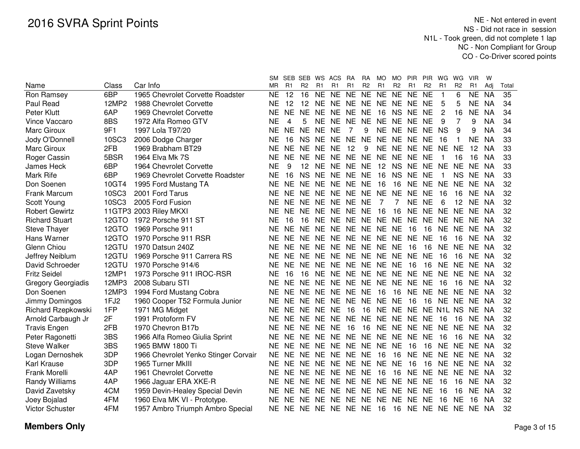|                           |       |                                      | SM.       | SEB            | SEB WS ACS        |                |                               | RA             | RA             | MO.            | MO.            | <b>PIR</b>               | <b>PIR</b>     | WG             | WG             | VIR            | w         |       |
|---------------------------|-------|--------------------------------------|-----------|----------------|-------------------|----------------|-------------------------------|----------------|----------------|----------------|----------------|--------------------------|----------------|----------------|----------------|----------------|-----------|-------|
| Name                      | Class | Car Info                             | ΜR        | R <sub>1</sub> | R <sub>2</sub>    | R <sub>1</sub> | R1                            | R <sub>1</sub> | R <sub>2</sub> | R <sub>1</sub> | R <sub>2</sub> | R <sub>1</sub>           | R <sub>2</sub> | R <sub>1</sub> | R <sub>2</sub> | R <sub>1</sub> | Adj       | Total |
| Ron Ramsey                | 6BP   | 1965 Chevrolet Corvette Roadster     | <b>NE</b> | 12             | 16                | <b>NE</b>      | <b>NE</b>                     | <b>NE</b>      | NE NE          |                | <b>NE</b>      | <b>NE</b>                | <b>NE</b>      | 1              | 6              | <b>NE</b>      | <b>NA</b> | 35    |
| Paul Read                 | 12MP2 | 1988 Chevrolet Corvette              | <b>NE</b> | 12             | $12 \overline{ }$ | NE.            | NE NE NE NE NE NE             |                |                |                |                |                          | NE             | 5              | 5              | <b>NE</b>      | <b>NA</b> | 34    |
| Peter Klutt               | 6AP   | 1969 Chevrolet Corvette              | <b>NE</b> | <b>NE</b>      | <b>NE</b>         | <b>NE</b>      | <b>NE</b>                     | <b>NE</b>      | <b>NE</b>      | 16             | NS NE          |                          | <b>NE</b>      | 2              | 16             | <b>NE</b>      | <b>NA</b> | 34    |
| Vince Vaccaro             | 8BS   | 1972 Alfa Romeo GTV                  | <b>NE</b> | 4              | 5                 | <b>NE</b>      | <b>NE</b>                     | <b>NE</b>      | <b>NE</b>      | NE NE          |                | <b>NE</b>                | <b>NE</b>      | 9              |                | 9              | <b>NA</b> | 34    |
| Marc Giroux               | 9F1   | 1997 Lola T97/20                     | <b>NE</b> | <b>NE</b>      | <b>NE</b>         | <b>NE</b>      | <b>NE</b>                     | 7              | 9              |                | NE NE NE       |                          | <b>NE</b>      | <b>NS</b>      | 9              | 9              | <b>NA</b> | 34    |
| Jody O'Donnell            | 10SC3 | 2006 Dodge Charger                   | <b>NE</b> | 16             |                   | NS NE          | NE NE                         |                | <b>NE</b>      |                | NE NE NE       |                          | <b>NE</b>      | 16             | -1             | <b>NE</b>      | <b>NA</b> | 33    |
| Marc Giroux               | 2FB   | 1969 Brabham BT29                    | <b>NE</b> | <b>NE</b>      | NE.               | <b>NE</b>      | <b>NE</b>                     | 12             | 9              |                | NE NE NE       |                          | <b>NE</b>      | NE.            | <b>NE</b>      | 12             | <b>NA</b> | 33    |
| Roger Cassin              | 5BSR  | 1964 Elva Mk 7S                      | <b>NE</b> | <b>NE</b>      | NE.               | <b>NE</b>      | NE NE                         |                | <b>NE</b>      |                | NE NE NE       |                          | <b>NE</b>      |                | 16             | 16             | <b>NA</b> | 33    |
| James Heck                | 6BP   | 1964 Chevrolet Corvette              | <b>NE</b> | 9              | 12 <sup>2</sup>   | <b>NE</b>      | NE NE                         |                | <b>NE</b>      | 12             |                | NS NE                    | <b>NE</b>      | <b>NE</b>      | <b>NE</b>      | <b>NE</b>      | <b>NA</b> | 33    |
| Mark Rife                 | 6BP   | 1969 Chevrolet Corvette Roadster     | <b>NE</b> | 16             | <b>NS</b>         | <b>NE</b>      | NE NE                         |                | <b>NE</b>      | 16             | <b>NS</b>      | <b>NE</b>                | <b>NE</b>      |                | <b>NS</b>      | <b>NE</b>      | NA        | 33    |
| Don Soenen                | 10GT4 | 1995 Ford Mustang TA                 | <b>NE</b> | <b>NE</b>      | <b>NE</b>         | <b>NE</b>      | NE NE                         |                | <b>NE</b>      | 16             | 16             | <b>NE</b>                | <b>NE</b>      | <b>NE</b>      | <b>NE</b>      | NE.            | <b>NA</b> | 32    |
| Frank Marcum              | 10SC3 | 2001 Ford Tarus                      | <b>NE</b> | NF.            | NF.               | <b>NE</b>      | NE NE                         |                | <b>NE</b>      | <b>NE</b>      | <b>NE</b>      | <b>NE</b>                | <b>NE</b>      | 16             | 16             | <b>NE</b>      | -NA       | 32    |
| Scott Young               | 10SC3 | 2005 Ford Fusion                     | <b>NE</b> |                |                   |                | NE NE NE NE NE NE             |                |                | 7              | 7              | <b>NE</b>                | <b>NE</b>      | 6              | 12             | NE.            | - NA      | 32    |
| <b>Robert Gewirtz</b>     |       | 11GTP3 2003 Riley MKXI               | <b>NE</b> | NE.            |                   |                | NE NE NE NE NE 16             |                |                |                | 16             | <b>NE</b>                | NE.            | NE.            | <b>NE</b>      | NE NA          |           | 32    |
| <b>Richard Stuart</b>     |       | 12GTO 1972 Porsche 911 ST            | <b>NE</b> | 16             | 16                |                | NE NE NE NE NE NE NE          |                |                |                |                |                          | NE NE          |                | <b>NE</b>      | NE NA          |           | 32    |
| <b>Steve Thayer</b>       |       | 12GTO 1969 Porsche 911               | <b>NE</b> | NE.            |                   |                | NE NE NE NE NE NE NE          |                |                |                |                | -16                      | 16             | NE.            | NE.            | NE NA          |           | 32    |
| Hans Warner               |       | 12GTO 1970 Porsche 911 RSR           | <b>NE</b> |                |                   |                | NE NE NE NE NE NE NE NE NE    |                |                |                |                |                          | <b>NE</b>      | 16             | 16             | NE NA          |           | 32    |
| Glenn Chiou               |       | 12GTU 1970 Datsun 240Z               | <b>NE</b> |                | NE NE NE          |                | NE NE NE NE NE                |                |                |                |                | 16                       | 16             | <b>NE</b>      | <b>NE</b>      | NE NA          |           | 32    |
| Jeffrey Neiblum           |       | 12GTU 1969 Porsche 911 Carrera RS    | <b>NE</b> |                | NE NE NE          |                | NE NE NE NE NE NE             |                |                |                |                |                          | <b>NE</b>      | 16             | 16             | NE NA          |           | 32    |
| David Schroeder           | 12GTU | 1970 Porsche 914/6                   | <b>NE</b> | NE.            | NE NE             |                | NE NE NE NE NE                |                |                |                |                | 16                       | 16             | <b>NE</b>      | <b>NE</b>      | NE NA          |           | 32    |
| <b>Fritz Seidel</b>       | 12MP1 | 1973 Porsche 911 IROC-RSR            | <b>NE</b> | 16             | 16                | <b>NE</b>      | NE NE NE NE NE NE             |                |                |                |                |                          | NE.            | NE.            | NE.            | NE NA          |           | 32    |
| <b>Gregory Georgiadis</b> | 12MP3 | 2008 Subaru STI                      | <b>NE</b> | NE.            | NE.               |                | NE NE NE NE NE NE NE NE       |                |                |                |                |                          |                | 16             | 16             | NE NA          |           | 32    |
| Don Soenen                | 12MP3 | 1994 Ford Mustang Cobra              | <b>NE</b> | NE.            |                   |                | NE NE NE NE NE                |                |                | 16             | 16             | <b>NE</b>                | NE NE          |                | <b>NE</b>      | NE NA          |           | 32    |
| Jimmy Domingos            | 1FJ2  | 1960 Cooper T52 Formula Junior       | <b>NE</b> |                |                   |                | NE NE NE NE NE NE NE NE       |                |                |                |                | 16                       | 16             | NE NE          |                | NE NA          |           | 32    |
| Richard Rzepkowski        | 1FP   | 1971 MG Midget                       | <b>NE</b> |                | NE NE NE NE       |                |                               | 16             | 16             |                |                | NE NE NE NE N1L NS NE NA |                |                |                |                |           | 32    |
| Arnold Carbaugh Jr        | 2F    | 1991 Protoform FV                    | <b>NE</b> |                |                   |                | NE NE NE NE NE NE NE NE NE NE |                |                |                |                |                          |                | - 16           | 16             | NE NA          |           | 32    |
| <b>Travis Engen</b>       | 2FB   | 1970 Chevron B17b                    | <b>NE</b> |                | NE NE NE NE       |                |                               | 16             | 16             |                |                | NE NE NE NE NE           |                |                | <b>NE</b>      | NE NA          |           | 32    |
| Peter Ragonetti           | 3BS   | 1966 Alfa Romeo Giulia Sprint        | <b>NE</b> | NE.            |                   |                | NE NE NE NE NE NE NE NE       |                |                |                |                |                          | <b>NE</b>      | 16             | 16             | NE.            | - NA      | 32    |
| <b>Steve Walker</b>       | 3BS   | 1965 BMW 1800 Ti                     | <b>NE</b> | NE.            | NE NE             |                | NE NE NE NE NE                |                |                |                |                | 16                       | 16             | <b>NE</b>      | <b>NE</b>      | NE.            | - NA      | 32    |
| Logan Dernoshek           | 3DP   | 1966 Chevrolet Yenko Stinger Corvair | <b>NE</b> |                |                   |                | NE NE NE NE NE NE             |                |                | 16             | 16             | <b>NE</b>                | <b>NE</b>      | NE NE          |                | NE NA          |           | 32    |
| <b>Karl Krause</b>        | 3DP   | 1965 Turner MkIII                    | <b>NE</b> |                | NE NE NE          |                | NE NE NE                      |                |                | NE NE          |                | 16                       | 16             | <b>NE</b>      | <b>NE</b>      | NE NA          |           | 32    |
| Frank Morelli             | 4AP   | 1961 Chevrolet Corvette              | <b>NE</b> |                | NE NE NE          |                | NE NE NE                      |                |                | - 16           | 16             | <b>NE</b>                | NE             | <b>NE</b>      | NE.            | NE NA          |           | 32    |
| Randy Williams            | 4AP   | 1966 Jaguar ERA XKE-R                | <b>NE</b> |                | NE NE NE          |                | NE NE NE NE NE NE             |                |                |                |                |                          | <b>NE</b>      | 16             | 16             | NE NA          |           | 32    |
| David Zavetsky            | 4CM   | 1959 Devin-Healey Special Devin      | <b>NE</b> | NE.            | <b>NE</b>         | <b>NE</b>      | NE NE                         |                | <b>NE</b>      | NE NE          |                | <b>NE</b>                | <b>NE</b>      | 16             | 16             | NE.            | NA        | 32    |
| Joey Bojalad              | 4FM   | 1960 Elva MK VI - Prototype.         | <b>NE</b> | NE.            | <b>NE</b>         | <b>NE</b>      | NE NE                         |                | <b>NE</b>      | NE.            | <b>NE</b>      | <b>NE</b>                | <b>NE</b>      | 16             | <b>NE</b>      | 16             | <b>NA</b> | 32    |
| <b>Victor Schuster</b>    | 4FM   | 1957 Ambro Triumph Ambro Special     | NE        |                | NE NE NE          |                | NE NE NE                      |                |                | - 16           | 16             | <b>NE</b>                | NE NE NE       |                |                | NE NA          |           | 32    |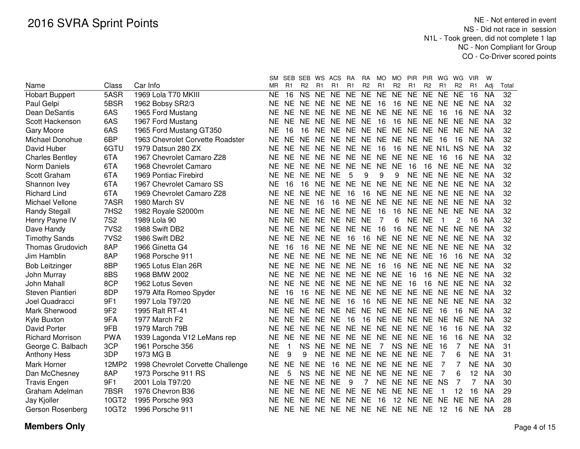| R <sub>1</sub><br>R <sub>1</sub><br>R <sub>2</sub><br>R <sub>1</sub><br>R <sub>2</sub><br>R <sub>1</sub><br>R <sub>2</sub><br>R <sub>1</sub><br>R <sub>2</sub><br>Class<br>Car Info<br>ΜR<br>R1<br>R2<br>R1<br>R <sub>1</sub><br>Adj<br>Total<br>5ASR<br>1969 Lola T70 MKIII<br>16<br><b>NS</b><br><b>NE</b><br><b>NE</b><br><b>NE</b><br><b>NE</b><br><b>NE</b><br><b>NE</b><br><b>NE</b><br><b>NE</b><br><b>NE</b><br><b>NE</b><br>32<br><b>Hobart Buppert</b><br><b>NE</b><br>16<br><b>NA</b><br>5BSR<br>32<br>1962 Bobsy SR2/3<br>NE NE<br>NE NE NE NE 16<br>16<br>NE NE NE<br>NE NE<br>Paul Gelpi<br>NE.<br>- NA<br>6AS<br>32<br>1965 Ford Mustang<br>NE.<br>NE.<br>NE.<br>NE NE<br>NE NE NE<br>NE.<br><b>NE</b><br>16<br>16<br>NE<br><b>NE</b><br>-NA<br>32<br>6AS<br>1967 Ford Mustang<br>NE NE<br><b>NE</b><br>ΝE<br><b>NE</b><br>NE.<br><b>NE</b><br><b>NE</b><br>16<br>16<br>NE NE<br><b>NE</b><br>NA<br>NE.<br>6AS<br>1965 Ford Mustang GT350<br><b>NE</b><br>NE NE<br>NE NE<br><b>NE</b><br>NE NE<br>32<br>16<br>16<br>NE.<br>NE.<br><b>NE</b><br>NA<br>NE<br>6BP<br>32<br>1963 Chevrolet Corvette Roadster<br>NF<br>NE NE<br>NE.<br>NE NE<br>NE.<br>NE NE<br>NE.<br><b>NE</b><br>-16<br>16<br>NE.<br>-NA<br>6GTU<br>32<br>NE NE<br>NE NE NE<br><b>NE</b><br>NE NE N1L NS<br>1979 Datsun 280 ZX<br>ΝE<br>- 16<br>16<br>NE NA<br>6TA<br>NE NE NE<br>32<br>1967 Chevrolet Camaro Z28<br><b>NE</b><br>NE NE<br>NE NE NE<br><b>NE</b><br><b>NE</b><br>16<br>16<br>NE.<br>- NA<br>6TA<br>NE NE<br><b>NE</b><br>NE NE<br><b>NE</b><br><b>NE</b><br><b>NE</b><br>32<br>1968 Chevrolet Camaro<br><b>NE</b><br>16<br>16<br>NE.<br><b>NE</b><br>NE NA<br>6TA<br><b>NE</b><br><b>NE</b><br><b>NE</b><br><b>NE</b><br>5<br>9<br>9<br><b>NE</b><br>NE NE<br>32<br>1969 Pontiac Firebird<br><b>NE</b><br>9<br><b>NE</b><br>NE.<br>NA<br>6TA<br><b>NE</b><br><b>NE</b><br><b>NE</b><br><b>NE</b><br><b>NE</b><br><b>NE</b><br><b>NE</b><br><b>NE</b><br>NE NE<br><b>NE</b><br>NE NA<br>32<br>1967 Chevrolet Camaro SS<br>16<br>16<br>6TA<br>1969 Chevrolet Camaro Z28<br><b>NE</b><br><b>NE</b><br><b>NE</b><br><b>NE</b><br><b>NE</b><br>16<br>16<br><b>NE</b><br><b>NE</b><br><b>NE</b><br>NE NE<br><b>NE</b><br>NE NA<br>32<br>7ASR<br><b>NE</b><br>32<br>1980 March SV<br><b>NE</b><br><b>NE</b><br><b>NE</b><br>16<br>16<br><b>NE</b><br><b>NE</b><br><b>NE</b><br><b>NE</b><br><b>NE</b><br><b>NE</b><br><b>NE</b><br><b>NE</b><br>-NA<br>7HS <sub>2</sub><br><b>NE</b><br><b>NE</b><br>16<br>16<br><b>NE</b><br>32<br>1982 Royale S2000m<br><b>NE</b><br><b>NE</b><br>NE NE<br><b>NE</b><br><b>NE</b><br><b>NE</b><br><b>NE</b><br><b>NE</b><br>-NA<br><b>7S2</b><br>32<br>NE NE<br><b>NE</b><br>NE NE<br><b>NE</b><br>7<br>6<br><b>NE</b><br><b>NE</b><br>1989 Lola 90<br>ΝE<br>2<br>16<br>NA.<br>7VS <sub>2</sub><br>32<br>1988 Swift DB2<br>NE NE<br><b>NE</b><br>NE NE<br><b>NE</b><br>16<br>16<br><b>NE</b><br>NE NE<br><b>NE</b><br><b>NE</b><br>NE.<br>- NA<br>7VS <sub>2</sub><br>NE.<br><b>NE</b><br>16<br>NE NE<br>NE NE<br>32<br>1986 Swift DB2<br><b>NE</b><br>NE.<br>NE.<br>16<br>NE.<br>NE.<br>NE.<br>- NA<br>NE NE<br><b>NE</b><br>NE NE<br>8AP<br>1966 Ginetta G4<br><b>NE</b><br><b>NE</b><br>NE NE<br>32<br><b>NE</b><br>16<br>16<br><b>NE</b><br>NE NA<br>8AP<br>NE NE<br>NE NE<br>NE NE NE<br>32<br>1968 Porsche 911<br><b>NE</b><br><b>NE</b><br><b>NE</b><br><b>NE</b><br>-16<br>16<br>NE NA<br>8BP<br><b>NE</b><br>NE NE<br>32<br>1965 Lotus Elan 26R<br><b>NE</b><br>NE.<br>NE.<br><b>NE</b><br>16<br>16<br>NE<br>NE.<br>NE.<br>NE.<br>NE.<br>-NA<br>8BS<br>1968 BMW 2002<br>NE NE<br><b>NE</b><br>NE NE<br><b>NE</b><br>NE NE<br>16<br>NE.<br>32<br><b>NE</b><br>16<br><b>NE</b><br>NE NA<br>8CP<br>NE NE<br>NE NE NE NE NE<br>32<br><b>NE</b><br><b>NE</b><br>16<br>16<br>NE.<br><b>NE</b><br>1962 Lotus Seven<br>NE NA<br>8DP<br>NE NE<br>NE NE NE NE NE NE<br>32<br>1979 Alfa Romeo Spyder<br><b>NE</b><br>16<br>16<br><b>NE</b><br><b>NE</b><br>NE NA<br>32<br>9F1<br><b>NE</b><br>NE NE<br><b>NE</b><br><b>NE</b><br>16<br>16<br>NE NE<br>NE NE NE<br><b>NE</b><br>1997 Lola T97/20<br>NE NA<br><b>NE</b><br>32<br>9F <sub>2</sub><br>1995 Ralt RT-41<br><b>NE</b><br><b>NE</b><br><b>NE</b><br><b>NE</b><br>NE NE<br>NE NE<br><b>NE</b><br><b>NE</b><br>16<br>16<br>NE.<br>NA<br><b>NE</b><br><b>NE</b><br>NE NE<br><b>NE</b><br>32<br>9FA<br>1977 March F2<br><b>NE</b><br><b>NE</b><br><b>NE</b><br>16<br>16<br><b>NE</b><br><b>NE</b><br><b>NE</b><br><b>NE</b><br><b>NA</b><br>32<br>9FB<br>1979 March 79B<br><b>NE</b><br>NE NE<br><b>NE</b><br>NE NE<br><b>NE</b><br>NE NE<br><b>NE</b><br><b>NE</b><br>16<br><b>NE</b><br>16<br>-NA<br><b>PWA</b><br>NE NE<br><b>NE</b><br>NE NE NE NE<br>32<br>1939 Lagonda V12 LeMans rep<br><b>NE</b><br>NE.<br>NE.<br><b>NE</b><br>-16<br>16<br>NE NA<br>3CP<br><b>NE</b><br><b>NS</b><br><b>NE</b><br>NE NE<br><b>NE</b><br>$\overline{7}$<br>NS NE NE<br>16<br>7<br><b>NE</b><br>31<br>1961 Porsche 356<br><b>NA</b><br>$\mathbf{1}$<br>3DP<br><b>NE</b><br>9<br><b>NE</b><br>NE NE<br><b>NE</b><br>7<br><b>NE</b><br>31<br>9<br>NE NE NE NE<br>6<br><b>NA</b><br>1973 MG B<br>12MP2<br>1998 Chevrolet Corvette Challenge<br>NF<br><b>NE</b><br>NF.<br>NE.<br>16<br>NE.<br>NE.<br>NE NE<br>NE NE<br>NE.<br><b>NA</b><br>30<br>7<br>8AP<br><b>NS</b><br><b>NE</b><br>12<br>30<br>1973 Porsche 911 RS<br>NE<br>5<br>NE<br>NE.<br><b>NE</b><br>NE NE NE NE<br>7<br><b>NA</b><br>6<br><b>NE</b><br><b>NE</b><br>NE NE<br><b>NE</b><br>NE NS<br>7 |                         |     |                  | SМ | SEB SEB   | WS ACS |           | <b>RA</b> | RA | MO. | MO | <b>PIR</b> | <b>PIR</b> | WG | WG. | <b>VIR</b> | W         |    |
|------------------------------------------------------------------------------------------------------------------------------------------------------------------------------------------------------------------------------------------------------------------------------------------------------------------------------------------------------------------------------------------------------------------------------------------------------------------------------------------------------------------------------------------------------------------------------------------------------------------------------------------------------------------------------------------------------------------------------------------------------------------------------------------------------------------------------------------------------------------------------------------------------------------------------------------------------------------------------------------------------------------------------------------------------------------------------------------------------------------------------------------------------------------------------------------------------------------------------------------------------------------------------------------------------------------------------------------------------------------------------------------------------------------------------------------------------------------------------------------------------------------------------------------------------------------------------------------------------------------------------------------------------------------------------------------------------------------------------------------------------------------------------------------------------------------------------------------------------------------------------------------------------------------------------------------------------------------------------------------------------------------------------------------------------------------------------------------------------------------------------------------------------------------------------------------------------------------------------------------------------------------------------------------------------------------------------------------------------------------------------------------------------------------------------------------------------------------------------------------------------------------------------------------------------------------------------------------------------------------------------------------------------------------------------------------------------------------------------------------------------------------------------------------------------------------------------------------------------------------------------------------------------------------------------------------------------------------------------------------------------------------------------------------------------------------------------------------------------------------------------------------------------------------------------------------------------------------------------------------------------------------------------------------------------------------------------------------------------------------------------------------------------------------------------------------------------------------------------------------------------------------------------------------------------------------------------------------------------------------------------------------------------------------------------------------------------------------------------------------------------------------------------------------------------------------------------------------------------------------------------------------------------------------------------------------------------------------------------------------------------------------------------------------------------------------------------------------------------------------------------------------------------------------------------------------------------------------------------------------------------------------------------------------------------------------------------------------------------------------------------------------------------------------------------------------------------------------------------------------------------------------------------------------------------------------------------------------------------------------------------------------------------------------------------------------------------------------------------------------------------------------------------------------------------------------------------------------------------------------------------------------------------------------------------------------------------------------------------------------------------------------------------------------------------------------------------------------------------------------------------------------------------------------------------------------------------------------------------------------------------------------------------------------------------------------------------------------------------------------------------------------------------------------------------------------------------------------------------------------------------------------------------|-------------------------|-----|------------------|----|-----------|--------|-----------|-----------|----|-----|----|------------|------------|----|-----|------------|-----------|----|
|                                                                                                                                                                                                                                                                                                                                                                                                                                                                                                                                                                                                                                                                                                                                                                                                                                                                                                                                                                                                                                                                                                                                                                                                                                                                                                                                                                                                                                                                                                                                                                                                                                                                                                                                                                                                                                                                                                                                                                                                                                                                                                                                                                                                                                                                                                                                                                                                                                                                                                                                                                                                                                                                                                                                                                                                                                                                                                                                                                                                                                                                                                                                                                                                                                                                                                                                                                                                                                                                                                                                                                                                                                                                                                                                                                                                                                                                                                                                                                                                                                                                                                                                                                                                                                                                                                                                                                                                                                                                                                                                                                                                                                                                                                                                                                                                                                                                                                                                                                                                                                                                                                                                                                                                                                                                                                                                                                                                                                                                                                                              | Name                    |     |                  |    |           |        |           |           |    |     |    |            |            |    |     |            |           |    |
|                                                                                                                                                                                                                                                                                                                                                                                                                                                                                                                                                                                                                                                                                                                                                                                                                                                                                                                                                                                                                                                                                                                                                                                                                                                                                                                                                                                                                                                                                                                                                                                                                                                                                                                                                                                                                                                                                                                                                                                                                                                                                                                                                                                                                                                                                                                                                                                                                                                                                                                                                                                                                                                                                                                                                                                                                                                                                                                                                                                                                                                                                                                                                                                                                                                                                                                                                                                                                                                                                                                                                                                                                                                                                                                                                                                                                                                                                                                                                                                                                                                                                                                                                                                                                                                                                                                                                                                                                                                                                                                                                                                                                                                                                                                                                                                                                                                                                                                                                                                                                                                                                                                                                                                                                                                                                                                                                                                                                                                                                                                              |                         |     |                  |    |           |        |           |           |    |     |    |            |            |    |     |            |           |    |
|                                                                                                                                                                                                                                                                                                                                                                                                                                                                                                                                                                                                                                                                                                                                                                                                                                                                                                                                                                                                                                                                                                                                                                                                                                                                                                                                                                                                                                                                                                                                                                                                                                                                                                                                                                                                                                                                                                                                                                                                                                                                                                                                                                                                                                                                                                                                                                                                                                                                                                                                                                                                                                                                                                                                                                                                                                                                                                                                                                                                                                                                                                                                                                                                                                                                                                                                                                                                                                                                                                                                                                                                                                                                                                                                                                                                                                                                                                                                                                                                                                                                                                                                                                                                                                                                                                                                                                                                                                                                                                                                                                                                                                                                                                                                                                                                                                                                                                                                                                                                                                                                                                                                                                                                                                                                                                                                                                                                                                                                                                                              |                         |     |                  |    |           |        |           |           |    |     |    |            |            |    |     |            |           |    |
|                                                                                                                                                                                                                                                                                                                                                                                                                                                                                                                                                                                                                                                                                                                                                                                                                                                                                                                                                                                                                                                                                                                                                                                                                                                                                                                                                                                                                                                                                                                                                                                                                                                                                                                                                                                                                                                                                                                                                                                                                                                                                                                                                                                                                                                                                                                                                                                                                                                                                                                                                                                                                                                                                                                                                                                                                                                                                                                                                                                                                                                                                                                                                                                                                                                                                                                                                                                                                                                                                                                                                                                                                                                                                                                                                                                                                                                                                                                                                                                                                                                                                                                                                                                                                                                                                                                                                                                                                                                                                                                                                                                                                                                                                                                                                                                                                                                                                                                                                                                                                                                                                                                                                                                                                                                                                                                                                                                                                                                                                                                              | Dean DeSantis           |     |                  |    |           |        |           |           |    |     |    |            |            |    |     |            |           |    |
|                                                                                                                                                                                                                                                                                                                                                                                                                                                                                                                                                                                                                                                                                                                                                                                                                                                                                                                                                                                                                                                                                                                                                                                                                                                                                                                                                                                                                                                                                                                                                                                                                                                                                                                                                                                                                                                                                                                                                                                                                                                                                                                                                                                                                                                                                                                                                                                                                                                                                                                                                                                                                                                                                                                                                                                                                                                                                                                                                                                                                                                                                                                                                                                                                                                                                                                                                                                                                                                                                                                                                                                                                                                                                                                                                                                                                                                                                                                                                                                                                                                                                                                                                                                                                                                                                                                                                                                                                                                                                                                                                                                                                                                                                                                                                                                                                                                                                                                                                                                                                                                                                                                                                                                                                                                                                                                                                                                                                                                                                                                              | Scott Hackenson         |     |                  |    |           |        |           |           |    |     |    |            |            |    |     |            |           |    |
|                                                                                                                                                                                                                                                                                                                                                                                                                                                                                                                                                                                                                                                                                                                                                                                                                                                                                                                                                                                                                                                                                                                                                                                                                                                                                                                                                                                                                                                                                                                                                                                                                                                                                                                                                                                                                                                                                                                                                                                                                                                                                                                                                                                                                                                                                                                                                                                                                                                                                                                                                                                                                                                                                                                                                                                                                                                                                                                                                                                                                                                                                                                                                                                                                                                                                                                                                                                                                                                                                                                                                                                                                                                                                                                                                                                                                                                                                                                                                                                                                                                                                                                                                                                                                                                                                                                                                                                                                                                                                                                                                                                                                                                                                                                                                                                                                                                                                                                                                                                                                                                                                                                                                                                                                                                                                                                                                                                                                                                                                                                              | <b>Gary Moore</b>       |     |                  |    |           |        |           |           |    |     |    |            |            |    |     |            |           |    |
|                                                                                                                                                                                                                                                                                                                                                                                                                                                                                                                                                                                                                                                                                                                                                                                                                                                                                                                                                                                                                                                                                                                                                                                                                                                                                                                                                                                                                                                                                                                                                                                                                                                                                                                                                                                                                                                                                                                                                                                                                                                                                                                                                                                                                                                                                                                                                                                                                                                                                                                                                                                                                                                                                                                                                                                                                                                                                                                                                                                                                                                                                                                                                                                                                                                                                                                                                                                                                                                                                                                                                                                                                                                                                                                                                                                                                                                                                                                                                                                                                                                                                                                                                                                                                                                                                                                                                                                                                                                                                                                                                                                                                                                                                                                                                                                                                                                                                                                                                                                                                                                                                                                                                                                                                                                                                                                                                                                                                                                                                                                              | Michael Donohue         |     |                  |    |           |        |           |           |    |     |    |            |            |    |     |            |           |    |
|                                                                                                                                                                                                                                                                                                                                                                                                                                                                                                                                                                                                                                                                                                                                                                                                                                                                                                                                                                                                                                                                                                                                                                                                                                                                                                                                                                                                                                                                                                                                                                                                                                                                                                                                                                                                                                                                                                                                                                                                                                                                                                                                                                                                                                                                                                                                                                                                                                                                                                                                                                                                                                                                                                                                                                                                                                                                                                                                                                                                                                                                                                                                                                                                                                                                                                                                                                                                                                                                                                                                                                                                                                                                                                                                                                                                                                                                                                                                                                                                                                                                                                                                                                                                                                                                                                                                                                                                                                                                                                                                                                                                                                                                                                                                                                                                                                                                                                                                                                                                                                                                                                                                                                                                                                                                                                                                                                                                                                                                                                                              | David Huber             |     |                  |    |           |        |           |           |    |     |    |            |            |    |     |            |           |    |
|                                                                                                                                                                                                                                                                                                                                                                                                                                                                                                                                                                                                                                                                                                                                                                                                                                                                                                                                                                                                                                                                                                                                                                                                                                                                                                                                                                                                                                                                                                                                                                                                                                                                                                                                                                                                                                                                                                                                                                                                                                                                                                                                                                                                                                                                                                                                                                                                                                                                                                                                                                                                                                                                                                                                                                                                                                                                                                                                                                                                                                                                                                                                                                                                                                                                                                                                                                                                                                                                                                                                                                                                                                                                                                                                                                                                                                                                                                                                                                                                                                                                                                                                                                                                                                                                                                                                                                                                                                                                                                                                                                                                                                                                                                                                                                                                                                                                                                                                                                                                                                                                                                                                                                                                                                                                                                                                                                                                                                                                                                                              | <b>Charles Bentley</b>  |     |                  |    |           |        |           |           |    |     |    |            |            |    |     |            |           |    |
|                                                                                                                                                                                                                                                                                                                                                                                                                                                                                                                                                                                                                                                                                                                                                                                                                                                                                                                                                                                                                                                                                                                                                                                                                                                                                                                                                                                                                                                                                                                                                                                                                                                                                                                                                                                                                                                                                                                                                                                                                                                                                                                                                                                                                                                                                                                                                                                                                                                                                                                                                                                                                                                                                                                                                                                                                                                                                                                                                                                                                                                                                                                                                                                                                                                                                                                                                                                                                                                                                                                                                                                                                                                                                                                                                                                                                                                                                                                                                                                                                                                                                                                                                                                                                                                                                                                                                                                                                                                                                                                                                                                                                                                                                                                                                                                                                                                                                                                                                                                                                                                                                                                                                                                                                                                                                                                                                                                                                                                                                                                              | Norm Daniels            |     |                  |    |           |        |           |           |    |     |    |            |            |    |     |            |           |    |
|                                                                                                                                                                                                                                                                                                                                                                                                                                                                                                                                                                                                                                                                                                                                                                                                                                                                                                                                                                                                                                                                                                                                                                                                                                                                                                                                                                                                                                                                                                                                                                                                                                                                                                                                                                                                                                                                                                                                                                                                                                                                                                                                                                                                                                                                                                                                                                                                                                                                                                                                                                                                                                                                                                                                                                                                                                                                                                                                                                                                                                                                                                                                                                                                                                                                                                                                                                                                                                                                                                                                                                                                                                                                                                                                                                                                                                                                                                                                                                                                                                                                                                                                                                                                                                                                                                                                                                                                                                                                                                                                                                                                                                                                                                                                                                                                                                                                                                                                                                                                                                                                                                                                                                                                                                                                                                                                                                                                                                                                                                                              | Scott Graham            |     |                  |    |           |        |           |           |    |     |    |            |            |    |     |            |           |    |
|                                                                                                                                                                                                                                                                                                                                                                                                                                                                                                                                                                                                                                                                                                                                                                                                                                                                                                                                                                                                                                                                                                                                                                                                                                                                                                                                                                                                                                                                                                                                                                                                                                                                                                                                                                                                                                                                                                                                                                                                                                                                                                                                                                                                                                                                                                                                                                                                                                                                                                                                                                                                                                                                                                                                                                                                                                                                                                                                                                                                                                                                                                                                                                                                                                                                                                                                                                                                                                                                                                                                                                                                                                                                                                                                                                                                                                                                                                                                                                                                                                                                                                                                                                                                                                                                                                                                                                                                                                                                                                                                                                                                                                                                                                                                                                                                                                                                                                                                                                                                                                                                                                                                                                                                                                                                                                                                                                                                                                                                                                                              | Shannon Ivey            |     |                  |    |           |        |           |           |    |     |    |            |            |    |     |            |           |    |
|                                                                                                                                                                                                                                                                                                                                                                                                                                                                                                                                                                                                                                                                                                                                                                                                                                                                                                                                                                                                                                                                                                                                                                                                                                                                                                                                                                                                                                                                                                                                                                                                                                                                                                                                                                                                                                                                                                                                                                                                                                                                                                                                                                                                                                                                                                                                                                                                                                                                                                                                                                                                                                                                                                                                                                                                                                                                                                                                                                                                                                                                                                                                                                                                                                                                                                                                                                                                                                                                                                                                                                                                                                                                                                                                                                                                                                                                                                                                                                                                                                                                                                                                                                                                                                                                                                                                                                                                                                                                                                                                                                                                                                                                                                                                                                                                                                                                                                                                                                                                                                                                                                                                                                                                                                                                                                                                                                                                                                                                                                                              | <b>Richard Lind</b>     |     |                  |    |           |        |           |           |    |     |    |            |            |    |     |            |           |    |
|                                                                                                                                                                                                                                                                                                                                                                                                                                                                                                                                                                                                                                                                                                                                                                                                                                                                                                                                                                                                                                                                                                                                                                                                                                                                                                                                                                                                                                                                                                                                                                                                                                                                                                                                                                                                                                                                                                                                                                                                                                                                                                                                                                                                                                                                                                                                                                                                                                                                                                                                                                                                                                                                                                                                                                                                                                                                                                                                                                                                                                                                                                                                                                                                                                                                                                                                                                                                                                                                                                                                                                                                                                                                                                                                                                                                                                                                                                                                                                                                                                                                                                                                                                                                                                                                                                                                                                                                                                                                                                                                                                                                                                                                                                                                                                                                                                                                                                                                                                                                                                                                                                                                                                                                                                                                                                                                                                                                                                                                                                                              | Michael Vellone         |     |                  |    |           |        |           |           |    |     |    |            |            |    |     |            |           |    |
|                                                                                                                                                                                                                                                                                                                                                                                                                                                                                                                                                                                                                                                                                                                                                                                                                                                                                                                                                                                                                                                                                                                                                                                                                                                                                                                                                                                                                                                                                                                                                                                                                                                                                                                                                                                                                                                                                                                                                                                                                                                                                                                                                                                                                                                                                                                                                                                                                                                                                                                                                                                                                                                                                                                                                                                                                                                                                                                                                                                                                                                                                                                                                                                                                                                                                                                                                                                                                                                                                                                                                                                                                                                                                                                                                                                                                                                                                                                                                                                                                                                                                                                                                                                                                                                                                                                                                                                                                                                                                                                                                                                                                                                                                                                                                                                                                                                                                                                                                                                                                                                                                                                                                                                                                                                                                                                                                                                                                                                                                                                              | <b>Randy Stegall</b>    |     |                  |    |           |        |           |           |    |     |    |            |            |    |     |            |           |    |
|                                                                                                                                                                                                                                                                                                                                                                                                                                                                                                                                                                                                                                                                                                                                                                                                                                                                                                                                                                                                                                                                                                                                                                                                                                                                                                                                                                                                                                                                                                                                                                                                                                                                                                                                                                                                                                                                                                                                                                                                                                                                                                                                                                                                                                                                                                                                                                                                                                                                                                                                                                                                                                                                                                                                                                                                                                                                                                                                                                                                                                                                                                                                                                                                                                                                                                                                                                                                                                                                                                                                                                                                                                                                                                                                                                                                                                                                                                                                                                                                                                                                                                                                                                                                                                                                                                                                                                                                                                                                                                                                                                                                                                                                                                                                                                                                                                                                                                                                                                                                                                                                                                                                                                                                                                                                                                                                                                                                                                                                                                                              | Henry Payne IV          |     |                  |    |           |        |           |           |    |     |    |            |            |    |     |            |           |    |
|                                                                                                                                                                                                                                                                                                                                                                                                                                                                                                                                                                                                                                                                                                                                                                                                                                                                                                                                                                                                                                                                                                                                                                                                                                                                                                                                                                                                                                                                                                                                                                                                                                                                                                                                                                                                                                                                                                                                                                                                                                                                                                                                                                                                                                                                                                                                                                                                                                                                                                                                                                                                                                                                                                                                                                                                                                                                                                                                                                                                                                                                                                                                                                                                                                                                                                                                                                                                                                                                                                                                                                                                                                                                                                                                                                                                                                                                                                                                                                                                                                                                                                                                                                                                                                                                                                                                                                                                                                                                                                                                                                                                                                                                                                                                                                                                                                                                                                                                                                                                                                                                                                                                                                                                                                                                                                                                                                                                                                                                                                                              | Dave Handy              |     |                  |    |           |        |           |           |    |     |    |            |            |    |     |            |           |    |
|                                                                                                                                                                                                                                                                                                                                                                                                                                                                                                                                                                                                                                                                                                                                                                                                                                                                                                                                                                                                                                                                                                                                                                                                                                                                                                                                                                                                                                                                                                                                                                                                                                                                                                                                                                                                                                                                                                                                                                                                                                                                                                                                                                                                                                                                                                                                                                                                                                                                                                                                                                                                                                                                                                                                                                                                                                                                                                                                                                                                                                                                                                                                                                                                                                                                                                                                                                                                                                                                                                                                                                                                                                                                                                                                                                                                                                                                                                                                                                                                                                                                                                                                                                                                                                                                                                                                                                                                                                                                                                                                                                                                                                                                                                                                                                                                                                                                                                                                                                                                                                                                                                                                                                                                                                                                                                                                                                                                                                                                                                                              | <b>Timothy Sands</b>    |     |                  |    |           |        |           |           |    |     |    |            |            |    |     |            |           |    |
|                                                                                                                                                                                                                                                                                                                                                                                                                                                                                                                                                                                                                                                                                                                                                                                                                                                                                                                                                                                                                                                                                                                                                                                                                                                                                                                                                                                                                                                                                                                                                                                                                                                                                                                                                                                                                                                                                                                                                                                                                                                                                                                                                                                                                                                                                                                                                                                                                                                                                                                                                                                                                                                                                                                                                                                                                                                                                                                                                                                                                                                                                                                                                                                                                                                                                                                                                                                                                                                                                                                                                                                                                                                                                                                                                                                                                                                                                                                                                                                                                                                                                                                                                                                                                                                                                                                                                                                                                                                                                                                                                                                                                                                                                                                                                                                                                                                                                                                                                                                                                                                                                                                                                                                                                                                                                                                                                                                                                                                                                                                              | <b>Thomas Grudovich</b> |     |                  |    |           |        |           |           |    |     |    |            |            |    |     |            |           |    |
|                                                                                                                                                                                                                                                                                                                                                                                                                                                                                                                                                                                                                                                                                                                                                                                                                                                                                                                                                                                                                                                                                                                                                                                                                                                                                                                                                                                                                                                                                                                                                                                                                                                                                                                                                                                                                                                                                                                                                                                                                                                                                                                                                                                                                                                                                                                                                                                                                                                                                                                                                                                                                                                                                                                                                                                                                                                                                                                                                                                                                                                                                                                                                                                                                                                                                                                                                                                                                                                                                                                                                                                                                                                                                                                                                                                                                                                                                                                                                                                                                                                                                                                                                                                                                                                                                                                                                                                                                                                                                                                                                                                                                                                                                                                                                                                                                                                                                                                                                                                                                                                                                                                                                                                                                                                                                                                                                                                                                                                                                                                              | Jim Hamblin             |     |                  |    |           |        |           |           |    |     |    |            |            |    |     |            |           |    |
|                                                                                                                                                                                                                                                                                                                                                                                                                                                                                                                                                                                                                                                                                                                                                                                                                                                                                                                                                                                                                                                                                                                                                                                                                                                                                                                                                                                                                                                                                                                                                                                                                                                                                                                                                                                                                                                                                                                                                                                                                                                                                                                                                                                                                                                                                                                                                                                                                                                                                                                                                                                                                                                                                                                                                                                                                                                                                                                                                                                                                                                                                                                                                                                                                                                                                                                                                                                                                                                                                                                                                                                                                                                                                                                                                                                                                                                                                                                                                                                                                                                                                                                                                                                                                                                                                                                                                                                                                                                                                                                                                                                                                                                                                                                                                                                                                                                                                                                                                                                                                                                                                                                                                                                                                                                                                                                                                                                                                                                                                                                              | <b>Bob Leitzinger</b>   |     |                  |    |           |        |           |           |    |     |    |            |            |    |     |            |           |    |
|                                                                                                                                                                                                                                                                                                                                                                                                                                                                                                                                                                                                                                                                                                                                                                                                                                                                                                                                                                                                                                                                                                                                                                                                                                                                                                                                                                                                                                                                                                                                                                                                                                                                                                                                                                                                                                                                                                                                                                                                                                                                                                                                                                                                                                                                                                                                                                                                                                                                                                                                                                                                                                                                                                                                                                                                                                                                                                                                                                                                                                                                                                                                                                                                                                                                                                                                                                                                                                                                                                                                                                                                                                                                                                                                                                                                                                                                                                                                                                                                                                                                                                                                                                                                                                                                                                                                                                                                                                                                                                                                                                                                                                                                                                                                                                                                                                                                                                                                                                                                                                                                                                                                                                                                                                                                                                                                                                                                                                                                                                                              | John Murray             |     |                  |    |           |        |           |           |    |     |    |            |            |    |     |            |           |    |
|                                                                                                                                                                                                                                                                                                                                                                                                                                                                                                                                                                                                                                                                                                                                                                                                                                                                                                                                                                                                                                                                                                                                                                                                                                                                                                                                                                                                                                                                                                                                                                                                                                                                                                                                                                                                                                                                                                                                                                                                                                                                                                                                                                                                                                                                                                                                                                                                                                                                                                                                                                                                                                                                                                                                                                                                                                                                                                                                                                                                                                                                                                                                                                                                                                                                                                                                                                                                                                                                                                                                                                                                                                                                                                                                                                                                                                                                                                                                                                                                                                                                                                                                                                                                                                                                                                                                                                                                                                                                                                                                                                                                                                                                                                                                                                                                                                                                                                                                                                                                                                                                                                                                                                                                                                                                                                                                                                                                                                                                                                                              | John Mahall             |     |                  |    |           |        |           |           |    |     |    |            |            |    |     |            |           |    |
|                                                                                                                                                                                                                                                                                                                                                                                                                                                                                                                                                                                                                                                                                                                                                                                                                                                                                                                                                                                                                                                                                                                                                                                                                                                                                                                                                                                                                                                                                                                                                                                                                                                                                                                                                                                                                                                                                                                                                                                                                                                                                                                                                                                                                                                                                                                                                                                                                                                                                                                                                                                                                                                                                                                                                                                                                                                                                                                                                                                                                                                                                                                                                                                                                                                                                                                                                                                                                                                                                                                                                                                                                                                                                                                                                                                                                                                                                                                                                                                                                                                                                                                                                                                                                                                                                                                                                                                                                                                                                                                                                                                                                                                                                                                                                                                                                                                                                                                                                                                                                                                                                                                                                                                                                                                                                                                                                                                                                                                                                                                              | Steven Piantieri        |     |                  |    |           |        |           |           |    |     |    |            |            |    |     |            |           |    |
|                                                                                                                                                                                                                                                                                                                                                                                                                                                                                                                                                                                                                                                                                                                                                                                                                                                                                                                                                                                                                                                                                                                                                                                                                                                                                                                                                                                                                                                                                                                                                                                                                                                                                                                                                                                                                                                                                                                                                                                                                                                                                                                                                                                                                                                                                                                                                                                                                                                                                                                                                                                                                                                                                                                                                                                                                                                                                                                                                                                                                                                                                                                                                                                                                                                                                                                                                                                                                                                                                                                                                                                                                                                                                                                                                                                                                                                                                                                                                                                                                                                                                                                                                                                                                                                                                                                                                                                                                                                                                                                                                                                                                                                                                                                                                                                                                                                                                                                                                                                                                                                                                                                                                                                                                                                                                                                                                                                                                                                                                                                              | Joel Quadracci          |     |                  |    |           |        |           |           |    |     |    |            |            |    |     |            |           |    |
|                                                                                                                                                                                                                                                                                                                                                                                                                                                                                                                                                                                                                                                                                                                                                                                                                                                                                                                                                                                                                                                                                                                                                                                                                                                                                                                                                                                                                                                                                                                                                                                                                                                                                                                                                                                                                                                                                                                                                                                                                                                                                                                                                                                                                                                                                                                                                                                                                                                                                                                                                                                                                                                                                                                                                                                                                                                                                                                                                                                                                                                                                                                                                                                                                                                                                                                                                                                                                                                                                                                                                                                                                                                                                                                                                                                                                                                                                                                                                                                                                                                                                                                                                                                                                                                                                                                                                                                                                                                                                                                                                                                                                                                                                                                                                                                                                                                                                                                                                                                                                                                                                                                                                                                                                                                                                                                                                                                                                                                                                                                              | Mark Sherwood           |     |                  |    |           |        |           |           |    |     |    |            |            |    |     |            |           |    |
|                                                                                                                                                                                                                                                                                                                                                                                                                                                                                                                                                                                                                                                                                                                                                                                                                                                                                                                                                                                                                                                                                                                                                                                                                                                                                                                                                                                                                                                                                                                                                                                                                                                                                                                                                                                                                                                                                                                                                                                                                                                                                                                                                                                                                                                                                                                                                                                                                                                                                                                                                                                                                                                                                                                                                                                                                                                                                                                                                                                                                                                                                                                                                                                                                                                                                                                                                                                                                                                                                                                                                                                                                                                                                                                                                                                                                                                                                                                                                                                                                                                                                                                                                                                                                                                                                                                                                                                                                                                                                                                                                                                                                                                                                                                                                                                                                                                                                                                                                                                                                                                                                                                                                                                                                                                                                                                                                                                                                                                                                                                              | Kyle Buxton             |     |                  |    |           |        |           |           |    |     |    |            |            |    |     |            |           |    |
|                                                                                                                                                                                                                                                                                                                                                                                                                                                                                                                                                                                                                                                                                                                                                                                                                                                                                                                                                                                                                                                                                                                                                                                                                                                                                                                                                                                                                                                                                                                                                                                                                                                                                                                                                                                                                                                                                                                                                                                                                                                                                                                                                                                                                                                                                                                                                                                                                                                                                                                                                                                                                                                                                                                                                                                                                                                                                                                                                                                                                                                                                                                                                                                                                                                                                                                                                                                                                                                                                                                                                                                                                                                                                                                                                                                                                                                                                                                                                                                                                                                                                                                                                                                                                                                                                                                                                                                                                                                                                                                                                                                                                                                                                                                                                                                                                                                                                                                                                                                                                                                                                                                                                                                                                                                                                                                                                                                                                                                                                                                              | David Porter            |     |                  |    |           |        |           |           |    |     |    |            |            |    |     |            |           |    |
|                                                                                                                                                                                                                                                                                                                                                                                                                                                                                                                                                                                                                                                                                                                                                                                                                                                                                                                                                                                                                                                                                                                                                                                                                                                                                                                                                                                                                                                                                                                                                                                                                                                                                                                                                                                                                                                                                                                                                                                                                                                                                                                                                                                                                                                                                                                                                                                                                                                                                                                                                                                                                                                                                                                                                                                                                                                                                                                                                                                                                                                                                                                                                                                                                                                                                                                                                                                                                                                                                                                                                                                                                                                                                                                                                                                                                                                                                                                                                                                                                                                                                                                                                                                                                                                                                                                                                                                                                                                                                                                                                                                                                                                                                                                                                                                                                                                                                                                                                                                                                                                                                                                                                                                                                                                                                                                                                                                                                                                                                                                              | <b>Richard Morrison</b> |     |                  |    |           |        |           |           |    |     |    |            |            |    |     |            |           |    |
|                                                                                                                                                                                                                                                                                                                                                                                                                                                                                                                                                                                                                                                                                                                                                                                                                                                                                                                                                                                                                                                                                                                                                                                                                                                                                                                                                                                                                                                                                                                                                                                                                                                                                                                                                                                                                                                                                                                                                                                                                                                                                                                                                                                                                                                                                                                                                                                                                                                                                                                                                                                                                                                                                                                                                                                                                                                                                                                                                                                                                                                                                                                                                                                                                                                                                                                                                                                                                                                                                                                                                                                                                                                                                                                                                                                                                                                                                                                                                                                                                                                                                                                                                                                                                                                                                                                                                                                                                                                                                                                                                                                                                                                                                                                                                                                                                                                                                                                                                                                                                                                                                                                                                                                                                                                                                                                                                                                                                                                                                                                              | George C. Balbach       |     |                  |    |           |        |           |           |    |     |    |            |            |    |     |            |           |    |
|                                                                                                                                                                                                                                                                                                                                                                                                                                                                                                                                                                                                                                                                                                                                                                                                                                                                                                                                                                                                                                                                                                                                                                                                                                                                                                                                                                                                                                                                                                                                                                                                                                                                                                                                                                                                                                                                                                                                                                                                                                                                                                                                                                                                                                                                                                                                                                                                                                                                                                                                                                                                                                                                                                                                                                                                                                                                                                                                                                                                                                                                                                                                                                                                                                                                                                                                                                                                                                                                                                                                                                                                                                                                                                                                                                                                                                                                                                                                                                                                                                                                                                                                                                                                                                                                                                                                                                                                                                                                                                                                                                                                                                                                                                                                                                                                                                                                                                                                                                                                                                                                                                                                                                                                                                                                                                                                                                                                                                                                                                                              | <b>Anthony Hess</b>     |     |                  |    |           |        |           |           |    |     |    |            |            |    |     |            |           |    |
|                                                                                                                                                                                                                                                                                                                                                                                                                                                                                                                                                                                                                                                                                                                                                                                                                                                                                                                                                                                                                                                                                                                                                                                                                                                                                                                                                                                                                                                                                                                                                                                                                                                                                                                                                                                                                                                                                                                                                                                                                                                                                                                                                                                                                                                                                                                                                                                                                                                                                                                                                                                                                                                                                                                                                                                                                                                                                                                                                                                                                                                                                                                                                                                                                                                                                                                                                                                                                                                                                                                                                                                                                                                                                                                                                                                                                                                                                                                                                                                                                                                                                                                                                                                                                                                                                                                                                                                                                                                                                                                                                                                                                                                                                                                                                                                                                                                                                                                                                                                                                                                                                                                                                                                                                                                                                                                                                                                                                                                                                                                              | Mark Horner             |     |                  |    |           |        |           |           |    |     |    |            |            |    |     |            |           |    |
|                                                                                                                                                                                                                                                                                                                                                                                                                                                                                                                                                                                                                                                                                                                                                                                                                                                                                                                                                                                                                                                                                                                                                                                                                                                                                                                                                                                                                                                                                                                                                                                                                                                                                                                                                                                                                                                                                                                                                                                                                                                                                                                                                                                                                                                                                                                                                                                                                                                                                                                                                                                                                                                                                                                                                                                                                                                                                                                                                                                                                                                                                                                                                                                                                                                                                                                                                                                                                                                                                                                                                                                                                                                                                                                                                                                                                                                                                                                                                                                                                                                                                                                                                                                                                                                                                                                                                                                                                                                                                                                                                                                                                                                                                                                                                                                                                                                                                                                                                                                                                                                                                                                                                                                                                                                                                                                                                                                                                                                                                                                              | Dan McChesney           |     |                  |    |           |        |           |           |    |     |    |            |            |    |     |            |           |    |
|                                                                                                                                                                                                                                                                                                                                                                                                                                                                                                                                                                                                                                                                                                                                                                                                                                                                                                                                                                                                                                                                                                                                                                                                                                                                                                                                                                                                                                                                                                                                                                                                                                                                                                                                                                                                                                                                                                                                                                                                                                                                                                                                                                                                                                                                                                                                                                                                                                                                                                                                                                                                                                                                                                                                                                                                                                                                                                                                                                                                                                                                                                                                                                                                                                                                                                                                                                                                                                                                                                                                                                                                                                                                                                                                                                                                                                                                                                                                                                                                                                                                                                                                                                                                                                                                                                                                                                                                                                                                                                                                                                                                                                                                                                                                                                                                                                                                                                                                                                                                                                                                                                                                                                                                                                                                                                                                                                                                                                                                                                                              | <b>Travis Engen</b>     | 9F1 | 2001 Lola T97/20 | ΝE | <b>NE</b> |        | <b>NE</b> | 9         |    |     |    |            |            |    |     | 7          | <b>NA</b> | 30 |
| <b>NE</b><br>7BSR<br>1976 Chevron B36<br>NE.<br><b>NE</b><br>NE NE<br><b>NE</b><br>NE NE<br><b>NE</b><br><b>NE</b><br>12<br>29<br>NE<br>16<br>NA.                                                                                                                                                                                                                                                                                                                                                                                                                                                                                                                                                                                                                                                                                                                                                                                                                                                                                                                                                                                                                                                                                                                                                                                                                                                                                                                                                                                                                                                                                                                                                                                                                                                                                                                                                                                                                                                                                                                                                                                                                                                                                                                                                                                                                                                                                                                                                                                                                                                                                                                                                                                                                                                                                                                                                                                                                                                                                                                                                                                                                                                                                                                                                                                                                                                                                                                                                                                                                                                                                                                                                                                                                                                                                                                                                                                                                                                                                                                                                                                                                                                                                                                                                                                                                                                                                                                                                                                                                                                                                                                                                                                                                                                                                                                                                                                                                                                                                                                                                                                                                                                                                                                                                                                                                                                                                                                                                                            | Graham Adelman          |     |                  |    |           |        |           |           |    |     |    |            |            |    |     |            |           |    |
| 10GT2<br>NE.<br>NF.<br>1995 Porsche 993<br>NE.<br>NE NE<br>NE.<br>-16<br>12 <sup>°</sup><br><b>NE</b><br>NE.<br>NF.<br>NF.<br><b>NE</b><br>NA<br>28<br>NE                                                                                                                                                                                                                                                                                                                                                                                                                                                                                                                                                                                                                                                                                                                                                                                                                                                                                                                                                                                                                                                                                                                                                                                                                                                                                                                                                                                                                                                                                                                                                                                                                                                                                                                                                                                                                                                                                                                                                                                                                                                                                                                                                                                                                                                                                                                                                                                                                                                                                                                                                                                                                                                                                                                                                                                                                                                                                                                                                                                                                                                                                                                                                                                                                                                                                                                                                                                                                                                                                                                                                                                                                                                                                                                                                                                                                                                                                                                                                                                                                                                                                                                                                                                                                                                                                                                                                                                                                                                                                                                                                                                                                                                                                                                                                                                                                                                                                                                                                                                                                                                                                                                                                                                                                                                                                                                                                                    | Jay Kjoller             |     |                  |    |           |        |           |           |    |     |    |            |            |    |     |            |           |    |
| 10GT2<br>NE NE NE NE NE NE NE NE NE NE 12<br>16<br>28<br>1996 Porsche 911<br>NE.<br>NE NA                                                                                                                                                                                                                                                                                                                                                                                                                                                                                                                                                                                                                                                                                                                                                                                                                                                                                                                                                                                                                                                                                                                                                                                                                                                                                                                                                                                                                                                                                                                                                                                                                                                                                                                                                                                                                                                                                                                                                                                                                                                                                                                                                                                                                                                                                                                                                                                                                                                                                                                                                                                                                                                                                                                                                                                                                                                                                                                                                                                                                                                                                                                                                                                                                                                                                                                                                                                                                                                                                                                                                                                                                                                                                                                                                                                                                                                                                                                                                                                                                                                                                                                                                                                                                                                                                                                                                                                                                                                                                                                                                                                                                                                                                                                                                                                                                                                                                                                                                                                                                                                                                                                                                                                                                                                                                                                                                                                                                                    | Gerson Rosenberg        |     |                  |    |           |        |           |           |    |     |    |            |            |    |     |            |           |    |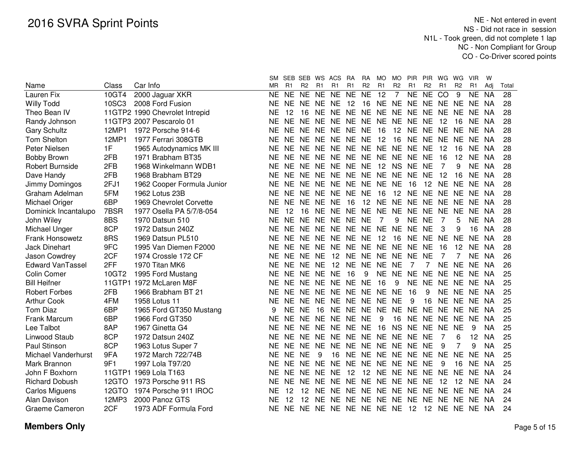|                         |        |                                | SM.       |                | SEB SEB WS ACS |           |                            | <b>RA</b> | <b>RA</b>         | <b>MO</b> | <b>MO</b>      | <b>PIR</b>        | <b>PIR</b>     | WG        | WG             | <b>VIR</b> | W         |       |
|-------------------------|--------|--------------------------------|-----------|----------------|----------------|-----------|----------------------------|-----------|-------------------|-----------|----------------|-------------------|----------------|-----------|----------------|------------|-----------|-------|
| Name                    | Class  | Car Info                       | <b>MR</b> | R <sub>1</sub> | R <sub>2</sub> | R1        | R1                         | R1        | R <sub>2</sub>    | R1        | R <sub>2</sub> | R1                | R <sub>2</sub> | R1        | R <sub>2</sub> | R1         | Adi       | Total |
| Lauren Fix              | 10GT4  | 2000 Jaguar XKR                | <b>NE</b> | <b>NE</b>      | N <sub>E</sub> | <b>NE</b> | <b>NE</b>                  | <b>NE</b> | $\overline{NE}$   | 12        | $\overline{7}$ | NE                | <b>NE</b>      | CO        | 9              | <b>NE</b>  | <b>NA</b> | 28    |
| <b>Willy Todd</b>       | 10SC3  | 2008 Ford Fusion               | ΝE        | NE NE          |                | NE NE     |                            | 12        | 16                |           |                | NE NE NE NE NE NE |                |           |                | NE NA      |           | 28    |
| Theo Bean IV            |        | 11GTP2 1990 Chevrolet Intrepid | ΝE        | 12             | 16             |           | NE NE NE                   |           | <b>NE</b>         |           |                | NE NE NE NE       |                | NE NE     |                | <b>NE</b>  | - NA      | 28    |
| Randy Johnson           |        | 11GTP3 2007 Pescarolo 01       | <b>NE</b> | NE NE          |                | <b>NE</b> | NE NE                      |           | <b>NE</b>         |           |                | NE NE NE NE       |                | 12        | 16             | NE.        | NA        | 28    |
| <b>Gary Schultz</b>     | 12MP1  | 1972 Porsche 914-6             | ΝE        | NE NE          |                | <b>NE</b> | NE NE                      |           | <b>NE</b>         | -16       |                | 12 NE             | <b>NE</b>      | <b>NE</b> | <b>NE</b>      | <b>NE</b>  | NA        | 28    |
| Tom Shelton             | 12MP1  | 1977 Ferrari 308GTB            | ΝE        | NE NE          |                | <b>NE</b> | NE NE                      |           | <b>NE</b>         | 12        | 16             | <b>NE</b>         | <b>NE</b>      | <b>NE</b> | <b>NE</b>      | <b>NE</b>  | NA        | 28    |
| Peter Nielsen           | 1F     | 1965 Autodynamics MK III       | ΝE        | NE NE          |                | <b>NE</b> | NE NE                      |           | <b>NE</b>         |           | NE NE NE       |                   | <b>NE</b>      | 12        | 16             | <b>NE</b>  | NA        | 28    |
| <b>Bobby Brown</b>      | 2FB    | 1971 Brabham BT35              | ΝE        | NE NE          |                | <b>NE</b> | NE NE NE                   |           |                   |           | NE NE NE       |                   | <b>NE</b>      | 16        | 12             | <b>NE</b>  | NA        | 28    |
| <b>Robert Burnside</b>  | 2FB    | 1968 Winkelmann WDB1           | ΝE        |                | NE NE          | <b>NE</b> | NE NE NE                   |           |                   | 12        | NS NE          |                   | <b>NE</b>      | 7         | 9              | NE.        | NA        | 28    |
| Dave Handy              | 2FB    | 1968 Brabham BT29              | NΕ        |                |                |           | NE NE NE NE NE NE NE NE NE |           |                   |           |                |                   | <b>NE</b>      | 12        | 16             | NE NA      |           | 28    |
| Jimmy Domingos          | 2FJ1   | 1962 Cooper Formula Junior     | NE        |                | NE NE          |           | NE NE NE NE NE NE          |           |                   |           |                | 16                | 12             | NE.       | <b>NE</b>      | NE.        | - NA      | 28    |
| Graham Adelman          | 5FM    | 1962 Lotus 23B                 | ΝE        |                | NE NE          |           | NE NE NE NE                |           |                   | - 16      |                | 12 NE             | NE NE NE       |           |                | NE.        | - NA      | 28    |
| Michael Origer          | 6BP    | 1969 Chevrolet Corvette        | ΝE        |                | NE NE          | NE NE     |                            | 16        | $12 \overline{ }$ |           |                | NE NE NE NE NE    |                |           | <b>NE</b>      | NE NA      |           | 28    |
| Dominick Incantalupo    | 7BSR   | 1977 Osella PA 5/7/8-054       | <b>NE</b> | 12             | 16             |           | NE NE NE NE NE NE NE NE    |           |                   |           |                |                   |                | <b>NE</b> | <b>NE</b>      | NE NA      |           | 28    |
| John Wiley              | 8BS    | 1970 Datsun 510                | ΝE        |                | NE NE          | NE.       | NE NE                      |           | <b>NE</b>         | -7        | 9              | NE NE             |                | 7         | 5              |            | NE NA     | 28    |
| Michael Unger           | 8CP    | 1972 Datsun 240Z               | <b>NE</b> | NE NE          |                | NE.       | NE NE                      |           |                   | NE NE NE  |                | <b>NE</b>         | <b>NE</b>      | 3         | 9              | 16         | <b>NA</b> | 28    |
| Frank Honsowetz         | 8RS    | 1969 Datsun PL510              | <b>NE</b> | NE NE          |                | <b>NE</b> | NE NE                      |           | <b>NE</b>         | 12        | 16             | NE NE             |                | <b>NE</b> | <b>NE</b>      | NE.        | <b>NA</b> | 28    |
| <b>Jack Dinehart</b>    | 9FC    | 1995 Van Diemen F2000          | <b>NE</b> | NE.            | <b>NE</b>      | <b>NE</b> | <b>NE</b>                  | NE.       | <b>NE</b>         | NE NE     |                | <b>NE</b>         | <b>NE</b>      | 16        | 12             | <b>NE</b>  | <b>NA</b> | 28    |
| Jason Cowdrey           | 2CF    | 1974 Crossle 172 CF            | <b>NE</b> | <b>NE</b>      | <b>NE</b>      | <b>NE</b> | 12                         | NE        | <b>NE</b>         | NE NE     |                | <b>NE</b>         | <b>NE</b>      | 7         |                | <b>NE</b>  | <b>NA</b> | 26    |
| <b>Edward VanTassel</b> | 2FF    | 1970 Titan MK6                 | <b>NE</b> | <b>NE</b>      | <b>NE</b>      | <b>NE</b> | 12                         | <b>NE</b> | <b>NE</b>         | <b>NE</b> | <b>NE</b>      | 7                 | 7              | <b>NE</b> | <b>NE</b>      | <b>NE</b>  | <b>NA</b> | 26    |
| Colin Comer             | 10GT2  | 1995 Ford Mustang              | ΝE        | <b>NE</b>      | <b>NE</b>      | <b>NE</b> | <b>NE</b>                  | 16        | 9                 | <b>NE</b> | <b>NE</b>      | <b>NE</b>         | <b>NE</b>      | <b>NE</b> | <b>NE</b>      | <b>NE</b>  | <b>NA</b> | 25    |
| <b>Bill Heifner</b>     |        | 11GTP1 1972 McLaren M8F        | ΝE        | <b>NE</b>      | <b>NE</b>      | <b>NE</b> | <b>NE</b>                  | <b>NE</b> | <b>NE</b>         | 16        | 9              | <b>NE</b>         | <b>NE</b>      | <b>NE</b> | <b>NE</b>      | <b>NE</b>  | NA        | 25    |
| <b>Robert Forbes</b>    | 2FB    | 1966 Brabham BT 21             | ΝE        | <b>NE</b>      | <b>NE</b>      | <b>NE</b> | <b>NE</b>                  | <b>NE</b> | <b>NE</b>         | <b>NE</b> | <b>NE</b>      | 16                | 9              | <b>NE</b> | <b>NE</b>      | <b>NE</b>  | NA        | 25    |
| <b>Arthur Cook</b>      | 4FM    | 1958 Lotus 11                  | <b>NE</b> | <b>NE</b>      | <b>NE</b>      | <b>NE</b> | NE NE                      |           | <b>NE</b>         | <b>NE</b> | <b>NE</b>      | 9                 | 16             | <b>NE</b> | <b>NE</b>      | <b>NE</b>  | NA        | 25    |
| <b>Tom Diaz</b>         | 6BP    | 1965 Ford GT350 Mustang        | 9         | <b>NE</b>      | <b>NE</b>      | 16        | NE NE                      |           | <b>NE</b>         | <b>NE</b> | <b>NE</b>      | <b>NE</b>         | <b>NE</b>      | <b>NE</b> | <b>NE</b>      | <b>NE</b>  | NA        | 25    |
| Frank Marcum            | 6BP    | 1966 Ford GT350                | <b>NE</b> | NE.            | <b>NE</b>      | <b>NE</b> | NE NE                      |           | <b>NE</b>         | 9         | 16             | <b>NE</b>         | NE NE          |           | <b>NE</b>      | <b>NE</b>  | NA        | 25    |
| Lee Talbot              | 8AP    | 1967 Ginetta G4                | ΝE        | NE NE          |                | <b>NE</b> | NE NE                      |           | <b>NE</b>         | 16        | <b>NS</b>      | <b>NE</b>         | <b>NE</b>      | <b>NE</b> | <b>NE</b>      | 9          | ΝA        | 25    |
| Linwood Staub           | 8CP    | 1972 Datsun 240Z               | <b>NE</b> | NE NE          |                | <b>NE</b> | NE NE                      |           | <b>NE</b>         |           | NE NE NE       |                   | <b>NE</b>      | 7         | 6              | 12         | <b>NA</b> | 25    |
| Paul Stinson            | 8CP    | 1963 Lotus Super 7             | <b>NE</b> | NE NE          |                | <b>NE</b> | NE NE                      |           | <b>NE</b>         |           | NE NE NE       |                   | <b>NE</b>      | 9         | 7              | 9          | <b>NA</b> | 25    |
| Michael Vanderhurst     | 9FA    | 1972 March 722/74B             | NE        | NE NE          |                | 9         | 16                         | <b>NE</b> | <b>NE</b>         |           | NE NE NE       |                   | <b>NE</b>      | <b>NE</b> | <b>NE</b>      | <b>NE</b>  | NA        | 25    |
| Mark Brannon            | 9F1    | 1997 Lola T97/20               | NE        | NE.            | <b>NE</b>      | <b>NE</b> | <b>NE</b>                  | <b>NE</b> | <b>NE</b>         | NE NE     |                | <b>NE</b>         | <b>NE</b>      | 9         | 16             | <b>NE</b>  | NA        | 25    |
| John F Boxhorn          | 11GTP1 | 1969 Lola T163                 | <b>NE</b> | NE NE          |                | <b>NE</b> | <b>NE</b>                  | 12        | 12                | <b>NE</b> | NE.            | <b>NE</b>         | <b>NE</b>      | <b>NE</b> | <b>NE</b>      | <b>NE</b>  | <b>NA</b> | 24    |
| <b>Richard Dobush</b>   | 12GTO  | 1973 Porsche 911 RS            | <b>NE</b> | NE.            | <b>NE</b>      | <b>NE</b> | <b>NE</b>                  | <b>NE</b> | <b>NE</b>         | <b>NE</b> | NE.            | <b>NE</b>         | <b>NE</b>      | 12        | 12             | <b>NE</b>  | <b>NA</b> | 24    |
| <b>Carlos Miguens</b>   | 12GTO  | 1974 Porsche 911 IROC          | <b>NE</b> | 12             | 12             | <b>NE</b> | <b>NE</b>                  | <b>NE</b> | <b>NE</b>         | <b>NE</b> | NE.            | <b>NE</b>         | <b>NE</b>      | <b>NE</b> | <b>NE</b>      | <b>NE</b>  | <b>NA</b> | 24    |
| Alan Davison            | 12MP3  | 2000 Panoz GTS                 | NE        | 12             | 12             | <b>NE</b> | <b>NE</b>                  | NE.       | <b>NE</b>         | <b>NE</b> | <b>NE</b>      | <b>NE</b>         | <b>NE</b>      | <b>NE</b> | <b>NE</b>      | <b>NE</b>  | -NA       | 24    |
| Graeme Cameron          | 2CF    | 1973 ADF Formula Ford          | NE        |                | NE NE          | NE.       | NE NE NE                   |           |                   | NE NE     |                | 12                | 12             | NE.       | <b>NE</b>      | <b>NE</b>  | NA        | 24    |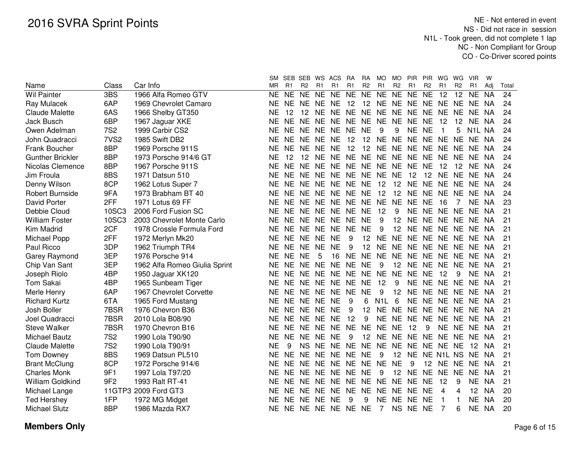|                         |                  |                               | SM        | <b>SEB</b> | SEB            |           | WS ACS            | <b>RA</b> | RA              | MO               | MO.            | <b>PIR</b>                    | <b>PIR</b>     | WG          | WG.             | <b>VIR</b>          | w         |       |
|-------------------------|------------------|-------------------------------|-----------|------------|----------------|-----------|-------------------|-----------|-----------------|------------------|----------------|-------------------------------|----------------|-------------|-----------------|---------------------|-----------|-------|
| Name                    | Class            | Car Info                      | ΜR        | R1         | R <sub>2</sub> | R1        | R1                | R1        | R2              | R1               | R <sub>2</sub> | R1                            | R <sub>2</sub> | R1          | R <sub>2</sub>  | R <sub>1</sub>      | Adi       | Total |
| <b>Wil Painter</b>      | 3BS              | 1966 Alfa Romeo GTV           | NE        | <b>NE</b>  | <b>NE</b>      | NE.       | <b>NE</b>         | <b>NE</b> | <b>NE</b>       | <b>NE</b>        | <b>NE</b>      | NE NE                         |                | 12          | 12 <sup>°</sup> | NE.                 | <b>NA</b> | 24    |
| Ray Mulacek             | 6AP              | 1969 Chevrolet Camaro         | <b>NE</b> | NE.        | <b>NE</b>      | NE.       | <b>NE</b>         | 12        | 12              |                  | NE NE NE       |                               | NE NE          |             | <b>NE</b>       | NE.                 | NA        | 24    |
| Claude Malette          | 6AS              | 1966 Shelby GT350             | <b>NE</b> | 12         | 12             | <b>NE</b> | NE NE             |           | <b>NE</b>       | NE.              | NE.            | <b>NE</b>                     | <b>NE</b>      | <b>NE</b>   | <b>NE</b>       | <b>NE</b>           | NA        | 24    |
| Jack Busch              | 6BP              | 1967 Jaguar XKE               | <b>NE</b> | <b>NE</b>  | <b>NE</b>      | <b>NE</b> | <b>NE</b>         | <b>NE</b> | <b>NE</b>       | <b>NE</b>        | <b>NE</b>      | <b>NE</b>                     | <b>NE</b>      | 12          | 12              | <b>NE</b>           | <b>NA</b> | 24    |
| Owen Adelman            | <b>7S2</b>       | 1999 Carbir CS2               | <b>NE</b> | <b>NE</b>  | <b>NE</b>      | <b>NE</b> | <b>NE</b>         | <b>NE</b> | <b>NE</b>       | 9                | 9              | <b>NE</b>                     | <b>NE</b>      | 1           | 5               | N <sub>1</sub> L NA |           | 24    |
| John Quadracci          | 7VS <sub>2</sub> | 1985 Swift DB2                | <b>NE</b> | <b>NE</b>  | NE.            | <b>NE</b> | <b>NE</b>         | 12        | 12              | <b>NE</b>        | <b>NE</b>      | <b>NE</b>                     | <b>NE</b>      | <b>NE</b>   | <b>NE</b>       | <b>NE</b>           | <b>NA</b> | 24    |
| Frank Boucher           | 8BP              | 1969 Porsche 911S             | <b>NE</b> | <b>NE</b>  | NE.            | <b>NE</b> | <b>NE</b>         | 12        | 12              | <b>NE</b>        | NE NE          |                               | <b>NE</b>      | NE.         | <b>NE</b>       | <b>NE</b>           | - NA      | 24    |
| <b>Gunther Brickler</b> | 8BP              | 1973 Porsche 914/6 GT         | <b>NE</b> | 12         | 12             | <b>NE</b> | NE NE             |           | <b>NE</b>       |                  | NE NE NE       |                               | <b>NE</b>      | NE.         | <b>NE</b>       | <b>NE</b>           | NA        | 24    |
| Nicolas Clemence        | 8BP              | 1967 Porsche 911S             | <b>NE</b> | <b>NE</b>  | <b>NE</b>      | <b>NE</b> | NE NE             |           | <b>NE</b>       |                  | NE NE NE       |                               | <b>NE</b>      | 12          | 12              | <b>NE</b>           | NA        | 24    |
| Jim Froula              | 8BS              | 1971 Datsun 510               | <b>NE</b> | NE.        | NE.            | NE.       | NE.               | NE.       | NE.             | <b>NE</b>        | <b>NE</b>      | 12                            | 12             | NE.         | NE              | NE.                 | -NA       | 24    |
| Denny Wilson            | 8CP              | 1962 Lotus Super 7            | <b>NE</b> | NE.        | NE.            | NE.       | NE.               | NE.       | NE.             | 12               | 12             | <b>NE</b>                     | <b>NE</b>      | NE.         | <b>NE</b>       | NE.                 | -NA       | 24    |
| <b>Robert Burnside</b>  | 9FA              | 1973 Brabham BT 40            | <b>NE</b> | NE.        | NE.            | NE.       | NE.               | NE.       | NE.             | 12               | 12             | <b>NE</b>                     | <b>NE</b>      | NE.         | NE.             | NE.                 | <b>NA</b> | 24    |
| David Porter            | 2FF              | 1971 Lotus 69 FF              | <b>NE</b> | NE NE      |                | <b>NE</b> | NE NE             |           | <b>NE</b>       | <b>NE</b>        | <b>NE</b>      | <b>NE</b>                     | <b>NE</b>      | 16          | 7               | <b>NE</b>           | NA        | 23    |
| Debbie Cloud            | 10SC3            | 2006 Ford Fusion SC           | <b>NE</b> | NE NE      |                | <b>NE</b> | NE NE             |           | <b>NE</b>       | 12               | 9              | <b>NE</b>                     | <b>NE</b>      | <b>NE</b>   | <b>NE</b>       | <b>NE</b>           | NA        | 21    |
| <b>William Foster</b>   | 10SC3            | 2003 Chevrolet Monte Carlo    | <b>NE</b> | NE NE      |                | <b>NE</b> | NE NE             |           | <b>NE</b>       | 9                | 12             | <b>NE</b>                     | <b>NE</b>      | <b>NE</b>   | <b>NE</b>       | <b>NE</b>           | - NA      | 21    |
| Kim Madrid              | 2CF              | 1978 Crossle Formula Ford     | <b>NE</b> |            | NE NE NE       |           | NE NE             |           | <b>NE</b>       | 9                | 12             | <b>NE</b>                     |                | NE NE NE    |                 | NE NA               |           | 21    |
| Michael Popp            | 2FF              | 1972 Merlyn Mk20              | <b>NE</b> |            | NE NE NE       |           | <b>NE</b>         | 9         | 12              | <b>NE</b>        |                | NE NE NE NE                   |                |             | <b>NE</b>       | NE NA               |           | 21    |
| Paul Ricco              | 3DP              | 1962 Triumph TR4              | <b>NE</b> | NE NE      |                | <b>NE</b> | <b>NE</b>         | 9         | 12              |                  | NE NE          | NE NE NE                      |                |             | <b>NE</b>       | NE NA               |           | 21    |
| Garey Raymond           | 3EP              | 1976 Porsche 914              | <b>NE</b> | NE NE      |                | 5         | 16                | <b>NE</b> | <b>NE</b>       |                  | NE NE          | NE NE NE                      |                |             | <b>NE</b>       | NE NA               |           | 21    |
| Chip Van Sant           | 3EP              | 1962 Alfa Romeo Giulia Sprint | <b>NE</b> | NE NE      |                | <b>NE</b> | NE                | NE.       | <b>NE</b>       | 9                | 12             | <b>NE</b>                     | NE NE          |             | <b>NE</b>       | NE.                 | <b>NA</b> | 21    |
| Joseph Riolo            | 4BP              | 1950 Jaguar XK120             | <b>NE</b> | NE NE      |                | <b>NE</b> | <b>NE</b>         | NE.       | <b>NE</b>       | <b>NE</b>        | <b>NE</b>      | <b>NE</b>                     | <b>NE</b>      | 12          | 9               | <b>NE</b>           | NA        | 21    |
| <b>Tom Sakai</b>        | 4BP              | 1965 Sunbeam Tiger            | <b>NE</b> | NE NE      |                | <b>NE</b> | <b>NE</b>         | NE.       | <b>NE</b>       | 12               | 9              | <b>NE</b>                     | <b>NE</b>      | <b>NE</b>   | <b>NE</b>       | NE.                 | NA        | 21    |
| Merle Henry             | 6AP              | 1967 Chevrolet Corvette       | <b>NE</b> | NE NE      |                | <b>NE</b> | <b>NE</b>         | <b>NE</b> | <b>NE</b>       | 9                | 12             | <b>NE</b>                     | NE NE          |             | <b>NE</b>       | NE.                 | NA        | 21    |
| <b>Richard Kurtz</b>    | 6TA              | 1965 Ford Mustang             | <b>NE</b> |            | NE NE NE       |           | <b>NE</b>         | 9         | 6               | N <sub>1</sub> L | 6              |                               |                | NE NE NE NE |                 | NE NA               |           | 21    |
| Josh Boller             | 7BSR             | 1976 Chevron B36              | <b>NE</b> |            | NE NE NE NE    |           |                   | 9         | 12              |                  |                | NE NE NE NE NE NE NE NA       |                |             |                 |                     |           | 21    |
| Joel Quadracci          | 7BSR             | 2010 Lola B08/90              | <b>NE</b> |            | NE NE NE NE    |           |                   | 12        | 9               |                  |                | NE NE NE NE NE NE NE NA       |                |             |                 |                     |           | 21    |
| <b>Steve Walker</b>     | 7BSR             | 1970 Chevron B16              | <b>NE</b> |            |                |           | NE NE NE NE NE    |           | <b>NE</b>       | NE NE            |                | 12                            | 9              |             |                 | NE NE NE NA         |           | 21    |
| <b>Michael Bautz</b>    | <b>7S2</b>       | 1990 Lola T90/90              | <b>NE</b> |            | NE NE NE NE    |           |                   | 9         | 12 <sup>7</sup> |                  |                | NE NE NE NE NE NE NE NA       |                |             |                 |                     |           | 21    |
| Claude Malette          | <b>7S2</b>       | 1990 Lola T90/91              | <b>NE</b> | 9          | <b>NS</b>      |           |                   |           |                 |                  |                | NE NE NE NE NE NE NE NE NE NE |                |             |                 | -12 NA              |           | 21    |
| Tom Downey              | 8BS              | 1969 Datsun PL510             | <b>NE</b> | <b>NE</b>  | NE.            | <b>NE</b> | <b>NE</b>         | NE.       | <b>NE</b>       | 9                |                | 12 NE                         |                | NE N1L NS   |                 | <b>NE</b>           | - NA      | 21    |
| <b>Brant McClung</b>    | 8CP              | 1972 Porsche 914/6            | NE.       | <b>NE</b>  | NE.            | NE.       | NE.               | NE.       | NE.             | <b>NE</b>        | <b>NE</b>      | 9                             |                | 12 NE       | <b>NE</b>       | <b>NE</b>           | NA        | 21    |
| <b>Charles Monk</b>     | 9F1              | 1997 Lola T97/20              | NE.       | NE NE      |                | NE.       | NE.               | NE NE     |                 | 9                |                | 12 NE                         | NE.            | <b>NE</b>   | <b>NE</b>       | NE.                 | NA        | 21    |
| William Goldkind        | 9F <sub>2</sub>  | 1993 Ralt RT-41               | NE.       | NE NE      |                | NE.       | <b>NE</b>         | NE.       | <b>NE</b>       | <b>NE</b>        |                | NE NE                         | <b>NE</b>      | 12          | 9               | NE                  | NA        | 21    |
| Michael Lange           |                  | 11GTP3 2009 Ford GT3          | NE.       | NE NE      |                | <b>NE</b> | <b>NE</b>         | NE.       | <b>NE</b>       | <b>NE</b>        |                | NE NE NE                      |                | 4           | 4               | 12 <sup>2</sup>     | NA        | 20    |
| <b>Ted Hershey</b>      | 1FP              | 1972 MG Midget                | <b>NE</b> | NE NE      |                | <b>NE</b> | <b>NE</b>         | 9         | 9               |                  | NE NE NE       |                               | <b>NE</b>      | 1           |                 | NE NA               |           | 20    |
| <b>Michael Slutz</b>    | 8BP              | 1986 Mazda RX7                | <b>NE</b> |            |                |           | NE NE NE NE NE NE |           |                 | 7                |                | NS NE NE                      |                | 7           | 6               | NE NA               |           | 20    |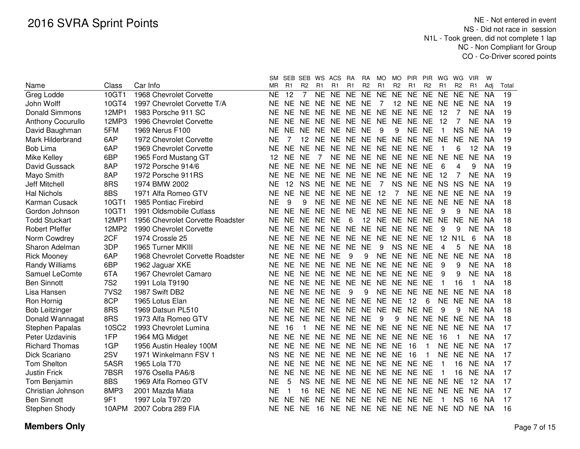|                          |                  |                                  | SM        | SEB       | SEB WS ACS     |                |                            | RA             | RA             | <b>MO</b> | MO             | <b>PIR</b>              | <b>PIR</b>     | WG.             | WG               | <b>VIR</b> | W         |       |
|--------------------------|------------------|----------------------------------|-----------|-----------|----------------|----------------|----------------------------|----------------|----------------|-----------|----------------|-------------------------|----------------|-----------------|------------------|------------|-----------|-------|
| Name                     | Class            | Car Info                         | MR.       | R1        | R <sub>2</sub> | R <sub>1</sub> | R1                         | R <sub>1</sub> | R <sub>2</sub> | R1        | R <sub>2</sub> | R1                      | R <sub>2</sub> | R <sub>1</sub>  | R <sub>2</sub>   | R1         | Adj       | Total |
| Greg Lodde               | 10GT1            | 1968 Chevrolet Corvette          | NE        | 12        | $\overline{7}$ |                | NE NE                      |                | NE NE          | <b>NE</b> |                | NE NE NE                |                | <b>NE</b>       | <b>NE</b>        | <b>NE</b>  | <b>NA</b> | 19    |
| John Wolff               | 10GT4            | 1997 Chevrolet Corvette T/A      | ΝF        | NE.       |                |                | NE NE NE NE NE             |                |                | 7         |                | 12 NE NE NE NE          |                |                 |                  | NE NA      |           | 19    |
| <b>Donald Simmons</b>    | 12MP1            | 1983 Porsche 911 SC              | ΝF        | NF.       | NE NE          |                | NE NE NE NE NE NE          |                |                |           |                |                         | <b>NE</b>      | 12              |                  | NE.        | <b>NA</b> | 19    |
| <b>Anthony Cocurullo</b> | 12MP3            | 1996 Chevrolet Corvette          | ΝF        | NE.       |                | NE NE          | NE NE NE NE NE NE          |                |                |           |                |                         | <b>NE</b>      | 12              | 7                | NE.        | <b>NA</b> | 19    |
| David Baughman           | 5FM              | 1969 Nerus F100                  | <b>NE</b> | <b>NE</b> |                |                | NE NE NE NE NE             |                |                | 9         | 9              | NE.                     | <b>NE</b>      |                 | <b>NS</b>        | NE.        | <b>NA</b> | 19    |
| Mark Hilderbrand         | 6AP              | 1972 Chevrolet Corvette          | <b>NE</b> | 7         |                |                | 12 NE NE NE NE NE NE NE NE |                |                |           |                |                         |                | <b>NE</b>       | <b>NE</b>        | <b>NE</b>  | <b>NA</b> | 19    |
| Bob Lima                 | 6AP              | 1969 Chevrolet Corvette          | NF        | <b>NE</b> | NE NE          |                | NE NE NE NE NE NE          |                |                |           |                |                         | <b>NE</b>      |                 | 6                | 12         | <b>NA</b> | 19    |
| Mike Kelley              | 6BP              | 1965 Ford Mustang GT             | 12        | <b>NE</b> | <b>NE</b>      | $\overline{7}$ |                            |                |                |           |                | NE NE NE NE NE NE NE    |                | <b>NE</b>       | <b>NE</b>        | <b>NE</b>  | <b>NA</b> | 19    |
| David Gussack            | 8AP              | 1972 Porsche 914/6               | <b>NE</b> | NE.       | NE NE          |                | NE NE NE NE NE NE NE       |                |                |           |                |                         |                | 6               | 4                | 9          | <b>NA</b> | 19    |
| Mayo Smith               | 8AP              | 1972 Porsche 911RS               | <b>NE</b> | <b>NE</b> | NE NE          |                | NE NE NE                   |                |                |           | NE NE NE       |                         | <b>NE</b>      | 12              | 7                | <b>NE</b>  | <b>NA</b> | 19    |
| <b>Jeff Mitchell</b>     | 8RS              | 1974 BMW 2002                    | <b>NE</b> | 12        | <b>NS</b>      | <b>NE</b>      | NE NE NE                   |                |                | 7         | <b>NS</b>      | <b>NE</b>               | <b>NE</b>      | <b>NS</b>       | <b>NS</b>        | <b>NE</b>  | <b>NA</b> | 19    |
| <b>Hal Nichols</b>       | 8BS              | 1971 Alfa Romeo GTV              | <b>NE</b> | <b>NE</b> | <b>NE</b>      | <b>NE</b>      | <b>NE</b>                  | <b>NE</b>      | <b>NE</b>      | 12        | 7              | <b>NE</b>               | <b>NE</b>      | <b>NE</b>       | <b>NE</b>        | <b>NE</b>  | <b>NA</b> | 19    |
| Karman Cusack            | 10GT1            | 1985 Pontiac Firebird            | <b>NE</b> | 9         | 9              | <b>NE</b>      | NE.                        | NE.            | NE.            | NE NE     |                | <b>NE</b>               | NE.            | <b>NE</b>       | <b>NE</b>        | NE.        | <b>NA</b> | 18    |
| Gordon Johnson           | 10GT1            | 1991 Oldsmobile Cutlass          | NE        | <b>NE</b> | <b>NE</b>      | <b>NE</b>      | <b>NE</b>                  | NE.            | <b>NE</b>      |           | NE NE NE       |                         | <b>NE</b>      | 9               | 9                | <b>NE</b>  | <b>NA</b> | 18    |
| <b>Todd Stuckart</b>     | 12MP1            | 1956 Chevrolet Corvette Roadster | NE        | <b>NE</b> | <b>NE</b>      | <b>NE</b>      | <b>NE</b>                  | 6              | 12             |           | NE NE NE       |                         | <b>NE</b>      | <b>NE</b>       | <b>NE</b>        | <b>NE</b>  | <b>NA</b> | 18    |
| <b>Robert Pfeffer</b>    | 12MP2            | 1990 Chevrolet Corvette          | <b>NE</b> | NE.       | NE.            | <b>NE</b>      | <b>NE</b>                  | <b>NE</b>      | <b>NE</b>      |           | NE NE NE       |                         | <b>NE</b>      | 9               | 9                | <b>NE</b>  | <b>NA</b> | 18    |
| Norm Cowdrey             | 2CF              | 1974 Crossle 25                  | <b>NE</b> | <b>NE</b> | NE.            | <b>NE</b>      | NE NE                      |                | <b>NE</b>      |           | NE NE NE       |                         | <b>NE</b>      | 12 <sup>2</sup> | N <sub>1</sub> L | 6          | <b>NA</b> | 18    |
| Sharon Adelman           | 3DP              | 1965 Turner MKIII                | <b>NE</b> | <b>NE</b> | <b>NE</b>      | <b>NE</b>      | <b>NE</b>                  | <b>NE</b>      | <b>NE</b>      | 9         | <b>NS</b>      | <b>NE</b>               | <b>NE</b>      | 4               | 5                | <b>NE</b>  | <b>NA</b> | 18    |
| <b>Rick Mooney</b>       | 6AP              | 1968 Chevrolet Corvette Roadster | <b>NE</b> | NE.       | NE.            | <b>NE</b>      | <b>NE</b>                  | 9              | 9              |           | NE NE NE       |                         | <b>NE</b>      | <b>NE</b>       | <b>NE</b>        | <b>NE</b>  | <b>NA</b> | 18    |
| Randy Williams           | 6BP              | 1962 Jaguar XKE                  | <b>NE</b> | NE.       | NE.            | <b>NE</b>      | NE NE                      |                | <b>NE</b>      |           | NE NE NE       |                         | <b>NE</b>      | 9               | 9                | NE         | <b>NA</b> | 18    |
| Samuel LeComte           | 6TA              | 1967 Chevrolet Camaro            | <b>NE</b> | NE.       | NE NE          |                | NE NE                      |                |                |           | NE NE NE NE    |                         | <b>NE</b>      | 9               | 9                | <b>NE</b>  | <b>NA</b> | 18    |
| <b>Ben Sinnott</b>       | <b>7S2</b>       | 1991 Lola T9190                  | <b>NE</b> | NE.       | NE NE          |                | NE NE NE NE NE NE          |                |                |           |                |                         | <b>NE</b>      | 1               | 16               | 1          | <b>NA</b> | 18    |
| Lisa Hansen              | 7VS <sub>2</sub> | 1987 Swift DB2                   | <b>NE</b> | NE.       | NE NE          |                | <b>NE</b>                  | 9              | 9              |           | NE NE NE       |                         | <b>NE</b>      | <b>NE</b>       | <b>NE</b>        | <b>NE</b>  | <b>NA</b> | 18    |
| Ron Hornig               | 8CP              | 1965 Lotus Elan                  | <b>NE</b> | NE.       | NE NE          |                | NE NE                      |                | <b>NE</b>      | NE NE     |                | 12                      | 6              | <b>NE</b>       | <b>NE</b>        | NE.        | <b>NA</b> | 18    |
| <b>Bob Leitzinger</b>    | 8RS              | 1969 Datsun PL510                | <b>NE</b> | NE.       | NE.            | <b>NE</b>      | NE NE NE                   |                |                |           | NE NE NE       |                         | <b>NE</b>      | 9               | 9                | NE.        | NA        | 18    |
| Donald Wannagat          | 8RS              | 1973 Alfa Romeo GTV              | <b>NE</b> | NE.       | NE NE          |                | NE NE                      |                | <b>NE</b>      | 9         | 9              | <b>NE</b>               | NE             | <b>NE</b>       | <b>NE</b>        | NE.        | NA        | 18    |
| <b>Stephen Papalas</b>   | 10SC2            | 1993 Chevrolet Lumina            | <b>NE</b> | 16        |                | <b>NE</b>      | NE.                        | <b>NE</b>      |                |           | NE NE NE NE    |                         | <b>NE</b>      | <b>NE</b>       | <b>NE</b>        | NE.        | NA        | 17    |
| Peter Uzdavinis          | 1FP              | 1964 MG Midget                   | ΝE        | <b>NE</b> | <b>NE</b>      | <b>NE</b>      | NE NE NE NE NE NE          |                |                |           |                |                         | NE             | 16              | $\mathbf 1$      |            | NE NA     | 17    |
| <b>Richard Thomas</b>    | 1GP              | 1956 Austin Healey 100M          | <b>NE</b> | <b>NE</b> | NE.            | <b>NE</b>      | NE NE                      |                | <b>NE</b>      | NE NE     |                | 16                      | 1              | <b>NE</b>       | <b>NE</b>        | NE NA      |           | 17    |
| Dick Scariano            | 2SV              | 1971 Winkelmann FSV 1            | <b>NS</b> | NE.       | NE.            | NE.            | NE NE                      |                | NE.            | NE NE     |                | -16                     | $\mathbf{1}$   | <b>NE</b>       | <b>NE</b>        | NE.        | NA        | 17    |
| <b>Tom Shelton</b>       | 5ASR             | 1965 Lola T70                    | NE        | NE.       | NE.            | <b>NE</b>      | NE.                        | NE.            | NE.            |           | NE NE NE       |                         | <b>NE</b>      | 1               | 16               | <b>NE</b>  | NA        | 17    |
| <b>Justin Frick</b>      | 7BSR             | 1976 Osella PA6/8                | <b>NE</b> | NE.       | NE.            | NE.            | NE NE                      |                |                |           | NE NE NE NE    |                         | <b>NE</b>      | 1               | 16               | NE.        | NA        | 17    |
| Tom Benjamin             | 8BS              | 1969 Alfa Romeo GTV              | <b>NE</b> | 5         | <b>NS</b>      |                | NE NE NE                   |                |                |           |                | NE NE NE NE NE          |                | <b>NE</b>       | <b>NE</b>        | 12         | - NA      | 17    |
| Christian Johnson        | 8MP3             | 2001 Mazda Miata                 | <b>NE</b> | 1         | 16             | <b>NE</b>      | NE NE                      |                |                |           | NE NE NE NE    |                         | <b>NE</b>      | <b>NE</b>       | NE               | NE.        | NA        | 17    |
| <b>Ben Sinnott</b>       | 9F1              | 1997 Lola T97/20                 | ΝF        | NE.       | <b>NE</b>      | <b>NE</b>      | NE NE                      |                | NE.            | NE NE     |                | <b>NE</b>               | <b>NE</b>      |                 | <b>NS</b>        | 16         | <b>NA</b> | 17    |
| Stephen Shody            | 10APM            | 2007 Cobra 289 FIA               | <b>NE</b> | NE.       | <b>NE</b>      | 16             |                            |                |                |           |                | NE NE NE NE NE NE NE NE |                |                 | ND.              | NE.        | NA        | 16    |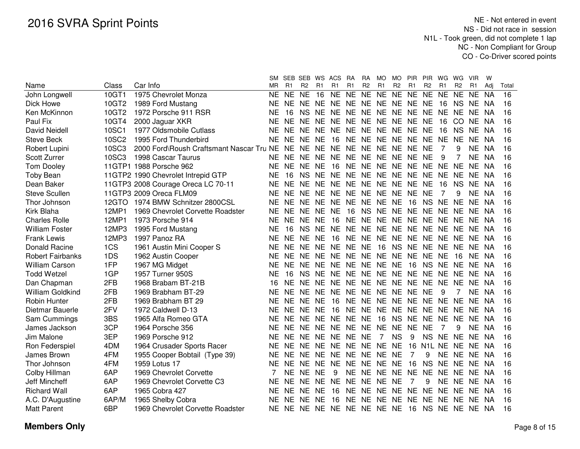|                         |              |                                          | SM        |           | SEB SEB WS     |           | ACS                        | <b>RA</b> | <b>RA</b>      | MO        | MO.            | <b>PIR</b>        | <b>PIR</b>                      | WG.       | WG             | <b>VIR</b> | W         |       |
|-------------------------|--------------|------------------------------------------|-----------|-----------|----------------|-----------|----------------------------|-----------|----------------|-----------|----------------|-------------------|---------------------------------|-----------|----------------|------------|-----------|-------|
| Name                    | Class        | Car Info                                 | <b>MR</b> | R1        | R <sub>2</sub> | R1        | R <sub>1</sub>             | R1        | R <sub>2</sub> | R1        | R <sub>2</sub> | R1                | R <sub>2</sub>                  | R1        | R <sub>2</sub> | R1         | Adj       | Total |
| John Longwell           | 10GT1        | 1975 Chevrolet Monza                     | <b>NE</b> | <b>NE</b> | <b>NE</b>      | 16        | <b>NE</b>                  | <b>NE</b> | NE             | <b>NE</b> | NE NE          |                   | N <sub>E</sub>                  | <b>NE</b> | <b>NE</b>      | <b>NE</b>  | <b>NA</b> | 16    |
| Dick Howe               | 10GT2        | 1989 Ford Mustang                        | NE        | NE.       |                |           | NE NE NE NE NE NE NE NE NE |           |                |           |                |                   |                                 | 16        | NS NE          |            | - NA      | 16    |
| Ken McKinnon            | 10GT2        | 1972 Porsche 911 RSR                     | NE        | 16        |                | NS NE NE  |                            |           |                |           |                | NE NE NE NE NE NE |                                 | NE NE NE  |                |            | <b>NA</b> | 16    |
| Paul Fix                | 10GT4        | 2000 Jaguar XKR                          | NE        | NE.       | NE.            | NE.       | NE.                        |           |                |           |                | NE NE NE NE NE NE |                                 | 16        | CO NE          |            | NA        | 16    |
| David Neidell           | 10SC1        | 1977 Oldsmobile Cutlass                  | NE        | NE.       | NE NE          |           | NE.                        | NE NE     |                | NE.       | NE NE          |                   | <b>NE</b>                       | 16        | NS.            | NE.        | NA        | 16    |
| <b>Steve Beck</b>       | <b>10SC2</b> | 1995 Ford Thunderbird                    | NE        | NE.       | NE NE          |           | 16                         | NE NE     |                | NE.       | NE NE          |                   | NE.                             | NE.       | NE             | NE.        | <b>NA</b> | 16    |
| Robert Lupini           | <b>10SC3</b> | 2000 Ford\Roush Craftsmant Nascar Tru NE |           | NE.       | NE NE          |           | <b>NE</b>                  | NE NE     |                |           | NE NE NE       |                   | <b>NE</b>                       | 7         | 9              | NE         | NA.       | 16    |
| Scott Zurrer            | <b>10SC3</b> | 1998 Cascar Taurus                       | NE.       | NE.       | NE NE          |           | <b>NE</b>                  | NE NE     |                |           | NE NE NE       |                   | <b>NE</b>                       | 9         |                | <b>NE</b>  | <b>NA</b> | 16    |
| <b>Tom Dooley</b>       |              | 11GTP1 1988 Porsche 962                  | NE        | NE.       | NE NE          |           | 16                         | NE NE     |                | NE.       | NE NE          |                   | NE.                             | NE NE     |                | NE.        | NA.       | 16    |
| Toby Bean               |              | 11GTP2 1990 Chevrolet Intrepid GTP       | NE        | 16        | NS NE          |           | <b>NE</b>                  | NE NE     |                |           | NE NE NE       |                   | <b>NE</b>                       | NE NE     |                | NE.        | NA.       | 16    |
| Dean Baker              |              | 11GTP3 2008 Courage Oreca LC 70-11       | <b>NE</b> | <b>NE</b> | NE NE          |           | <b>NE</b>                  | NE NE     |                |           | NE NE NE       |                   | <b>NE</b>                       | 16        | NS.            | NE.        | NA.       | 16    |
| <b>Steve Scullen</b>    |              | 11GTP3 2009 Oreca FLM09                  | <b>NE</b> | <b>NE</b> | NE NE          |           | NE.                        | NE NE     |                | <b>NE</b> | NE NE          |                   | <b>NE</b>                       | 7         | 9              | NE.        | <b>NA</b> | 16    |
| Thor Johnson            | 12GTO        | 1974 BMW Schnitzer 2800CSL               | <b>NE</b> | NE.       | NE NE          |           | NE.                        | NE NE     |                | NE.       | NE.            | 16                | <b>NS</b>                       | NE NE     |                | NE.        | <b>NA</b> | 16    |
| Kirk Blaha              | 12MP1        | 1969 Chevrolet Corvette Roadster         | <b>NE</b> | NE.       | NE NE          |           | <b>NE</b>                  | 16        | <b>NS</b>      | <b>NE</b> | NE NE          |                   | NE.                             | NE NE     |                | <b>NE</b>  | <b>NA</b> | 16    |
| <b>Charles Rolle</b>    | 12MP1        | 1973 Porsche 914                         | <b>NE</b> | NE.       | NE NE          |           | 16                         | NE NE     |                | <b>NE</b> | NE NE          |                   | NE.                             | NE NE     |                | NE.        | <b>NA</b> | 16    |
| <b>William Foster</b>   | 12MP3        | 1995 Ford Mustang                        | NE        | 16        | NS NE          |           | <b>NE</b>                  | NE NE     |                | NE.       | NE NE          |                   | NE.                             | NE NE     |                | <b>NE</b>  | <b>NA</b> | 16    |
| <b>Frank Lewis</b>      | 12MP3        | 1997 Panoz RA                            | <b>NE</b> | NE.       | NE NE          |           | 16                         | NE NE     |                | <b>NE</b> | NE NE          |                   | <b>NE</b>                       | NE NE     |                | <b>NE</b>  | <b>NA</b> | 16    |
| Donald Racine           | 1CS          | 1961 Austin Mini Cooper S                | <b>NE</b> | NE        | NE.            | <b>NE</b> | <b>NE</b>                  | NE.       | <b>NE</b>      | 16        | NS NE          |                   | NE.                             | NE.       | NE.            | <b>NE</b>  | NA.       | 16    |
| <b>Robert Fairbanks</b> | 1DS          | 1962 Austin Cooper                       | <b>NE</b> | <b>NE</b> | NE.            | <b>NE</b> | <b>NE</b>                  | NE NE     |                | <b>NE</b> | NE.            | <b>NE</b>         | <b>NE</b>                       | NE        | 16             | <b>NE</b>  | NA.       | 16    |
| <b>William Carson</b>   | 1FP          | 1967 MG Midget                           | NF        | <b>NE</b> | NE.            | <b>NE</b> | <b>NE</b>                  | NE.       | <b>NE</b>      | <b>NE</b> | <b>NE</b>      | 16                | <b>NS</b>                       | <b>NE</b> | <b>NE</b>      | <b>NE</b>  | NA.       | 16    |
| <b>Todd Wetzel</b>      | 1GP          | 1957 Turner 950S                         | NE        | 16        | <b>NS</b>      | <b>NE</b> | NE.                        | NE.       | <b>NE</b>      | <b>NE</b> | NE NE          |                   | <b>NE</b>                       | NE.       | <b>NE</b>      | NE.        | NA.       | 16    |
| Dan Chapman             | 2FB          | 1968 Brabam BT-21B                       | 16        | <b>NE</b> | NF.            | <b>NE</b> | <b>NE</b>                  | NE NE NE  |                |           | NE NE          |                   | <b>NE</b>                       | NE.       | <b>NE</b>      | NE.        | NA.       | 16    |
| William Goldkind        | 2FB          | 1969 Brabham BT-29                       | <b>NE</b> | <b>NE</b> | <b>NE</b>      | <b>NE</b> | <b>NE</b>                  | NE NE NE  |                |           | NE NE          |                   | <b>NE</b>                       | 9         | 7              | NE.        | <b>NA</b> | 16    |
| <b>Robin Hunter</b>     | 2FB          | 1969 Brabham BT 29                       | NE        | NE.       | NE.            | NE.       | - 16                       | NE.       |                |           | NE NE NE NE    |                   | NE.                             | NE.       | <b>NE</b>      | NE.        | - NA      | 16    |
| Dietmar Bauerle         | 2FV          | 1972 Caldwell D-13                       | NE.       | NE.       | NE.            | <b>NE</b> | -16                        |           |                |           |                | NE NE NE NE NE NE |                                 | NE.       | NE.            | NE.        | - NA      | 16    |
| Sam Cummings            | 3BS          | 1965 Alfa Romeo GTA                      | NE.       | NE.       | NE NE NE       |           |                            | NE NE     |                | - 16      | <b>NS</b>      | NE                | NE.                             | NE NE     |                | NE.        | - NA      | 16    |
| James Jackson           | 3CP          | 1964 Porsche 356                         | <b>NE</b> | <b>NE</b> | NE NE          |           | <b>NE</b>                  | NE NE     |                | <b>NE</b> | NE NE          |                   | <b>NE</b>                       | 7         | 9              | NE.        | - NA      | 16    |
| Jim Malone              | 3EP          | 1969 Porsche 912                         | <b>NE</b> | <b>NE</b> | <b>NE</b>      | NE.       | <b>NE</b>                  | <b>NE</b> | <b>NE</b>      | 7         | <b>NS</b>      | 9                 | <b>NS</b>                       | <b>NE</b> | <b>NE</b>      | NE.        | - NA      | 16    |
| Ron Federspiel          | 4DM          | 1964 Crusader Sports Racer               | <b>NE</b> | NE.       | <b>NE</b>      | NE.       | <b>NE</b>                  | NE NE     |                | <b>NE</b> | <b>NE</b>      | 16                | N <sub>1</sub> L N <sub>E</sub> |           | <b>NE</b>      | NE.        | - NA      | 16    |
| James Brown             | 4FM          | 1955 Cooper Bobtail (Type 39)            | <b>NE</b> | NE.       | <b>NE</b>      | <b>NE</b> | <b>NE</b>                  | <b>NE</b> | <b>NE</b>      | <b>NE</b> | <b>NE</b>      | $\overline{7}$    | 9                               | <b>NE</b> | <b>NE</b>      | NE.        | - NA      | 16    |
| Thor Johnson            | 4FM          | 1959 Lotus 17                            | <b>NE</b> | NE.       | <b>NE</b>      | <b>NE</b> | <b>NE</b>                  | NE NE     |                | <b>NE</b> | <b>NE</b>      | 16                | <b>NS</b>                       | <b>NE</b> | <b>NE</b>      | NE.        | -NA       | 16    |
| Colby Hillman           | 6AP          | 1969 Chevrolet Corvette                  |           | <b>NE</b> | NE NE          |           | 9                          | NE NE     |                | <b>NE</b> | NE NE          |                   | <b>NE</b>                       | NE NE     |                | NE NA      |           | 16    |
| Jeff Mincheff           | 6AP          | 1969 Chevrolet Corvette C3               | <b>NE</b> | NE.       | NE NE          |           | NE.                        | NE NE     |                | NE.       | <b>NE</b>      | 7                 | 9                               |           | NE NE          | NE.        | -NA       | 16    |
| <b>Richard Wall</b>     | 6AP          | 1965 Cobra 427                           | <b>NE</b> | NE.       | NE NE          |           | 16                         | NE NE     |                | NE.       | NE NE          |                   | NE.                             | NE.       | <b>NE</b>      | NE.        | <b>NA</b> | 16    |
| A.C. D'Augustine        | 6AP/M        | 1965 Shelby Cobra                        | <b>NE</b> | NE.       | <b>NE</b>      | <b>NE</b> | 16                         | NE NE     |                | NE.       | NE NE          |                   | NE.                             | <b>NE</b> | <b>NE</b>      | NE.        | NA        | 16    |
| <b>Matt Parent</b>      | 6BP          | 1969 Chevrolet Corvette Roadster         | <b>NE</b> | NE.       |                |           | NE NE NE NE NE NE NE 16    |           |                |           |                |                   | NS NE NE                        |           |                | NE NA      |           | 16    |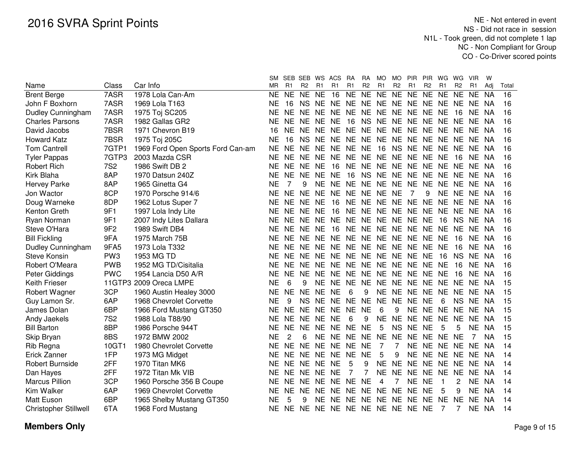|                              |                 |                                   | SM.       |                | SEB SEB        | WS ACS    |                               | <b>RA</b>      | RA             | MO.       | MO.            | PIR.                 | PIR            | WG             | WG             | <b>VIR</b> | W         |       |
|------------------------------|-----------------|-----------------------------------|-----------|----------------|----------------|-----------|-------------------------------|----------------|----------------|-----------|----------------|----------------------|----------------|----------------|----------------|------------|-----------|-------|
| Name                         | Class           | Car Info                          | ΜR        | R <sub>1</sub> | R <sub>2</sub> | R1        | R <sub>1</sub>                | R <sub>1</sub> | R <sub>2</sub> | R1        | R <sub>2</sub> | R1                   | R <sub>2</sub> | R <sub>1</sub> | R <sub>2</sub> | R1         | Adi       | Total |
| <b>Brent Berge</b>           | 7ASR            | 1978 Lola Can-Am                  | NE.       | <b>NE</b>      | <b>NE</b>      | <b>NE</b> | 16                            | <b>NE</b>      | <b>NE</b>      | <b>NE</b> | NE.            | <b>NE</b>            | <b>NE</b>      | <b>NE</b>      | <b>NE</b>      | NE.        | <b>NA</b> | 16    |
| John F Boxhorn               | 7ASR            | 1969 Lola T163                    | NΕ        | 16             | <b>NS</b>      |           | NE NE NE NE NE NE NE NE NE NE |                |                |           |                |                      |                |                |                | <b>NE</b>  | NA        | 16    |
| Dudley Cunningham            | 7ASR            | 1975 Toj SC205                    | ΝE        | NE NE          |                |           | NE NE NE NE NE NE NE NE NE    |                |                |           |                |                      |                |                | 16             | NE.        | NA        | 16    |
| <b>Charles Parsons</b>       | 7ASR            | 1982 Gallas GR2                   | ΝE        | NE.            | NF.            | NE NE     |                               | 16             |                |           |                | NS NE NE NE NE NE NE |                |                |                | NE.        | NA        | 16    |
| David Jacobs                 | 7BSR            | 1971 Chevron B19                  | 16        | NE.            | <b>NE</b>      |           | NE NE NE                      |                |                | NE NE NE  |                | NE NE NE             |                |                | <b>NE</b>      | NE NA      |           | 16    |
| <b>Howard Katz</b>           | 7BSR            | 1975 Toj 205C                     | <b>NE</b> | 16             | <b>NS</b>      |           | NE NE NE                      |                |                | NE NE NE  |                | NE NE NE             |                |                | <b>NE</b>      | NE NA      |           | 16    |
| <b>Tom Cantrell</b>          | 7GTP1           | 1969 Ford Open Sports Ford Can-am | <b>NE</b> | <b>NE</b>      | NE.            | NE.       | NE NE                         |                | <b>NE</b>      | 16        | NS.            | <b>NE</b>            | NE NE          |                | <b>NE</b>      | NE.        | -NA       | 16    |
| <b>Tyler Pappas</b>          | 7GTP3           | 2003 Mazda CSR                    | NE        | NE.            | <b>NE</b>      | <b>NE</b> | NE NE                         |                | <b>NE</b>      | NE NE     |                | <b>NE</b>            | <b>NE</b>      | <b>NE</b>      | 16             | NE         | NA        | 16    |
| <b>Robert Rich</b>           | <b>7S2</b>      | 1986 Swift DB 2                   | ΝE        | <b>NE</b>      | <b>NE</b>      | <b>NE</b> | 16                            | <b>NE</b>      | <b>NE</b>      | NE NE     |                | <b>NE</b>            | NE NE          |                | <b>NE</b>      | NE NA      |           | 16    |
| Kirk Blaha                   | 8AP             | 1970 Datsun 240Z                  | NE        | <b>NE</b>      | <b>NE</b>      | <b>NE</b> | <b>NE</b>                     | 16             | <b>NS</b>      | NE NE     |                | <b>NE</b>            | <b>NE</b>      | NE.            | <b>NE</b>      | NE.        | NA        | 16    |
| Hervey Parke                 | 8AP             | 1965 Ginetta G4                   | <b>NE</b> | 7              | 9              | <b>NE</b> | NE NE                         |                |                | NE NE NE  |                | <b>NE</b>            | NE.            | NE.            | <b>NE</b>      | NE NA      |           | 16    |
| Jon Wactor                   | 8CP             | 1970 Porsche 914/6                | <b>NE</b> | <b>NE</b>      | <b>NE</b>      | <b>NE</b> | NE NE                         |                | <b>NE</b>      | NE NE     |                | $\overline{7}$       | 9              | <b>NE</b>      | <b>NE</b>      | NE NA      |           | 16    |
| Doug Warneke                 | 8DP             | 1962 Lotus Super 7                | NE        | NE.            | NE.            | NE.       | 16                            | NE.            | <b>NE</b>      |           | NE NE NE       |                      | NE.            | NE.            | NE.            | NE NA      |           | 16    |
| Kenton Greth                 | 9F1             | 1997 Lola Indy Lite               | <b>NE</b> | NE NE          |                | NE.       | -16                           | <b>NE</b>      |                |           | NE NE NE NE    |                      | NE NE          |                | NE.            | NE NA      |           | 16    |
| Ryan Norman                  | 9F1             | 2007 Indy Lites Dallara           | NE        | NE.            | <b>NE</b>      | <b>NE</b> | NE NE                         |                |                |           | NE NE NE NE    |                      | NE             | 16             | <b>NS</b>      | NE NA      |           | 16    |
| Steve O'Hara                 | 9F <sub>2</sub> | 1989 Swift DB4                    | ΝE        | NE NE          |                | <b>NE</b> | 16                            | <b>NE</b>      |                |           | NE NE NE NE    |                      | NE NE          |                | <b>NE</b>      | NE NA      |           | 16    |
| <b>Bill Fickling</b>         | 9FA             | 1975 March 75B                    | ΝE        | NE NE          |                | <b>NE</b> | NE NE                         |                |                |           | NE NE NE NE    |                      | NE NE          |                | 16             | NE NA      |           | 16    |
| Dudley Cunningham            | 9FA5            | 1973 Lola T332                    | <b>NE</b> | NE NE          |                |           | NE NE NE NE NE NE NE          |                |                |           |                |                      | NE NE          |                | 16             | NE NA      |           | 16    |
| <b>Steve Konsin</b>          | PW <sub>3</sub> | 1953 MG TD                        | NE        | NE NE          |                |           | NE NE NE NE NE NE NE          |                |                |           |                |                      | <b>NE</b>      | 16             | <b>NS</b>      | NE NA      |           | 16    |
| Robert O'Meara               | <b>PWB</b>      | 1952 MG TD/Cisitalia              | NE        | NE NE          |                | NE.       | NE NE                         |                |                |           | NE NE NE NE    |                      | NE NE          |                | 16             | NE.        | NA.       | 16    |
| Peter Giddings               | <b>PWC</b>      | 1954 Lancia D50 A/R               | NE        | NE NE          |                | <b>NE</b> | NE NE                         |                |                | NE NE NE  |                | <b>NE</b>            | NE NE          |                | 16             | NE         | - NA      | 16    |
| <b>Keith Frieser</b>         |                 | 11GTP3 2009 Oreca LMPE            | <b>NE</b> | 6              | 9              | <b>NE</b> | NE NE                         |                | <b>NE</b>      | NE NE     |                | <b>NE</b>            | NE NE          |                | <b>NE</b>      | NE.        | NA        | 15    |
| Robert Wagner                | 3CP             | 1960 Austin Healey 3000           | <b>NE</b> | <b>NE</b>      | <b>NE</b>      | <b>NE</b> | <b>NE</b>                     | 6              | 9              | NE NE     |                | <b>NE</b>            | NE NE          |                | <b>NE</b>      | NE.        | <b>NA</b> | 15    |
| Guy Lamon Sr.                | 6AP             | 1968 Chevrolet Corvette           | <b>NE</b> | 9              | <b>NS</b>      |           | NE NE NE                      |                | <b>NE</b>      | NE NE     |                | NE NE                |                | 6              | <b>NS</b>      | <b>NE</b>  | NA        | 15    |
| James Dolan                  | 6BP             | 1966 Ford Mustang GT350           | NE.       | NE NE          |                | <b>NE</b> | NE NE                         |                | <b>NE</b>      | 6         | 9              | NE NE NE             |                |                | <b>NE</b>      | NE.        | -NA       | 15    |
| Andy Jaekels                 | <b>7S2</b>      | 1988 Lola T88/90                  | NE.       | NE NE          |                | NE NE     |                               | 6              | 9              | NE.       | NE.            | <b>NE</b>            | NE NE          |                | <b>NE</b>      | NE.        | NA.       | 15    |
| <b>Bill Barton</b>           | 8BP             | 1986 Porsche 944T                 | NE.       | NE NE          |                |           | NE NE NE                      |                | <b>NE</b>      | 5         | <b>NS</b>      | NE NE                |                | 5              | 5              | NE.        | <b>NA</b> | 15    |
| Skip Bryan                   | 8BS             | 1972 BMW 2002                     | <b>NE</b> | $\overline{c}$ | 6              |           | NE NE NE                      |                | NE NE          |           | <b>NE</b>      | NE NE NE             |                |                | <b>NE</b>      | 7          | <b>NA</b> | 15    |
| Rib Regna                    | 10GT1           | 1980 Chevrolet Corvette           | <b>NE</b> | NE NE          |                |           | NE NE NE                      |                | <b>NE</b>      | 7         | $\overline{7}$ | NE NE NE             |                |                | <b>NE</b>      | <b>NE</b>  | NA        | 14    |
| Erick Zanner                 | 1FP             | 1973 MG Midget                    | ΝE        | <b>NE</b>      | NE.            | <b>NE</b> | <b>NE</b>                     | <b>NE</b>      | <b>NE</b>      | 5         | 9              |                      |                | NE NE NE NE    |                | NE.        | NA        | 14    |
| <b>Robert Burnside</b>       | 2FF             | 1970 Titan MK6                    | ΝE        | NE.            | <b>NE</b>      | <b>NE</b> | <b>NE</b>                     | 5              | 9              | <b>NE</b> | <b>NE</b>      | <b>NE</b>            | NE NE          |                | <b>NE</b>      | <b>NE</b>  | NA.       | 14    |
| Dan Hayes                    | 2FF             | 1972 Titan Mk VIB                 | NΕ        | NE NE          |                | NE.       | <b>NE</b>                     | 7              |                | NE.       | NE.            | NE.                  | NE             | NE.            | <b>NE</b>      | <b>NE</b>  | -NA       | 14    |
| <b>Marcus Pillion</b>        | 3CP             | 1960 Porsche 356 B Coupe          | NΕ        | <b>NE</b>      | NE.            | NE.       | NE NE                         |                | <b>NE</b>      | 4         | 7              | NE.                  | <b>NE</b>      | 1              | 2              | NE.        | NA        | 14    |
| Kim Walker                   | 6AP             | 1969 Chevrolet Corvette           | NE        | NE.            | <b>NE</b>      | NE.       | NE NE                         |                |                |           | NE NE NE NE    |                      | <b>NE</b>      | 5              | 9              | NE NA      |           | 14    |
| <b>Matt Euson</b>            | 6BP             | 1965 Shelby Mustang GT350         | <b>NE</b> | 5              | 9              |           | NE NE NE                      |                |                |           | NE NE NE NE    |                      | NE.            | NE.            | <b>NE</b>      | <b>NE</b>  | <b>NA</b> | 14    |
| <b>Christopher Stillwell</b> | 6TA             | 1968 Ford Mustang                 | <b>NE</b> |                |                |           | NE NE NE NE NE NE NE NE NE NE |                |                |           |                |                      |                | 7              | 7              | NE NA      |           | 14    |
|                              |                 |                                   |           |                |                |           |                               |                |                |           |                |                      |                |                |                |            |           |       |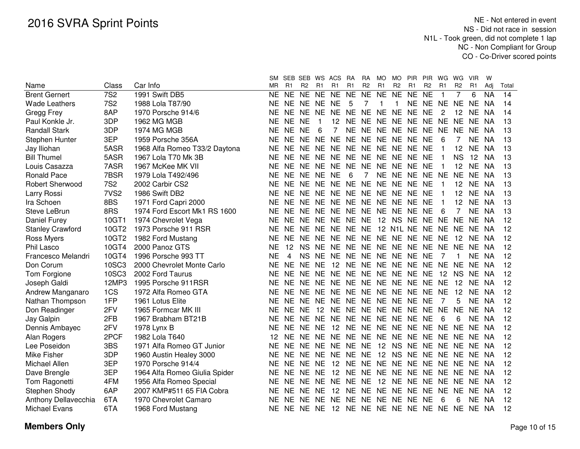|                         |                  |                               | <b>SM</b> |                | SEB SEB WS ACS |           |                                        | RA             | RA             | MO        | MO.            | <b>PIR</b>           | <b>PIR</b>     | WG             | WG             | <b>VIR</b> | W         |       |
|-------------------------|------------------|-------------------------------|-----------|----------------|----------------|-----------|----------------------------------------|----------------|----------------|-----------|----------------|----------------------|----------------|----------------|----------------|------------|-----------|-------|
| Name                    | Class            | Car Info                      | MR        | R <sub>1</sub> | R <sub>2</sub> | R1        | R <sub>1</sub>                         | R1             | R <sub>2</sub> | R1        | R <sub>2</sub> | R1                   | R <sub>2</sub> | R <sub>1</sub> | R <sub>2</sub> | R1         | Adi       | Total |
| <b>Brent Gernert</b>    | <b>7S2</b>       | 1991 Swift DB5                | NΕ        | NE.            | NE NE          |           | <b>NE</b>                              | <b>NE</b>      | <b>NE</b>      | <b>NE</b> | <b>NE</b>      | <b>NE</b>            | <b>NE</b>      | $\mathbf 1$    |                | 6          | <b>NA</b> | 14    |
| <b>Wade Leathers</b>    | <b>7S2</b>       | 1988 Lola T87/90              | NΕ        | NE.            | NE NE          |           | <b>NE</b>                              | 5              |                |           |                | NE NE                |                | NE NE          |                | <b>NE</b>  | <b>NA</b> | 14    |
| Gregg Frey              | 8AP              | 1970 Porsche 914/6            | ΝE        | NE.            | NE NE          |           | NE.                                    | NE NE NE       |                |           | NE NE          |                      | <b>NE</b>      | 2              | 12             | <b>NE</b>  | <b>NA</b> | 14    |
| Paul Konkle Jr.         | 3DP              | 1962 MG MGB                   | ΝE        | NE.            | <b>NE</b>      |           | 12                                     | NE NE          |                | <b>NE</b> | NE NE          |                      | <b>NE</b>      | NE NE          |                | <b>NE</b>  | <b>NA</b> | 13    |
| <b>Randall Stark</b>    | 3DP              | <b>1974 MG MGB</b>            | ΝE        | <b>NE</b>      | <b>NE</b>      | 6         | 7                                      | <b>NE</b>      | NE NE          |           | NE NE          |                      | <b>NE</b>      | NE NE          |                | <b>NE</b>  | <b>NA</b> | 13    |
| Stephen Hunter          | 3EP              | 1959 Porsche 356A             | <b>NE</b> | <b>NE</b>      | <b>NE</b>      | <b>NE</b> | <b>NE</b>                              | <b>NE</b>      | <b>NE</b>      |           | NE NE NE       |                      | <b>NE</b>      | 6              |                | <b>NE</b>  | <b>NA</b> | 13    |
| Jay Iliohan             | 5ASR             | 1968 Alfa Romeo T33/2 Daytona | <b>NE</b> | <b>NE</b>      | <b>NE</b>      | <b>NE</b> | <b>NE</b>                              | <b>NE</b>      | <b>NE</b>      |           | NE NE NE       |                      | <b>NE</b>      | -1             | 12             | <b>NE</b>  | <b>NA</b> | 13    |
| <b>Bill Thumel</b>      | 5ASR             | 1967 Lola T70 Mk 3B           | <b>NE</b> | NE.            | NE.            | <b>NE</b> | NE.                                    | NE.            | <b>NE</b>      |           | NE NE NE       |                      | <b>NE</b>      | -1             | <b>NS</b>      | 12         | <b>NA</b> | 13    |
| Louis Casazza           | 7ASR             | 1967 McKee MK VII             | ΝE        | NE.            | NE.            | <b>NE</b> | NE.                                    | NE.            | <b>NE</b>      | NE.       | NE NE          |                      | NE             | -1             | 12             | <b>NE</b>  | <b>NA</b> | 13    |
| <b>Ronald Pace</b>      | 7BSR             | 1979 Lola T492/496            | NE        | NE.            | NE.            | <b>NE</b> | <b>NE</b>                              | 6              | $\overline{7}$ |           | NE NE NE       |                      | <b>NE</b>      | <b>NE</b>      | <b>NE</b>      | <b>NE</b>  | NA        | 13    |
| <b>Robert Sherwood</b>  | <b>7S2</b>       | 2002 Carbir CS2               | ΝE        |                |                |           | NE NE NE NE NE                         |                |                |           |                | NE NE NE NE NE       |                | -1             | 12             | <b>NE</b>  | NA        | 13    |
| Larry Rossi             | 7VS <sub>2</sub> | 1986 Swift DB2                | ΝE        |                |                |           | NE NE NE NE NE NE NE NE NE             |                |                |           |                |                      | <b>NE</b>      | $\mathbf 1$    | 12             | <b>NE</b>  | NA        | 13    |
| Ira Schoen              | 8BS              | 1971 Ford Capri 2000          | ΝE        | NE.            | <b>NE</b>      |           | NE NE                                  | <b>NE</b>      |                |           | NE NE NE NE    |                      | <b>NE</b>      | $\mathbf{1}$   | 12             | <b>NE</b>  | NA        | 13    |
| <b>Steve LeBrun</b>     | 8RS              | 1974 Ford Escort Mk1 RS 1600  | ΝE        | NE.            | <b>NE</b>      |           | NE NE                                  | <b>NE</b>      |                |           | NE NE NE NE    |                      | <b>NE</b>      | 6              | 7              | <b>NE</b>  | <b>NA</b> | 13    |
| Daniel Furey            | 10GT1            | 1974 Chevrolet Vega           | <b>NE</b> | NE.            | <b>NE</b>      |           | NE NE                                  | <b>NE</b>      | <b>NE</b>      |           | 12 NS NE       |                      | <b>NE</b>      | <b>NE</b>      | <b>NE</b>      | NE.        | - NA      | 12    |
| <b>Stanley Crawford</b> | 10GT2            | 1973 Porsche 911 RSR          | NΕ        | NE.            | <b>NE</b>      | <b>NE</b> | NE NE NE                               |                |                |           |                | 12 N1L NE NE         |                | NE NE          |                | NE.        | -NA       | 12    |
| Ross Myers              | 10GT2            | 1982 Ford Mustang             | ΝE        | NE.            | NE.            | <b>NE</b> | NE NE NE NE NE NE NE NE                |                |                |           |                |                      |                |                | 12             | NF.        | -NA       | 12    |
| Phil Lasco              | 10GT4            | 2000 Panoz GTS                | NE        | 12             | <b>NS</b>      | <b>NE</b> | NE NE NE NE NE NE NE NE NE             |                |                |           |                |                      |                |                |                | <b>NE</b>  | NA        | 12    |
| Francesco Melandri      | 10GT4            | 1996 Porsche 993 TT           | <b>NE</b> | 4              | <b>NS</b>      | NE.       | NE NE NE NE NE NE                      |                |                |           |                |                      | <b>NE</b>      | 7              | $\mathbf{1}$   | <b>NE</b>  | NA        | 12    |
| Don Corum               | <b>10SC3</b>     | 2000 Chevrolet Monte Carlo    | <b>NE</b> | <b>NE</b>      | <b>NE</b>      | <b>NE</b> | 12                                     |                |                |           |                | NE NE NE NE NE NE    |                | NE NE          |                | NE.        | <b>NA</b> | 12    |
| Tom Forgione            | 10SC3            | 2002 Ford Taurus              | ΝE        | NE.            | NE.            |           | NE NE NE NE NE NE NE NE                |                |                |           |                |                      |                | 12             | <b>NS</b>      | <b>NE</b>  | NA        | 12    |
| Joseph Galdi            | 12MP3            | 1995 Porsche 911RSR           | ΝE        | NE.            | <b>NE</b>      |           | NE NE NE NE NE NE NE NE                |                |                |           |                |                      |                | <b>NE</b>      | 12             | <b>NE</b>  | <b>NA</b> | 12    |
| Andrew Manganaro        | 1CS              | 1972 Alfa Romeo GTA           | <b>NE</b> | NE NE          |                |           | NE NE NE NE NE NE NE NE                |                |                |           |                |                      |                | <b>NE</b>      | 12             | NE.        | <b>NA</b> | 12    |
| Nathan Thompson         | 1FP              | 1961 Lotus Elite              | NE        |                |                |           | NE NE NE NE NE NE NE NE NE NE          |                |                |           |                |                      |                | 7              | 5              | NE.        | <b>NA</b> | 12    |
| Don Readinger           | 2FV              | 1965 Formcar MK III           | NE        | NE NE          |                | 12        |                                        |                |                |           |                | NE NE NE NE NE NE NE |                | NE NE          |                | NE.        | <b>NA</b> | 12    |
| Jay Galpin              | 2FB              | 1967 Brabham BT21B            | ΝE        |                |                |           | NE NE NE NE NE NE NE NE NE NE          |                |                |           |                |                      |                | 6              | 6              | NE         | NA        | 12    |
| Dennis Ambayec          | 2FV              | 1978 Lynx B                   | ΝE        |                | NE NE NE       |           | 12 NE NE NE NE NE NE                   |                |                |           |                |                      |                |                | NE NE NE       |            | NA        | 12    |
| Alan Rogers             | 2PCF             | 1982 Lola T640                | 12        |                |                |           | NE NE NE NE NE NE NE NE NE NE          |                |                |           |                |                      |                |                | NE NE NE       |            | NA        | 12    |
| Lee Poseidon            | 3BS              | 1971 Alfa Romeo GT Junior     | ΝE        |                |                |           | NE NE NE NE NE NE                      |                |                |           |                | 12 NS NE NE NE NE NE |                |                |                |            | - NA      | 12    |
| Mike Fisher             | 3DP              | 1960 Austin Healey 3000       | ΝE        | NE.            | NE NE NE       |           |                                        | NE NE          |                |           |                | 12 NS NE NE          |                |                | NE NE NE       |            | - NA      | 12    |
| Michael Allen           | 3EP              | 1970 Porsche 914/4            | NE        | NE.            | NE NE          |           |                                        | 12 NE NE NE    |                |           |                | NE NE NE             |                |                | NE NE NE       |            | -NA       | 12    |
| Dave Brengle            | 3EP              | 1964 Alfa Romeo Giulia Spider | NE        | NE.            | NE NE          |           | 12                                     | NE NE NE NE NE |                |           |                |                      | NE.            | NE NE          |                | NE.        | -NA       | 12    |
| Tom Ragonetti           | 4FM              | 1956 Alfa Romeo Special       | NE        | NE.            | NE NE          |           | NE.                                    | NE NE          |                |           |                | 12 NE NE NE          |                | NE NE          |                | NE.        | NA.       | 12    |
| Stephen Shody           | 6AP              | 2007 KMP#511 65 FIA Cobra     | ΝE        | NE.            | NE NE          |           | 12                                     |                |                |           |                | NE NE NE NE NE NE    |                | NE NE          |                | <b>NE</b>  | <b>NA</b> | 12    |
| Anthony Dellavecchia    | 6TA              | 1970 Chevrolet Camaro         | ΝE        | NE.            |                |           | NE NE NE NE NE NE NE NE                |                |                |           |                |                      | <b>NE</b>      | 6              | 6              | NE.        | <b>NA</b> | 12    |
| <b>Michael Evans</b>    | 6TA              | 1968 Ford Mustang             | ΝE        |                |                |           | NE NE NE 12 NE NE NE NE NE NE NE NE NE |                |                |           |                |                      |                |                |                | <b>NE</b>  | - NA      | 12    |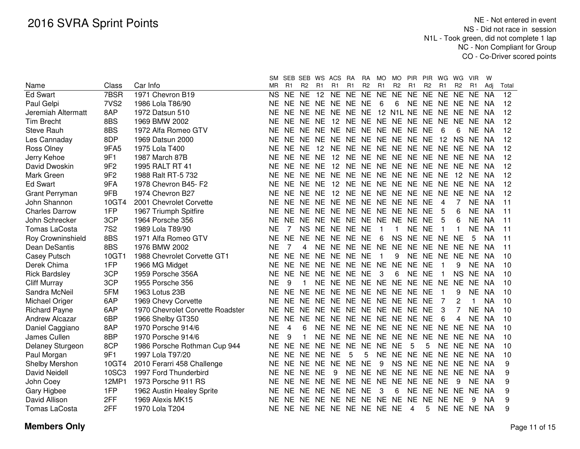|                       |                  |                                  |           |           | SM SEB SEB WS ACS |                |                                     | RA        | RA             | MO.            | MO             | PIR.              | <b>PIR</b>     | WG              | WG             | <b>VIR</b>     | w         |       |
|-----------------------|------------------|----------------------------------|-----------|-----------|-------------------|----------------|-------------------------------------|-----------|----------------|----------------|----------------|-------------------|----------------|-----------------|----------------|----------------|-----------|-------|
| Name                  | Class            | Car Info                         | <b>MR</b> | R1        | R <sub>2</sub>    | R <sub>1</sub> | R1                                  | R1        | R <sub>2</sub> | R <sub>1</sub> | R <sub>2</sub> | R <sub>1</sub>    | R <sub>2</sub> | R <sub>1</sub>  | R <sub>2</sub> | R <sub>1</sub> | Adj       | Total |
| <b>Ed Swart</b>       | 7BSR             | 1971 Chevron B19                 | NS.       | <b>NE</b> | <b>NE</b>         | 12             | <b>NE</b>                           | <b>NE</b> | NE NE          |                | <b>NE</b>      | NE NE             |                | <b>NE</b>       | <b>NE</b>      | <b>NE</b>      | <b>NA</b> | 12    |
| Paul Gelpi            | 7VS <sub>2</sub> | 1986 Lola T86/90                 | NΕ        |           |                   |                | NE NE NE NE NE NE                   |           |                | 6              | 6              |                   |                | NE NE NE NE     |                | NE NA          |           | 12    |
| Jeremiah Altermatt    | 8AP              | 1972 Datsun 510                  | NE        |           | NE NE             | NE.            | NE NE NE                            |           |                |                |                | 12 N1L NE NE NE   |                |                 | NE.            | NE.            | NA        | 12    |
| <b>Tim Brecht</b>     | 8BS              | 1969 BMW 2002                    | NE        | NE NE     |                   | NE.            | 12                                  |           |                |                |                | NE NE NE NE NE NE |                | NE.             | NE.            | <b>NE</b>      | NA.       | 12    |
| <b>Steve Rauh</b>     | 8BS              | 1972 Alfa Romeo GTV              | NΕ        |           |                   |                | NE NE NE NE NE NE NE NE NE NE       |           |                |                |                |                   |                | 6               | 6              | NE NA          |           | 12    |
| Les Cannaday          | 8DP              | 1969 Datsun 2000                 | ΝE        |           |                   |                | NE NE NE NE NE NE NE NE NE NE       |           |                |                |                |                   |                | 12 <sup>°</sup> | <b>NS</b>      | NE NA          |           | 12    |
| Ross Olney            | 9FA5             | 1975 Lola T400                   | ΝE        | NE NE     |                   |                | 12 NE NE NE NE NE NE NE NE NE       |           |                |                |                |                   |                |                 |                | NE NA          |           | 12    |
| Jerry Kehoe           | 9F1              | 1987 March 87B                   | ΝE        |           |                   |                | NE NE NE 12 NE NE NE NE NE NE NE NE |           |                |                |                |                   |                |                 |                | NE NA          |           | 12    |
| David Dwoskin         | 9F <sub>2</sub>  | 1995 RALT RT 41                  | ΝE        |           |                   |                | NE NE NE 12 NE NE NE NE NE NE NE    |           |                |                |                |                   |                |                 | NE.            | NE NA          |           | 12    |
| Mark Green            | 9F <sub>2</sub>  | 1988 Ralt RT-5 732               | <b>NE</b> |           | NE NE             |                | NE NE NE                            |           |                |                |                | NE NE NE NE NE NE |                |                 | 12             | NE.            | NA        | 12    |
| <b>Ed Swart</b>       | 9FA              | 1978 Chevron B45- F2             | <b>NE</b> |           | NE NE             | <b>NE</b>      | 12                                  | NE.       |                |                |                | NE NE NE NE NE NE |                |                 | <b>NE</b>      | NE NA          |           | 12    |
| <b>Grant Perryman</b> | 9FB              | 1974 Chevron B27                 | <b>NE</b> |           | NE NE             | <b>NE</b>      | 12                                  | <b>NE</b> |                |                |                | NE NE NE NE NE    |                | <b>NE</b>       | <b>NE</b>      | NE.            | <b>NA</b> | 12    |
| John Shannon          | 10GT4            | 2001 Chevrolet Corvette          | <b>NE</b> | NE.       | NE.               |                | NE NE NE                            |           |                |                |                | NE NE NE NE NE    |                | 4               |                | <b>NE</b>      | <b>NA</b> | 11    |
| <b>Charles Darrow</b> | 1FP              | 1967 Triumph Spitfire            | NE        | <b>NE</b> | <b>NE</b>         |                | NE NE NE NE NE NE NE                |           |                |                |                |                   | <b>NE</b>      | 5               | 6              | <b>NE</b>      | <b>NA</b> | 11    |
| John Schrecker        | 3CP              | 1964 Porsche 356                 | NE        | NE.       | <b>NE</b>         |                | NE NE NE                            |           |                |                | NE NE NE NE    |                   | <b>NE</b>      | 5               | 6              | <b>NE</b>      | <b>NA</b> | 11    |
| <b>Tomas LaCosta</b>  | <b>7S2</b>       | 1989 Lola T89/90                 | <b>NE</b> | 7         | <b>NS</b>         |                | NE NE NE                            |           | <b>NE</b>      | $\mathbf{1}$   | 1              | <b>NE</b>         | <b>NE</b>      | 1               | 1              | <b>NE</b>      | <b>NA</b> | 11    |
| Roy Crowninshield     | 8BS              | 1971 Alfa Romeo GTV              | <b>NE</b> | <b>NE</b> | <b>NE</b>         | <b>NE</b>      | NE NE                               |           | <b>NE</b>      | 6              | <b>NS</b>      | <b>NE</b>         | <b>NE</b>      | <b>NE</b>       | <b>NE</b>      | 5              | <b>NA</b> | 11    |
| Dean DeSantis         | 8BS              | 1976 BMW 2002                    | NE        | 7         | 4                 | <b>NE</b>      | NE NE                               |           | <b>NE</b>      | <b>NE</b>      | <b>NE</b>      | <b>NE</b>         | <b>NE</b>      | NE.             | NE             | <b>NE</b>      | <b>NA</b> | 11    |
| Casey Putsch          | 10GT1            | 1988 Chevrolet Corvette GT1      | <b>NE</b> | <b>NE</b> | <b>NE</b>         | <b>NE</b>      | NE NE                               |           | <b>NE</b>      | $\mathbf{1}$   | 9              | <b>NE</b>         | <b>NE</b>      | <b>NE</b>       | <b>NE</b>      | <b>NE</b>      | <b>NA</b> | 10    |
| Derek Chima           | 1FP              | 1966 MG Midget                   | <b>NE</b> | <b>NE</b> | <b>NE</b>         | <b>NE</b>      | NE NE                               |           | <b>NE</b>      | <b>NE</b>      | <b>NE</b>      | <b>NE</b>         | <b>NE</b>      |                 | 9              | <b>NE</b>      | <b>NA</b> | 10    |
| <b>Rick Bardsley</b>  | 3CP              | 1959 Porsche 356A                | <b>NE</b> | <b>NE</b> | <b>NE</b>         | <b>NE</b>      | NE NE                               |           | <b>NE</b>      | 3              | 6              | <b>NE</b>         | <b>NE</b>      | 1               | <b>NS</b>      | <b>NE</b>      | <b>NA</b> | 10    |
| <b>Cliff Murray</b>   | 3CP              | 1955 Porsche 356                 | <b>NE</b> | 9         |                   | <b>NE</b>      | NE NE                               |           | <b>NE</b>      | NE NE          |                | <b>NE</b>         | <b>NE</b>      | <b>NE</b>       | <b>NE</b>      | <b>NE</b>      | <b>NA</b> | 10    |
| Sandra McNeil         | 5FM              | 1963 Lotus 23B                   | <b>NE</b> | <b>NE</b> | <b>NE</b>         | <b>NE</b>      | NE NE                               |           | NE.            | NE NE          |                | <b>NE</b>         | <b>NE</b>      |                 | 9              | <b>NE</b>      | <b>NA</b> | 10    |
| Michael Origer        | 6AP              | 1969 Chevy Corvette              | <b>NE</b> | <b>NE</b> | NE.               | <b>NE</b>      | NE NE                               |           |                |                | NE NE NE NE    |                   | <b>NE</b>      | 7               | 2              | 1              | <b>NA</b> | 10    |
| <b>Richard Payne</b>  | 6AP              | 1970 Chevrolet Corvette Roadster | <b>NE</b> |           | NE NE             |                | NE NE NE NE NE NE NE                |           |                |                |                |                   | <b>NE</b>      | 3               |                | <b>NE</b>      | <b>NA</b> | 10    |
| Andrew Alcazar        | 6BP              | 1966 Shelby GT350                | <b>NE</b> | NE.       | NE.               | <b>NE</b>      | NE NE                               |           |                |                |                | NE NE NE NE       | <b>NE</b>      | 6               | 4              | <b>NE</b>      | <b>NA</b> | 10    |
| Daniel Caggiano       | 8AP              | 1970 Porsche 914/6               | <b>NE</b> | 4         | 6                 | <b>NE</b>      | NE NE                               |           |                |                |                | NE NE NE NE NE    |                | <b>NE</b>       | <b>NE</b>      | NE.            | <b>NA</b> | 10    |
| James Cullen          | 8BP              | 1970 Porsche 914/6               | <b>NE</b> | 9         |                   | <b>NE</b>      | NE NE                               |           | NE NE NE       |                |                | <b>NE</b>         | <b>NE</b>      | <b>NE</b>       | <b>NE</b>      | NE NA          |           | 10    |
| Delaney Sturgeon      | 8CP              | 1986 Porsche Rothman Cup 944     | <b>NE</b> | <b>NE</b> | <b>NE</b>         | <b>NE</b>      | NE NE                               |           | <b>NE</b>      | NE NE          |                | 5                 | 5              | <b>NE</b>       | <b>NE</b>      | NE NA          |           | 10    |
| Paul Morgan           | 9F1              | 1997 Lola T97/20                 | <b>NE</b> | <b>NE</b> | NE.               | <b>NE</b>      | <b>NE</b>                           | 5         | 5              | NE.            | <b>NE</b>      | <b>NE</b>         | <b>NE</b>      | NE.             | <b>NE</b>      | NE.            | NA        | 10    |
| Shelby Mershon        | 10GT4            | 2010 Ferarri 458 Challenge       | <b>NE</b> | NE.       | NE.               | NE.            | NE NE                               |           | <b>NE</b>      | 9              | <b>NS</b>      | <b>NE</b>         | NE NE          |                 | <b>NE</b>      | NE NA          |           | 9     |
| <b>David Neidell</b>  | 10SC3            | 1997 Ford Thunderbird            | <b>NE</b> | NE.       | <b>NE</b>         | <b>NE</b>      | 9                                   | <b>NE</b> | <b>NE</b>      | <b>NE</b>      | <b>NE</b>      | <b>NE</b>         | <b>NE</b>      | <b>NE</b>       | <b>NE</b>      | NE.            | - NA      | 9     |
| John Coey             | 12MP1            | 1973 Porsche 911 RS              | <b>NE</b> | NE NE     |                   | <b>NE</b>      | NE NE                               |           | NE NE NE       |                |                | <b>NE</b>         | NE NE          |                 | 9              | NE NA          |           | 9     |
| Gary Higbee           | 1FP              | 1962 Austin Healey Sprite        | NE        | NE NE     |                   | <b>NE</b>      | NE NE                               |           | <b>NE</b>      | 3              | 6              | <b>NE</b>         | NE             | <b>NE</b>       | <b>NE</b>      | NE.            | - NA      | 9     |
| David Allison         | 2FF              | 1969 Alexis MK15                 | ΝE        | <b>NE</b> | NE.               | <b>NE</b>      | NE NE                               |           | <b>NE</b>      | <b>NE</b>      | <b>NE</b>      | <b>NE</b>         | <b>NE</b>      | NE.             | NE             | 9              | <b>NA</b> | 9     |
| Tomas LaCosta         | 2FF              | 1970 Lola T204                   | ΝE        |           |                   |                | NE NE NE NE NE NE NE NE             |           |                |                |                | 4                 | 5              |                 | NE NE          | NE NA          |           | 9     |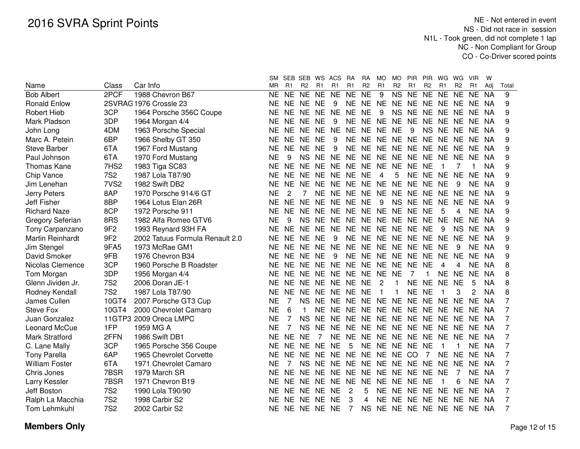|                         |                  |                                 |           | SM SEB SEB WS ACS |                |                |                               | <b>RA</b> | <b>RA</b>      | MO.            | MO.            |                         | PIR PIR        | WG        | WG             | <b>VIR</b> | w         |                |
|-------------------------|------------------|---------------------------------|-----------|-------------------|----------------|----------------|-------------------------------|-----------|----------------|----------------|----------------|-------------------------|----------------|-----------|----------------|------------|-----------|----------------|
| Name                    | Class            | Car Info                        | MR        | R1                | R <sub>2</sub> | R <sub>1</sub> | R1                            | R1        | R <sub>2</sub> | R1             | R <sub>2</sub> | R <sub>1</sub>          | R <sub>2</sub> | R1        | R <sub>2</sub> | R1         | Adj       | Total          |
| <b>Bob Albert</b>       | 2PCF             | 1988 Chevron B67                | <b>NE</b> | <b>NE</b>         | <b>NE</b>      | <b>NE</b>      | <b>NE</b>                     | <b>NE</b> | <b>NE</b>      | 9              | <b>NS</b>      | <b>NE</b>               | $N_{E}$        | <b>NE</b> | <b>NE</b>      | <b>NE</b>  | <b>NA</b> | 9              |
| <b>Ronald Enlow</b>     |                  | 2SVRAG 1976 Crossle 23          | NE        | <b>NE</b>         | NE NE          |                | 9                             |           | NE NE NE       |                |                | NE NE                   | NE NE          |           | <b>NE</b>      | NE.        | NA        | 9              |
| <b>Robert Hieb</b>      | 3CP              | 1964 Porsche 356C Coupe         | <b>NE</b> | <b>NE</b>         | NE NE          |                | <b>NE</b>                     | <b>NE</b> | <b>NE</b>      | 9              | <b>NS</b>      | <b>NE</b>               | NE NE          |           | NE.            | <b>NE</b>  | <b>NA</b> | 9              |
| Mark Pladson            | 3DP              | 1964 Morgan 4/4                 | <b>NE</b> | <b>NE</b>         | NE NE          |                | 9                             | <b>NE</b> | <b>NE</b>      | <b>NE</b>      | NE.            | <b>NE</b>               | NE NE          |           | NE.            | NE.        | <b>NA</b> | 9              |
| John Long               | 4DM              | 1963 Porsche Special            | <b>NE</b> | NE.               | NE NE          |                | <b>NE</b>                     | <b>NE</b> | NE.            | NE NE          |                | 9                       | NS NE          |           | NE.            | NE.        | -NA       | 9              |
| Marc A. Petein          | 6BP              | 1966 Shelby GT 350              | NΕ        | NE.               | NE NE          |                | 9                             |           | NE NE          |                |                | NE NE NE NE NE NE       |                |           |                | NE NA      |           | 9              |
| <b>Steve Barber</b>     | 6TA              | 1967 Ford Mustang               | <b>NE</b> | NE.               | NE NE          |                | 9                             |           |                |                |                | NE NE NE NE NE NE NE NE |                |           |                | NE NA      |           | 9              |
| Paul Johnson            | 6TA              | 1970 Ford Mustang               | <b>NE</b> | 9                 |                |                | NS NE NE NE NE NE NE NE NE NE |           |                |                |                |                         |                |           | <b>NE</b>      | NE NA      |           | 9              |
| Thomas Kane             | 7HS2             | 1983 Tiga SC83                  | <b>NE</b> | <b>NE</b>         |                |                | NE NE NE NE NE NE NE NE       |           |                |                |                |                         | <b>NE</b>      |           |                |            | ΝA        | 9              |
| Chip Vance              | <b>7S2</b>       | 1987 Lola T87/90                | NE        | <b>NE</b>         |                |                | NE NE NE NE NE                |           |                | $\overline{4}$ | 5              |                         | NE NE NE       |           | <b>NE</b>      | NE.        | <b>NA</b> | 9              |
| Jim Lenehan             | 7VS <sub>2</sub> | 1982 Swift DB2                  | <b>NE</b> |                   |                |                | NE NE NE NE NE NE NE NE       |           |                |                |                | NE NE NE                |                |           | 9              | NE NA      |           | 9              |
| Jerry Peters            | 8AP              | 1970 Porsche 914/6 GT           | <b>NE</b> | 2                 |                |                | NE NE NE NE NE NE NE NE NE    |           |                |                |                |                         |                |           | <b>NE</b>      | NE NA      |           | 9              |
| Jeff Fisher             | 8BP              | 1964 Lotus Elan 26R             | <b>NE</b> | NE NE             |                | <b>NE</b>      | NE NE                         |           | <b>NE</b>      | -9             |                | NS NE NE NE             |                |           | <b>NE</b>      | NE NA      |           | 9              |
| <b>Richard Naze</b>     | 8CP              | 1972 Porsche 911                | <b>NE</b> | NE NE             |                |                | NE NE NE                      |           |                | NE NE NE       |                | NE NE                   |                | 5         | 4              | NE NA      |           | 9              |
| <b>Gregory Seferian</b> | 8RS              | 1982 Alfa Romeo GTV6            | <b>NE</b> | 9                 |                |                | NS NE NE NE                   |           |                |                |                | NE NE NE NE NE NE       |                |           | <b>NE</b>      | NE NA      |           | 9              |
| Tony Carpanzano         | 9F <sub>2</sub>  | 1993 Reynard 93H FA             | <b>NE</b> | <b>NE</b>         | <b>NE</b>      | <b>NE</b>      | <b>NE</b>                     | <b>NE</b> | <b>NE</b>      | NE NE          |                | <b>NE</b>               | <b>NE</b>      | 9         | <b>NS</b>      | <b>NE</b>  | <b>NA</b> | 9              |
| Martin Reinhardt        | 9F <sub>2</sub>  | 2002 Tatuus Formula Renault 2.0 | <b>NE</b> | <b>NE</b>         | <b>NE</b>      | <b>NE</b>      | 9                             | <b>NE</b> | <b>NE</b>      | NE NE          |                | <b>NE</b>               | NE NE          |           | <b>NE</b>      | <b>NE</b>  | <b>NA</b> | 9              |
| Jim Stengel             | 9FA5             | 1973 McRae GM1                  | <b>NE</b> | <b>NE</b>         | <b>NE</b>      | <b>NE</b>      | <b>NE</b>                     | <b>NE</b> | <b>NE</b>      | NE NE          |                | <b>NE</b>               | NE NE          |           | 9              | NE.        | NA        | 9              |
| David Smoker            | 9FB              | 1976 Chevron B34                | <b>NE</b> | <b>NE</b>         | NE.            | <b>NE</b>      | 9                             | <b>NE</b> | <b>NE</b>      | NE NE          |                | <b>NE</b>               | <b>NE</b>      | <b>NE</b> | <b>NE</b>      | NE.        | NA        | 9              |
| Nicolas Clemence        | 3CP              | 1960 Porsche B Roadster         | <b>NE</b> | <b>NE</b>         | NE.            | <b>NE</b>      | <b>NE</b>                     | NE.       | <b>NE</b>      | NE NE          |                | <b>NE</b>               | <b>NE</b>      | 4         | 4              | NE.        | NA        | 8              |
| Tom Morgan              | 3DP              | 1956 Morgan 4/4                 | <b>NE</b> | <b>NE</b>         | NE NE          |                | <b>NE</b>                     | NE.       | <b>NE</b>      | <b>NE</b>      | <b>NE</b>      | 7                       | 1              | <b>NE</b> | <b>NE</b>      | <b>NE</b>  | <b>NA</b> | 8              |
| Glenn Jividen Jr.       | <b>7S2</b>       | 2006 Doran JE-1                 | <b>NE</b> | <b>NE</b>         | NE.            | NE.            | NE NE                         |           | <b>NE</b>      | $\overline{2}$ | 1              | <b>NE</b>               | <b>NE</b>      | <b>NE</b> | <b>NE</b>      | 5          | <b>NA</b> | 8              |
| Rodney Kendall          | <b>7S2</b>       | 1987 Lola T87/90                | <b>NE</b> | <b>NE</b>         | <b>NE</b>      | <b>NE</b>      | <b>NE</b>                     | <b>NE</b> | <b>NE</b>      | $\mathbf{1}$   | 1              | <b>NE</b>               | <b>NE</b>      |           | 3              | 2          | <b>NA</b> | 8              |
| James Cullen            | 10GT4            | 2007 Porsche GT3 Cup            | <b>NE</b> |                   | <b>NS</b>      | <b>NE</b>      | <b>NE</b>                     | <b>NE</b> | <b>NE</b>      | <b>NE</b>      | <b>NE</b>      | <b>NE</b>               | <b>NE</b>      | <b>NE</b> | <b>NE</b>      | <b>NE</b>  | <b>NA</b> | 7              |
| Steve Fox               | 10GT4            | 2000 Chevrolet Camaro           | <b>NE</b> | 6                 |                | <b>NE</b>      | <b>NE</b>                     | <b>NE</b> | <b>NE</b>      | NE NE          |                | <b>NE</b>               | NE NE          |           | <b>NE</b>      | NE.        | NA        | 7              |
| Juan Gonzalez           |                  | 11GTP3 2009 Oreca LMPC          | <b>NE</b> |                   | <b>NS</b>      | <b>NE</b>      | <b>NE</b>                     | <b>NE</b> | <b>NE</b>      | NE NE          |                | <b>NE</b>               | NE NE          |           | <b>NE</b>      | NE NA      |           | 7              |
| Leonard McCue           | 1FP              | 1959 MG A                       | <b>NE</b> | 7                 | <b>NS</b>      | <b>NE</b>      | NE.                           | NE.       | NE.            | NE NE          |                | <b>NE</b>               | NE NE          |           | NE.            | NE NA      |           | 7              |
| Mark Stratford          | 2FFN             | 1986 Swift DB1                  | <b>NE</b> | <b>NE</b>         | <b>NE</b>      | 7              | NE.                           | NE.       | NE.            | NE NE NE       |                |                         | NE NE          |           | NE.            | NE NA      |           | 7              |
| C. Lane Mally           | 3CP              | 1965 Porsche 356 Coupe          | <b>NE</b> | <b>NE</b>         | NE NE          |                | <b>NE</b>                     | 5         | NE.            | NE NE          |                | NE.                     | <b>NE</b>      |           |                |            | NE NA     | 7              |
| <b>Tony Parella</b>     | 6AP              | 1965 Chevrolet Corvette         | <b>NE</b> | <b>NE</b>         | NE.            | NE.            | NE NE                         |           | <b>NE</b>      | NE NE CO       |                |                         | 7              | NE.       | <b>NE</b>      | NE NA      |           | 7              |
| <b>William Foster</b>   | 6TA              | 1971 Chevrolet Camaro           | <b>NE</b> | 7                 | <b>NS</b>      | NE.            | <b>NE</b>                     | <b>NE</b> | <b>NE</b>      | NE NE          |                | <b>NE</b>               | <b>NE</b>      | <b>NE</b> | <b>NE</b>      | NE NA      |           | 7              |
| Chris Jones             | 7BSR             | 1979 March SR                   | <b>NE</b> | <b>NE</b>         | NE.            | <b>NE</b>      | <b>NE</b>                     | <b>NE</b> | <b>NE</b>      | NE NE          |                | <b>NE</b>               | <b>NE</b>      | <b>NE</b> | 7              | NE.        | - NA      | $\overline{7}$ |
| Larry Kessler           | 7BSR             | 1971 Chevron B19                | <b>NE</b> | <b>NE</b>         | NE NE          |                | <b>NE</b>                     | <b>NE</b> | <b>NE</b>      | NE NE          |                | <b>NE</b>               | <b>NE</b>      |           | 6              | NE NA      |           | $\overline{7}$ |
| Jeff Boston             | <b>7S2</b>       | 1990 Lola T90/90                | <b>NE</b> |                   | NE NE NE       |                | <b>NE</b>                     | 2         | 5              |                | NE NE          | <b>NE</b>               | NE NE          |           | <b>NE</b>      | NE NA      |           | 7              |
| Ralph La Macchia        | <b>7S2</b>       | 1998 Carbir S2                  | <b>NE</b> | <b>NE</b>         | NE NE          |                | <b>NE</b>                     | 3         | 4              | <b>NE</b>      | NE.            | <b>NE</b>               | NE NE          |           | <b>NE</b>      | NE NA      |           | 7              |
| Tom Lehmkuhl            | <b>7S2</b>       | 2002 Carbir S2                  | <b>NE</b> |                   | NE NE NE       |                | NE                            | 7         | <b>NS</b>      |                |                | NE NE NE NE NE NE       |                |           |                | NE NA      |           | 7              |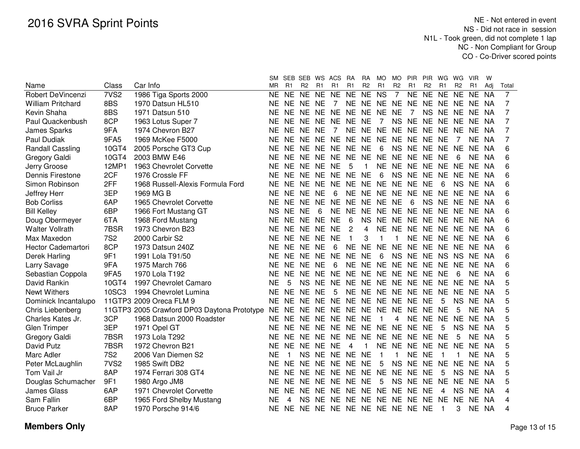|                          |                  |                                             |           | SM SEB SEB WS ACS |                |           |                               | <b>RA</b> | <b>RA</b>      | MO.            | MO             | <b>PIR</b>           | <b>PIR</b>     | WG        | WG             | <b>VIR</b>     | w         |                |
|--------------------------|------------------|---------------------------------------------|-----------|-------------------|----------------|-----------|-------------------------------|-----------|----------------|----------------|----------------|----------------------|----------------|-----------|----------------|----------------|-----------|----------------|
| Name                     | Class            | Car Info                                    | ΜR        | R <sub>1</sub>    | R <sub>2</sub> | R1        | R1                            | R1        | R <sub>2</sub> | R <sub>1</sub> | R <sub>2</sub> | R1                   | R <sub>2</sub> | R1        | R <sub>2</sub> | R <sub>1</sub> | Adj       | Total          |
| <b>Robert DeVincenzi</b> | 7VS <sub>2</sub> | 1986 Tiga Sports 2000                       | NE.       | NE.               | NE.            | NE.       | <b>NE</b>                     | <b>NE</b> | NE NS          |                | $\overline{7}$ | NE NE                |                | <b>NE</b> | <b>NE</b>      | <b>NE</b>      | <b>NA</b> | $\overline{7}$ |
| <b>William Pritchard</b> | 8BS              | 1970 Datsun HL510                           | <b>NE</b> | NE NE             |                | NE.       | $\overline{7}$                |           |                |                |                | NE NE NE NE NE NE NE |                |           | NE.            | NE NA          |           | 7              |
| Kevin Shaha              | 8BS              | 1971 Datsun 510                             | ΝE        | NE NE             |                |           | NE NE NE                      |           |                | NE NE NE       |                | 7                    | NS NE          |           | <b>NE</b>      | NE.            | NA.       | 7              |
| Paul Quackenbush         | 8CP              | 1963 Lotus Super 7                          | ΝE        | NE NE             |                | <b>NE</b> | NE NE                         |           | <b>NE</b>      | $\overline{7}$ | <b>NS</b>      | NE NE NE             |                |           | <b>NE</b>      | NE.            | NA.       | 7              |
| James Sparks             | 9FA              | 1974 Chevron B27                            | <b>NE</b> | <b>NE</b>         | <b>NE</b>      | <b>NE</b> | $\overline{7}$                | <b>NE</b> |                | NE NE NE       |                | <b>NE</b>            | <b>NE</b>      | <b>NE</b> | <b>NE</b>      | <b>NE</b>      | ΝA        | 7              |
| Paul Dudiak              | 9FA5             | 1969 McKee F5000                            | <b>NE</b> | <b>NE</b>         | <b>NE</b>      | <b>NE</b> | <b>NE</b>                     | <b>NE</b> | <b>NE</b>      | NE NE          |                | <b>NE</b>            | NE NE          |           |                | NE.            | <b>NA</b> | 7              |
| Randall Cassling         | 10GT4            | 2005 Porsche GT3 Cup                        | <b>NE</b> | NE NE             |                | <b>NE</b> | NE NE                         |           | <b>NE</b>      | 6              | <b>NS</b>      | <b>NE</b>            | NE NE          |           | <b>NE</b>      | NE.            | <b>NA</b> | 6              |
| <b>Gregory Galdi</b>     | 10GT4            | 2003 BMW E46                                | <b>NE</b> | NE NE             |                | NE.       | NE NE                         |           | <b>NE</b>      | <b>NE</b>      | <b>NE</b>      | <b>NE</b>            | NE NE          |           | 6              | NE.            | NA        | 6              |
| Jerry Groose             | 12MP1            | 1963 Chevrolet Corvette                     | <b>NE</b> | NE NE             |                | <b>NE</b> | <b>NE</b>                     | 5         | 1              | NE NE          |                | <b>NE</b>            | NE NE          |           | NE.            | NE.            | NA        | 6              |
| Dennis Firestone         | 2CF              | 1976 Crossle FF                             | <b>NE</b> | NE NE             |                | <b>NE</b> | NE NE                         |           | <b>NE</b>      | 6              | <b>NS</b>      | <b>NE</b>            | NE NE          |           | NE.            | NE NA          |           | 6              |
| Simon Robinson           | 2FF              | 1968 Russell-Alexis Formula Ford            | <b>NE</b> | NE NE             |                | <b>NE</b> | NE NE                         |           | <b>NE</b>      | NE NE          |                | <b>NE</b>            | <b>NE</b>      | 6         | NS.            | NE.            | - NA      | 6              |
| Jeffrey Herr             | 3EP              | 1969 MG B                                   | <b>NE</b> | NE NE             |                | <b>NE</b> | 6                             | <b>NE</b> | <b>NE</b>      | NE NE          |                | <b>NE</b>            | NE NE          |           | <b>NE</b>      | NE NA          |           | 6              |
| <b>Bob Corliss</b>       | 6AP              | 1965 Chevrolet Corvette                     | <b>NE</b> | NE NE             |                | <b>NE</b> | NE NE                         |           | <b>NE</b>      | NE NE          |                | 6                    | <b>NS</b>      | <b>NE</b> | <b>NE</b>      | NE.            | - NA      | 6              |
| <b>Bill Kelley</b>       | 6BP              | 1966 Fort Mustang GT                        | <b>NS</b> | NE NE             |                | 6         | NE NE                         |           | <b>NE</b>      | NE NE          |                | <b>NE</b>            | NE NE          |           | <b>NE</b>      | NE.            | - NA      | 6              |
| Doug Obermeyer           | 6TA              | 1968 Ford Mustang                           | <b>NE</b> | NE NE             |                | <b>NE</b> | <b>NE</b>                     | 6         | <b>NS</b>      | NE NE          |                | <b>NE</b>            | NE NE          |           | <b>NE</b>      | NE.            | - NA      | 6              |
| <b>Walter Vollrath</b>   | 7BSR             | 1973 Chevron B23                            | NE.       | NE NE             |                | <b>NE</b> | <b>NE</b>                     | 2         | 4              | NE NE          |                | NE NE NE NE          |                |           |                | NE NA          |           | 6              |
| Max Maxedon              | <b>7S2</b>       | 2000 Carbir S2                              | <b>NE</b> | NE NE             |                | <b>NE</b> | <b>NE</b>                     | 1         | 3              | 1              | 1              |                      | NE NE NE       |           | <b>NE</b>      | NE NA          |           | 6              |
| Hector Cademartori       | 8CP              | 1973 Datsun 240Z                            | <b>NE</b> | NE NE             |                | <b>NE</b> | 6                             | <b>NE</b> |                | NE NE NE       |                | NE NE NE             |                |           | <b>NE</b>      | NE NA          |           | 6              |
| Derek Harling            | 9F1              | 1991 Lola T91/50                            | <b>NE</b> | NE NE             |                | NE.       | NE NE                         |           | <b>NE</b>      | 6              | <b>NS</b>      | NE NE NS             |                |           | <b>NS</b>      | NE NA          |           | 6              |
| Larry Savage             | 9FA              | 1975 March 766                              | <b>NE</b> | NE NE             |                | <b>NE</b> | 6                             | <b>NE</b> |                | NE NE NE       |                | NE NE NE             |                |           | <b>NE</b>      | NE NA          |           | 6              |
| Sebastian Coppola        | 9FA5             | 1970 Lola T192                              | <b>NE</b> | NE NE             |                | <b>NE</b> | NE NE                         |           |                | NE NE NE       |                | NE NE NE             |                |           | 6              | NE.            | <b>NA</b> | 6              |
| David Rankin             | 10GT4            | 1997 Chevrolet Camaro                       | <b>NE</b> | 5                 | <b>NS</b>      | <b>NE</b> | NE NE                         |           |                | NE NE NE       |                | NE NE NE             |                |           | <b>NE</b>      | NE.            | <b>NA</b> | 5              |
| <b>Newt Withers</b>      | 10SC3            | 1994 Chevrolet Lumina                       | <b>NE</b> | NE NE             |                | <b>NE</b> | 5                             | <b>NE</b> |                |                |                | NE NE NE NE NE NE    |                |           | <b>NE</b>      | NE.            | <b>NA</b> | 5              |
| Dominick Incantalupo     |                  | 11GTP3 2009 Oreca FLM 9                     | <b>NE</b> | NE NE             |                | <b>NE</b> | NE NE                         |           |                |                |                | NE NE NE NE NE       |                | 5         | <b>NS</b>      | NE.            | <b>NA</b> | 5              |
| Chris Liebenberg         |                  | 11GTP3 2005 Crawford DP03 Daytona Prototype | NE.       | NE NE             |                | <b>NE</b> | NE NE                         |           |                | NE NE NE       |                | NE NE NE             |                |           | 5              | NE.            | <b>NA</b> | 5              |
| Charles Kates Jr.        | 3CP              | 1968 Datsun 2000 Roadster                   | NE.       | NE NE             |                |           | NE NE NE                      |           | <b>NE</b>      | -1             | 4              | NE NE NE             |                |           | <b>NE</b>      | NE.            | NA        | 5              |
| <b>Glen Trimper</b>      | 3EP              | 1971 Opel GT                                | NE.       |                   |                |           | NE NE NE NE NE NE NE NE NE NE |           |                |                |                |                      |                | 5         | NS.            | NE.            | NA        | 5              |
| Gregory Galdi            | 7BSR             | 1973 Lola T292                              | NE.       | NE NE             |                |           | NE NE NE                      |           |                |                |                | NE NE NE NE NE NE    |                |           | 5              | NE.            | - NA      | 5              |
| David Putz               | 7BSR             | 1972 Chevron B21                            | NE.       | NE NE NE NE       |                |           |                               | 4         | 1              |                |                | NE NE NE NE NE       |                |           | <b>NE</b>      | NE.            | - NA      | 5              |
| Marc Adler               | <b>7S2</b>       | 2006 Van Diemen S2                          | ΝE        |                   | <b>NS</b>      |           | NE NE NE NE                   |           |                | -1             | 1              | NE NE                |                | -1        | 1              | NE.            | <b>NA</b> | 5              |
| Peter McLaughlin         | 7VS <sub>2</sub> | 1985 Swift DB2                              | NE        | NE.               | NE.            | NE.       | NE NE NE                      |           |                | 5              | NS.            | NE NE                |                | NE.       | NE.            | - NE           | <b>NA</b> | 5              |
| Tom Vail Jr              | 8AP              | 1974 Ferrari 308 GT4                        | NE        | NE NE             |                |           | NE NE NE NE NE                |           |                |                | NE.            | NE.                  | <b>NE</b>      | 5         |                | NS NE          | <b>NA</b> | 5              |
| Douglas Schumacher       | 9F1              | 1980 Argo JM8                               | NE        | NE NE             |                | NE.       | NE NE                         |           | NE.            | 5              |                | NS NE NE NE          |                |           | NE.            | NE NA          |           | 5              |
| James Glass              | 6AP              | 1971 Chevrolet Corvette                     | ΝE        | NE NE             |                |           | NE NE NE NE NE NE NE NE       |           |                |                |                |                      |                | 4         | NS.            | NE NA          |           | 4              |
| Sam Fallin               | 6BP              | 1965 Ford Shelby Mustang                    | <b>NE</b> | 4                 | <b>NS</b>      |           | NE NE NE NE NE NE NE NE NE    |           |                |                |                |                      |                |           | <b>NE</b>      | NE NA          |           | 4              |
| <b>Bruce Parker</b>      | 8AP              | 1970 Porsche 914/6                          | NF.       |                   |                |           | NE NE NE NE NE NE NE NE NE NE |           |                |                |                |                      |                | 1         | 3              | NE NA          |           | 4              |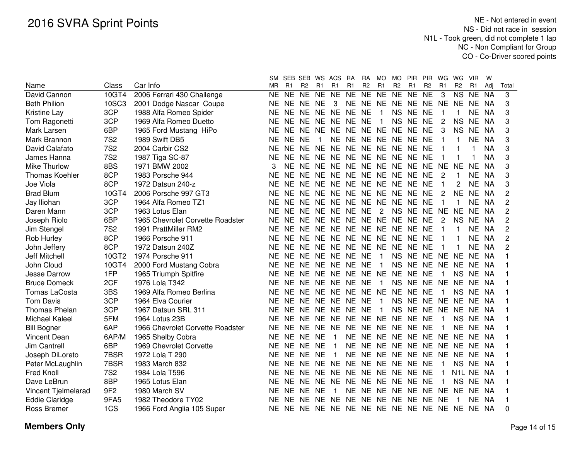|                       |                 |                                  | SM.       |                | SEB SEB WS ACS |              |                      | RA             | RA             | MO.            | MO.            | <b>PIR</b>           | <b>PIR</b>     | WG             | WG             | <b>VIR</b>     | w         |                |
|-----------------------|-----------------|----------------------------------|-----------|----------------|----------------|--------------|----------------------|----------------|----------------|----------------|----------------|----------------------|----------------|----------------|----------------|----------------|-----------|----------------|
| Name                  | Class           | Car Info                         | MR.       | R <sub>1</sub> | R <sub>2</sub> | R1           | R1                   | R <sub>1</sub> | R <sub>2</sub> | R <sub>1</sub> | R <sub>2</sub> | R <sub>1</sub>       | R <sub>2</sub> | R <sub>1</sub> | R <sub>2</sub> | R <sub>1</sub> | Adj       | Total          |
| David Cannon          | 10GT4           | 2006 Ferrari 430 Challenge       | ΝE        | NE.            | <b>NE</b>      | NE NE        |                      | <b>NE</b>      | NE NE          |                | <b>NE</b>      | NE NE                |                | 3              |                | NS NE          | <b>NA</b> | 3              |
| <b>Beth Philion</b>   | 10SC3           | 2001 Dodge Nascar Coupe          | ΝE        |                | NE NE NE       |              | 3                    |                |                |                |                | NE NE NE NE NE NE NE |                |                | <b>NE</b>      | NE NA          |           | 3              |
| <b>Kristine Lay</b>   | 3CP             | 1988 Alfa Romeo Spider           | ΝE        |                |                |              | NE NE NE NE NE NE    |                |                | $\mathbf{1}$   |                | NS NE NE             |                |                |                | NE NA          |           | 3              |
| Tom Ragonetti         | 3CP             | 1969 Alfa Romeo Duetto           | ΝE        |                |                |              | NE NE NE NE NE NE    |                |                | $\overline{1}$ | <b>NS</b>      | NE NE                |                | $\mathbf{2}$   | <b>NS</b>      | NE.            | <b>NA</b> | 3              |
| Mark Larsen           | 6BP             | 1965 Ford Mustang HiPo           | <b>NE</b> | NE NE          |                |              | NE NE NE NE NE NE NE |                |                |                |                |                      | <b>NE</b>      | 3              | <b>NS</b>      | NE.            | <b>NA</b> | 3              |
| Mark Brannon          | <b>7S2</b>      | 1989 Swift DB5                   | NE.       | NE NE          |                | $\mathbf{1}$ |                      |                |                |                |                | NE NE NE NE NE NE NE |                | 1              |                | <b>NE</b>      | <b>NA</b> | 3              |
| David Calafato        | <b>7S2</b>      | 2004 Carbir CS2                  | <b>NE</b> | <b>NE</b>      | <b>NE</b>      | <b>NE</b>    | NE NE NE NE NE NE    |                |                |                |                |                      | <b>NE</b>      | 1              |                |                | <b>NA</b> | 3              |
| James Hanna           | <b>7S2</b>      | 1987 Tiga SC-87                  | <b>NE</b> | <b>NE</b>      | <b>NE</b>      |              | NE NE NE NE NE NE NE |                |                |                |                |                      | <b>NE</b>      |                |                |                | <b>NA</b> | 3              |
| <b>Mike Thurlow</b>   | 8BS             | 1971 BMW 2002                    | 3         | NE.            | NE.            | <b>NE</b>    | NE NE NE NE NE NE    |                |                |                |                |                      | <b>NE</b>      | <b>NE</b>      | <b>NE</b>      | <b>NE</b>      | <b>NA</b> | 3              |
| <b>Thomas Koehler</b> | 8CP             | 1983 Porsche 944                 | NE        | <b>NE</b>      | <b>NE</b>      |              | NE NE NE NE NE NE NE |                |                |                |                |                      | <b>NE</b>      | 2              | 1              | <b>NE</b>      | <b>NA</b> | 3              |
| Joe Viola             | 8CP             | 1972 Datsun 240-z                | <b>NE</b> | NE NE          |                |              | NE NE NE NE NE NE NE |                |                |                |                |                      | <b>NE</b>      | 1              | 2              | <b>NE</b>      | <b>NA</b> | 3              |
| <b>Brad Blum</b>      | 10GT4           | 2006 Porsche 997 GT3             | <b>NE</b> | NE NE          |                | <b>NE</b>    | NE NE                |                |                | NE NE NE NE    |                |                      | <b>NE</b>      | 2              | <b>NE</b>      | NE.            | <b>NA</b> | $\overline{c}$ |
| Jay Iliohan           | 3CP             | 1964 Alfa Romeo TZ1              | <b>NE</b> | NE.            | NE.            | <b>NE</b>    | NE NE                |                |                | NE NE NE       |                | <b>NE</b>            | NE             | 1              | 1              | NE.            | <b>NA</b> | $\overline{c}$ |
| Daren Mann            | 3CP             | 1963 Lotus Elan                  | <b>NE</b> | NE NE          |                | NE.          | NE NE                |                | <b>NE</b>      | $\overline{2}$ | <b>NS</b>      | <b>NE</b>            | <b>NE</b>      | <b>NE</b>      | <b>NE</b>      | NE.            | <b>NA</b> | $\overline{c}$ |
| Joseph Riolo          | 6BP             | 1965 Chevrolet Corvette Roadster | <b>NE</b> | NE NE          |                | <b>NE</b>    | NE NE                |                |                | NE NE NE       |                | <b>NE</b>            | <b>NE</b>      | 2              | <b>NS</b>      | <b>NE</b>      | <b>NA</b> | $\overline{c}$ |
| Jim Stengel           | <b>7S2</b>      | 1991 PrattMiller RM2             | <b>NE</b> | NE NE          |                | <b>NE</b>    | NE NE                |                |                | NE NE NE NE    |                |                      | <b>NE</b>      | 1              |                | <b>NE</b>      | NA        | $\overline{c}$ |
| Rob Hurley            | 8CP             | 1966 Porsche 911                 | NE        | NE NE          |                | <b>NE</b>    | NE NE                |                |                | NE NE NE NE    |                |                      | <b>NE</b>      |                |                | <b>NE</b>      | <b>NA</b> | $\overline{c}$ |
| John Jeffery          | 8CP             | 1972 Datsun 240Z                 | NE        | NE NE          |                | <b>NE</b>    | NE NE                |                |                | NE NE NE       |                | <b>NE</b>            | <b>NE</b>      |                |                | NE             | NA        | 2              |
| Jeff Mitchell         | 10GT2           | 1974 Porsche 911                 | <b>NE</b> |                |                |              | NE NE NE NE NE NE    |                |                | $\overline{1}$ | <b>NS</b>      | NE NE NE             |                |                | NE.            | NE NA          |           |                |
| John Cloud            | 10GT4           | 2000 Ford Mustang Cobra          | NE.       |                |                |              | NE NE NE NE NE NE    |                |                | $\overline{1}$ | <b>NS</b>      | NE NE NE NE          |                |                |                | NE NA          |           |                |
| Jesse Darrow          | 1FP             | 1965 Triumph Spitfire            | NE.       |                |                |              | NE NE NE NE NE NE NE |                |                |                | NE.            | <b>NE</b>            | NE             | 1              | <b>NS</b>      | NE NA          |           |                |
| <b>Bruce Domeck</b>   | 2CF             | 1976 Lola T342                   | <b>NE</b> |                |                |              | NE NE NE NE NE NE    |                |                | $\overline{1}$ | <b>NS</b>      | NE NE NE             |                |                | <b>NE</b>      | NE NA          |           |                |
| <b>Tomas LaCosta</b>  | 3BS             | 1969 Alfa Romeo Berlina          | <b>NE</b> | NE NE          |                |              | NE NE NE NE NE       |                |                |                |                | NE NE NE             |                | $\mathbf{1}$   | <b>NS</b>      | NE NA          |           |                |
| <b>Tom Davis</b>      | 3CP             | 1964 Elva Courier                | NE        | NE NE          |                | <b>NE</b>    | NE NE                |                | <b>NE</b>      | $\overline{1}$ | <b>NS</b>      | NE NE NE             |                |                | <b>NE</b>      | NE NA          |           |                |
| <b>Thomas Phelan</b>  | 3CP             | 1967 Datsun SRL 311              | NE        | NE NE          |                | <b>NE</b>    | NE NE                |                | <b>NE</b>      | $\overline{1}$ | <b>NS</b>      | NE NE NE             |                |                | <b>NE</b>      | NE.            | - NA      |                |
| Michael Kaleel        | 5FM             | 1964 Lotus 23B                   | NE        | NE NE          |                | <b>NE</b>    | NE NE NE NE          |                |                |                | <b>NE</b>      | <b>NE</b>            | <b>NE</b>      | 1              | <b>NS</b>      | NE.            | NA        |                |
| <b>Bill Bogner</b>    | 6AP             | 1966 Chevrolet Corvette Roadster | NE.       |                | NE NE NE       |              | NE NE NE             |                |                | NE NE NE       |                |                      | <b>NE</b>      | 1              | NE.            | NE NA          |           |                |
| <b>Vincent Dean</b>   | 6AP/M           | 1965 Shelby Cobra                | NE.       | NE NE NE       |                |              | $\overline{1}$       | <b>NE</b>      | <b>NE</b>      |                |                | NE NE NE NE NE       |                |                | <b>NE</b>      | NE NA          |           |                |
| <b>Jim Cantrell</b>   | 6BP             | 1969 Chevrolet Corvette          | NE.       |                | NE NE NE       |              | $\overline{1}$       | <b>NE</b>      | <b>NE</b>      |                |                | NE NE NE NE NE       |                |                | <b>NE</b>      | NE.            | NA        |                |
| Joseph DiLoreto       | 7BSR            | 1972 Lola T 290                  | NE.       | NE NE          |                | <b>NE</b>    | $\overline{1}$       | <b>NE</b>      |                |                |                | NE NE NE NE NE NE NE |                |                |                | NE NA          |           |                |
| Peter McLaughlin      | 7BSR            | 1983 March 832                   | NE.       | NE NE          |                | <b>NE</b>    | NE NE                |                |                | NE NE NE NE    |                |                      | <b>NE</b>      | $\mathbf{1}$   | <b>NS</b>      | NE NA          |           |                |
| Fred Knoll            | <b>7S2</b>      | 1984 Lola T596                   | NΕ        | NE NE          |                | <b>NE</b>    | NE NE                |                |                | NE NE NE NE    |                |                      | <b>NE</b>      | $\mathbf{1}$   | N1L NE NA      |                |           |                |
| Dave LeBrun           | 8BP             | 1965 Lotus Elan                  | NΕ        | NE NE          |                | <b>NE</b>    | NE NE                |                |                | NE NE NE NE    |                |                      | <b>NE</b>      | 1              | <b>NS</b>      | NE NA          |           |                |
| Vincent Tjelmelarad   | 9F <sub>2</sub> | 1980 March SV                    | NΕ        | NE NE          |                | <b>NE</b>    | $\overline{1}$       | <b>NE</b>      | <b>NE</b>      | NE NE NE       |                |                      | NE .           | NE.            | <b>NE</b>      | NE NA          |           |                |
| Eddie Claridge        | 9FA5            | 1982 Theodore TY02               | <b>NE</b> | NE.            | NE.            | <b>NE</b>    | NE NE                |                | <b>NE</b>      | NE NE NE       |                |                      | NE NE          |                | -1             | NE NA          |           |                |
| Ross Bremer           | 1CS             | 1966 Ford Anglia 105 Super       | <b>NE</b> |                |                |              |                      |                |                |                |                |                      |                |                |                |                |           | 0              |